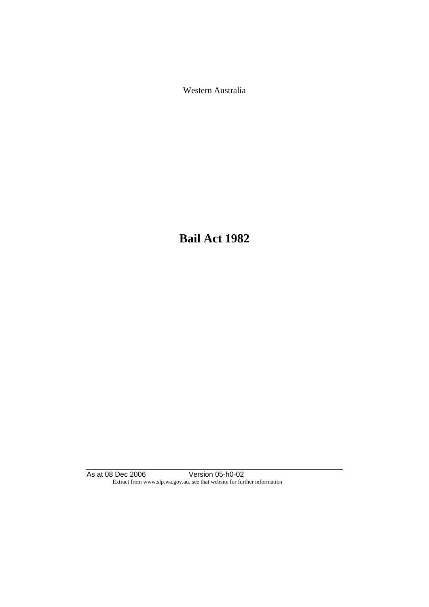Western Australia

**Bail Act 1982**

As at 08 Dec 2006 Version 05-h0-02 Extract from www.slp.wa.gov.au, see that website for further information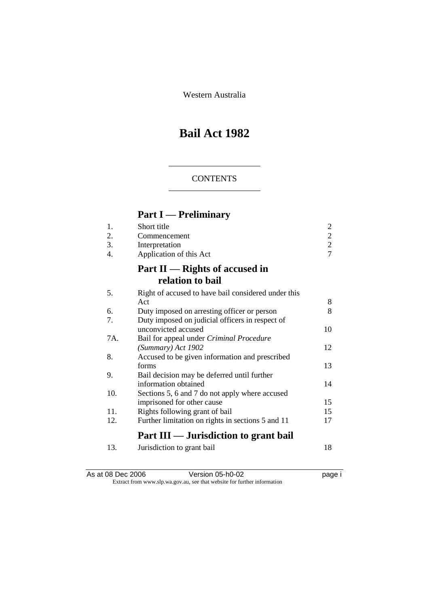Western Australia

# **Bail Act 1982**

## **CONTENTS**

# **Part I — Preliminary**

| 1.  | Short title                                         | 2              |
|-----|-----------------------------------------------------|----------------|
| 2.  | Commencement                                        | $\overline{c}$ |
| 3.  | Interpretation                                      | $\overline{c}$ |
| 4.  | Application of this Act                             | $\overline{7}$ |
|     | Part $II$ — Rights of accused in                    |                |
|     | relation to bail                                    |                |
| 5.  | Right of accused to have bail considered under this |                |
|     | Act                                                 | 8              |
| 6.  | Duty imposed on arresting officer or person         | 8              |
| 7.  | Duty imposed on judicial officers in respect of     |                |
|     | unconvicted accused                                 | 10             |
| 7A. | Bail for appeal under Criminal Procedure            |                |
|     | (Summary) Act 1902                                  | 12             |
| 8.  | Accused to be given information and prescribed      |                |
|     | forms                                               | 13             |
| 9.  | Bail decision may be deferred until further         |                |
|     | information obtained                                | 14             |
| 10. | Sections 5, 6 and 7 do not apply where accused      |                |
|     | imprisoned for other cause                          | 15             |
| 11. | Rights following grant of bail                      | 15             |
| 12. | Further limitation on rights in sections 5 and 11   | 17             |
|     | Part III — Jurisdiction to grant bail               |                |
| 13. | Jurisdiction to grant bail                          | 18             |

As at 08 Dec 2006 **Version 05-h0-02 page i** Extract from www.slp.wa.gov.au, see that website for further information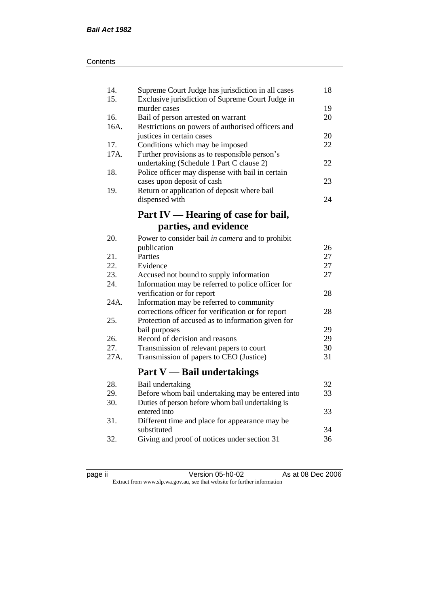| 14.<br>15. | Supreme Court Judge has jurisdiction in all cases<br>Exclusive jurisdiction of Supreme Court Judge in | 18 |
|------------|-------------------------------------------------------------------------------------------------------|----|
|            | murder cases                                                                                          | 19 |
| 16.        | Bail of person arrested on warrant                                                                    | 20 |
| 16A.       | Restrictions on powers of authorised officers and                                                     |    |
|            | justices in certain cases                                                                             | 20 |
| 17.        | Conditions which may be imposed                                                                       | 22 |
| 17A.       | Further provisions as to responsible person's                                                         |    |
|            | undertaking (Schedule 1 Part C clause 2)                                                              | 22 |
| 18.        | Police officer may dispense with bail in certain                                                      |    |
|            | cases upon deposit of cash                                                                            | 23 |
| 19.        | Return or application of deposit where bail                                                           |    |
|            | dispensed with                                                                                        | 24 |
|            |                                                                                                       |    |
|            | Part IV — Hearing of case for bail,                                                                   |    |
|            | parties, and evidence                                                                                 |    |
| 20.        | Power to consider bail in camera and to prohibit                                                      |    |
|            | publication                                                                                           | 26 |
| 21.        | Parties                                                                                               | 27 |
| 22.        | Evidence                                                                                              | 27 |
| 23.        | Accused not bound to supply information                                                               | 27 |
| 24.        | Information may be referred to police officer for                                                     |    |
|            | verification or for report                                                                            | 28 |
| 24A.       | Information may be referred to community                                                              |    |
|            | corrections officer for verification or for report                                                    | 28 |
| 25.        | Protection of accused as to information given for                                                     |    |
|            | bail purposes                                                                                         | 29 |
| 26.        | Record of decision and reasons                                                                        | 29 |
| 27.        | Transmission of relevant papers to court                                                              | 30 |
| 27A.       | Transmission of papers to CEO (Justice)                                                               | 31 |
|            |                                                                                                       |    |
|            | <b>Part V</b> — Bail undertakings                                                                     |    |
| 28.        | Bail undertaking                                                                                      | 32 |
| 29.        | Before whom bail undertaking may be entered into                                                      | 33 |
| 30.        | Duties of person before whom bail undertaking is                                                      |    |
|            | entered into                                                                                          | 33 |
| 31.        | Different time and place for appearance may be                                                        |    |
|            | substituted                                                                                           | 34 |
| 32.        | Giving and proof of notices under section 31                                                          | 36 |
|            |                                                                                                       |    |

| . . |  |
|-----|--|
|     |  |
|     |  |
|     |  |

page ii Version 05-h0-02 As at 08 Dec 2006 Extract from www.slp.wa.gov.au, see that website for further information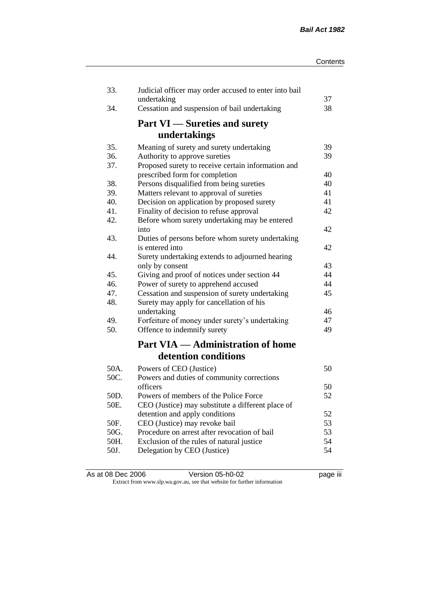| 33.  | Judicial officer may order accused to enter into bail<br>undertaking | 37 |
|------|----------------------------------------------------------------------|----|
| 34.  | Cessation and suspension of bail undertaking                         | 38 |
|      | <b>Part VI</b> — Sureties and surety                                 |    |
|      | undertakings                                                         |    |
| 35.  | Meaning of surety and surety undertaking                             | 39 |
| 36.  | Authority to approve sureties                                        | 39 |
| 37.  | Proposed surety to receive certain information and                   |    |
|      | prescribed form for completion                                       | 40 |
| 38.  | Persons disqualified from being sureties                             | 40 |
| 39.  | Matters relevant to approval of sureties                             | 41 |
| 40.  | Decision on application by proposed surety                           | 41 |
| 41.  | Finality of decision to refuse approval                              | 42 |
| 42.  | Before whom surety undertaking may be entered                        | 42 |
| 43.  | into                                                                 |    |
|      | Duties of persons before whom surety undertaking<br>is entered into  | 42 |
| 44.  | Surety undertaking extends to adjourned hearing                      |    |
|      | only by consent                                                      | 43 |
| 45.  | Giving and proof of notices under section 44                         | 44 |
| 46.  | Power of surety to apprehend accused                                 | 44 |
| 47.  | Cessation and suspension of surety undertaking                       | 45 |
| 48.  | Surety may apply for cancellation of his                             |    |
|      | undertaking                                                          | 46 |
| 49.  | Forfeiture of money under surety's undertaking                       | 47 |
| 50.  | Offence to indemnify surety                                          | 49 |
|      | <b>Part VIA — Administration of home</b>                             |    |
|      | detention conditions                                                 |    |
| 50A. | Powers of CEO (Justice)                                              | 50 |
| 50C. | Powers and duties of community corrections                           |    |
|      | officers                                                             | 50 |
| 50D. | Powers of members of the Police Force                                | 52 |
| 50E. | CEO (Justice) may substitute a different place of                    |    |
|      | detention and apply conditions                                       | 52 |
| 50F. | CEO (Justice) may revoke bail                                        | 53 |
| 50G. | Procedure on arrest after revocation of bail                         | 53 |
| 50H. | Exclusion of the rules of natural justice                            | 54 |
| 50J. | Delegation by CEO (Justice)                                          | 54 |
|      |                                                                      |    |

| As at 08 Dec 2006 | Version 05-h0-02                                                         | <br>page III |
|-------------------|--------------------------------------------------------------------------|--------------|
|                   | Extract from www.slp.wa.gov.au, see that website for further information |              |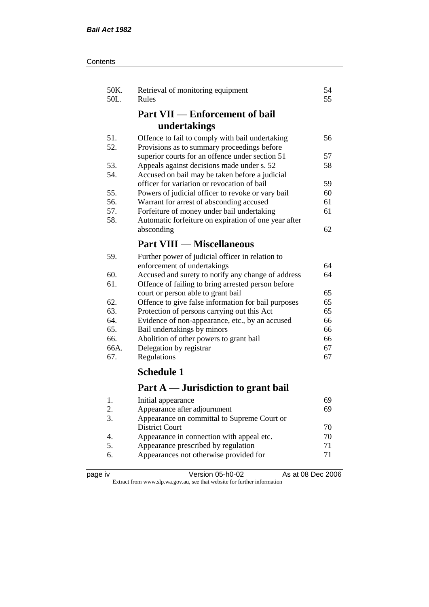| Contents |
|----------|
|----------|

| 50K.<br>50L.                | Retrieval of monitoring equipment<br>Rules           | 54<br>55 |
|-----------------------------|------------------------------------------------------|----------|
|                             | <b>Part VII — Enforcement of bail</b>                |          |
|                             | undertakings                                         |          |
| 51.                         | Offence to fail to comply with bail undertaking      | 56       |
| 52.                         | Provisions as to summary proceedings before          |          |
|                             | superior courts for an offence under section 51      | 57       |
| 53.                         | Appeals against decisions made under s. 52           | 58       |
| 54.                         | Accused on bail may be taken before a judicial       |          |
|                             | officer for variation or revocation of bail          | 59       |
| 55.                         | Powers of judicial officer to revoke or vary bail    | 60       |
| 56.                         | Warrant for arrest of absconding accused             | 61       |
| 57.                         | Forfeiture of money under bail undertaking           | 61       |
| 58.                         | Automatic forfeiture on expiration of one year after |          |
|                             | absconding                                           | 62       |
|                             | <b>Part VIII — Miscellaneous</b>                     |          |
| 59.                         | Further power of judicial officer in relation to     |          |
|                             | enforcement of undertakings                          | 64       |
| 60.                         | Accused and surety to notify any change of address   | 64       |
| 61.                         | Offence of failing to bring arrested person before   |          |
|                             | court or person able to grant bail                   | 65       |
| 62.                         | Offence to give false information for bail purposes  | 65       |
| 63.                         | Protection of persons carrying out this Act          | 65       |
| 64.                         | Evidence of non-appearance, etc., by an accused      | 66       |
| 65.                         | Bail undertakings by minors                          | 66       |
| 66.                         | Abolition of other powers to grant bail              | 66       |
| 66A.                        | Delegation by registrar                              | 67       |
| 67.                         | Regulations                                          | 67       |
|                             | <b>Schedule 1</b>                                    |          |
|                             | Part A — Jurisdiction to grant bail                  |          |
| 1.                          | Initial appearance                                   | 69       |
| $\mathcal{D}_{\mathcal{L}}$ | Annearance after adiournment                         | 69       |

| . . | mittal appearance                           | $\cdots$ |
|-----|---------------------------------------------|----------|
| 2.  | Appearance after adjournment                | 69       |
|     | Appearance on committal to Supreme Court or |          |
|     | District Court                              | 70       |
|     | Appearance in connection with appeal etc.   | 70       |
|     | Appearance prescribed by regulation         | 71       |
| 6.  | Appearances not otherwise provided for      | 71       |
|     |                                             |          |

| page | ιv |
|------|----|
|------|----|

page iv Version 05-h0-02 As at 08 Dec 2006 Extract from www.slp.wa.gov.au, see that website for further information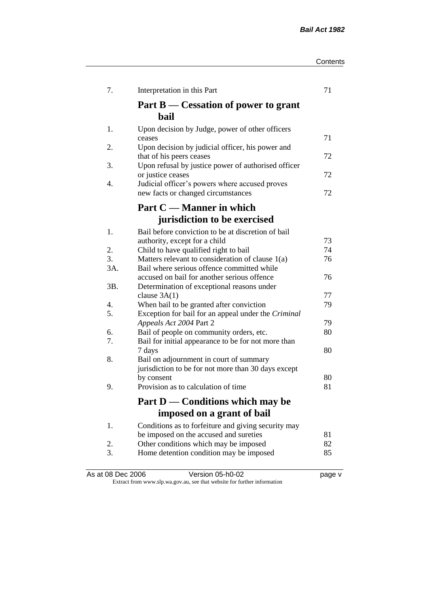| Contents |
|----------|
|----------|

| 7.       | Interpretation in this Part                                                     | 71       |
|----------|---------------------------------------------------------------------------------|----------|
|          | Part B — Cessation of power to grant<br>bail                                    |          |
| 1.       | Upon decision by Judge, power of other officers                                 |          |
|          | ceases                                                                          | 71       |
| 2.       | Upon decision by judicial officer, his power and                                |          |
| 3.       | that of his peers ceases<br>Upon refusal by justice power of authorised officer | 72       |
|          | or justice ceases                                                               | 72       |
| 4.       | Judicial officer's powers where accused proves                                  |          |
|          | new facts or changed circumstances                                              | 72       |
|          | Part C — Manner in which                                                        |          |
|          | jurisdiction to be exercised                                                    |          |
| 1.       | Bail before conviction to be at discretion of bail                              |          |
|          | authority, except for a child                                                   | 73       |
| 2.       | Child to have qualified right to bail                                           | 74       |
| 3.       | Matters relevant to consideration of clause 1(a)                                | 76       |
| 3A.      | Bail where serious offence committed while                                      |          |
|          | accused on bail for another serious offence                                     | 76       |
| 3B.      | Determination of exceptional reasons under                                      |          |
|          | clause $3A(1)$                                                                  | 77       |
| 4.       | When bail to be granted after conviction                                        | 79       |
| 5.       | Exception for bail for an appeal under the Criminal                             |          |
|          | Appeals Act 2004 Part 2                                                         | 79<br>80 |
| 6.<br>7. | Bail of people on community orders, etc.                                        |          |
|          | Bail for initial appearance to be for not more than<br>7 days                   | 80       |
| 8.       | Bail on adjournment in court of summary                                         |          |
|          | jurisdiction to be for not more than 30 days except                             |          |
|          | by consent                                                                      | 80       |
| 9.       | Provision as to calculation of time                                             | 81       |
|          |                                                                                 |          |
|          | Part D — Conditions which may be                                                |          |
|          | imposed on a grant of bail                                                      |          |
| 1.       | Conditions as to forfeiture and giving security may                             |          |
|          | be imposed on the accused and sureties                                          | 81       |
| 2.       | Other conditions which may be imposed                                           | 82       |
| 3.       | Home detention condition may be imposed                                         | 85       |
|          |                                                                                 |          |

As at 08 Dec 2006 **Version 05-h0-02 Page v** page v Extract from www.slp.wa.gov.au, see that website for further information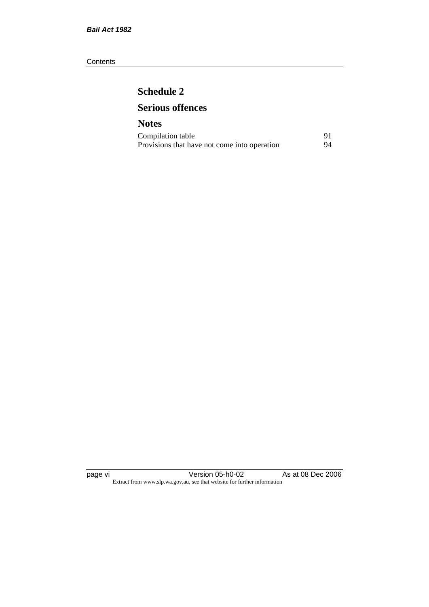#### **Contents**

# **Schedule 2 Serious offences**

## **Notes** Compilation table 91<br>Provisions that have not come into operation 94 Provisions that have not come into operation

page vi Version 05-h0-02 As at 08 Dec 2006 Extract from www.slp.wa.gov.au, see that website for further information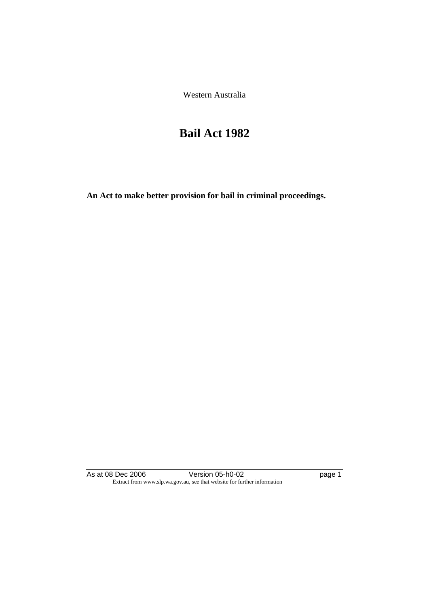Western Australia

# **Bail Act 1982**

**An Act to make better provision for bail in criminal proceedings.** 

As at 08 Dec 2006 **Version 05-h0-02 page 1** Extract from www.slp.wa.gov.au, see that website for further information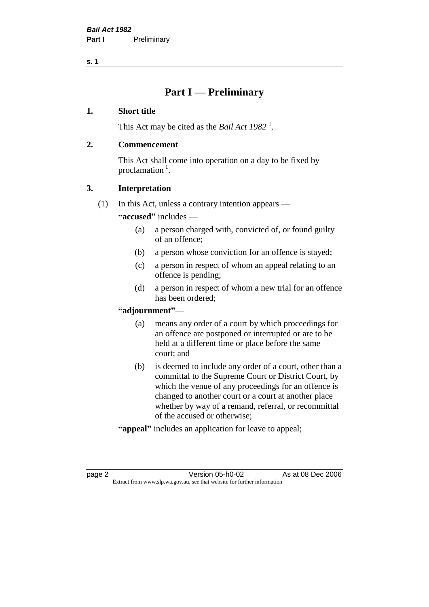# **Part I — Preliminary**

#### **1. Short title**

This Act may be cited as the *Bail Act* 1982<sup>1</sup>.

#### **2. Commencement**

This Act shall come into operation on a day to be fixed by proclamation  $<sup>1</sup>$ .</sup>

## **3. Interpretation**

(1) In this Act, unless a contrary intention appears —

**"accused"** includes —

- (a) a person charged with, convicted of, or found guilty of an offence;
- (b) a person whose conviction for an offence is stayed;
- (c) a person in respect of whom an appeal relating to an offence is pending;
- (d) a person in respect of whom a new trial for an offence has been ordered;

#### **"adjournment"**—

- (a) means any order of a court by which proceedings for an offence are postponed or interrupted or are to be held at a different time or place before the same court; and
- (b) is deemed to include any order of a court, other than a committal to the Supreme Court or District Court, by which the venue of any proceedings for an offence is changed to another court or a court at another place whether by way of a remand, referral, or recommittal of the accused or otherwise;
- **"appeal"** includes an application for leave to appeal;

page 2 Version 05-h0-02 As at 08 Dec 2006 Extract from www.slp.wa.gov.au, see that website for further information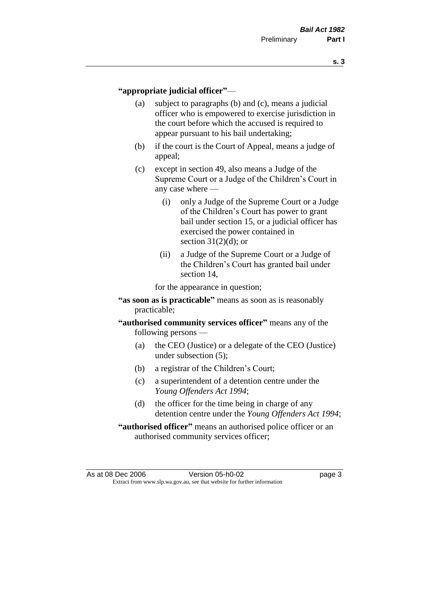#### **"appropriate judicial officer"**—

- (a) subject to paragraphs (b) and (c), means a judicial officer who is empowered to exercise jurisdiction in the court before which the accused is required to appear pursuant to his bail undertaking;
- (b) if the court is the Court of Appeal, means a judge of appeal;
- (c) except in section 49, also means a Judge of the Supreme Court or a Judge of the Children's Court in any case where —
	- (i) only a Judge of the Supreme Court or a Judge of the Children's Court has power to grant bail under section 15, or a judicial officer has exercised the power contained in section  $31(2)(d)$ ; or
	- (ii) a Judge of the Supreme Court or a Judge of the Children's Court has granted bail under section 14,

for the appearance in question;

- **"as soon as is practicable"** means as soon as is reasonably practicable;
- **"authorised community services officer"** means any of the following persons —
	- (a) the CEO (Justice) or a delegate of the CEO (Justice) under subsection (5);
	- (b) a registrar of the Children's Court;
	- (c) a superintendent of a detention centre under the *Young Offenders Act 1994*;
	- (d) the officer for the time being in charge of any detention centre under the *Young Offenders Act 1994*;
- **"authorised officer"** means an authorised police officer or an authorised community services officer;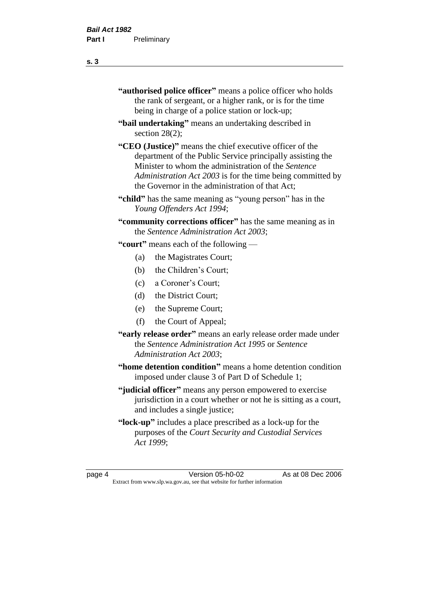| "authorised police officer" means a police officer who holds |
|--------------------------------------------------------------|
| the rank of sergeant, or a higher rank, or is for the time   |
| being in charge of a police station or lock-up;              |

- **"bail undertaking"** means an undertaking described in section 28(2);
- **"CEO (Justice)"** means the chief executive officer of the department of the Public Service principally assisting the Minister to whom the administration of the *Sentence Administration Act 2003* is for the time being committed by the Governor in the administration of that Act;
- **"child"** has the same meaning as "young person" has in the *Young Offenders Act 1994*;
- **"community corrections officer"** has the same meaning as in the *Sentence Administration Act 2003*;

**"court"** means each of the following —

- (a) the Magistrates Court;
- (b) the Children's Court;
- (c) a Coroner's Court;
- (d) the District Court;
- (e) the Supreme Court;
- (f) the Court of Appeal;
- **"early release order"** means an early release order made under the *Sentence Administration Act 1995* or *Sentence Administration Act 2003*;
- **"home detention condition"** means a home detention condition imposed under clause 3 of Part D of Schedule 1;
- **"judicial officer"** means any person empowered to exercise jurisdiction in a court whether or not he is sitting as a court, and includes a single justice;
- **"lock-up"** includes a place prescribed as a lock-up for the purposes of the *Court Security and Custodial Services Act 1999*;

page 4 Version 05-h0-02 As at 08 Dec 2006 Extract from www.slp.wa.gov.au, see that website for further information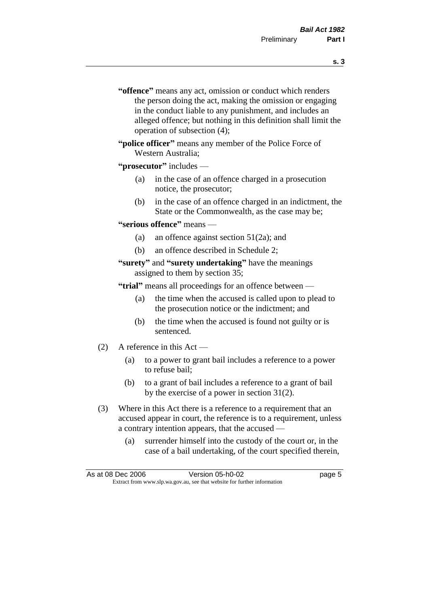- **s. 3**
- **"offence"** means any act, omission or conduct which renders the person doing the act, making the omission or engaging in the conduct liable to any punishment, and includes an alleged offence; but nothing in this definition shall limit the operation of subsection (4);
- **"police officer"** means any member of the Police Force of Western Australia;
- **"prosecutor"** includes
	- (a) in the case of an offence charged in a prosecution notice, the prosecutor;
	- (b) in the case of an offence charged in an indictment, the State or the Commonwealth, as the case may be;
- **"serious offence"** means
	- (a) an offence against section 51(2a); and
	- (b) an offence described in Schedule 2;
- **"surety"** and **"surety undertaking"** have the meanings assigned to them by section 35;

**"trial"** means all proceedings for an offence between —

- (a) the time when the accused is called upon to plead to the prosecution notice or the indictment; and
- (b) the time when the accused is found not guilty or is sentenced.
- (2) A reference in this Act
	- (a) to a power to grant bail includes a reference to a power to refuse bail;
	- (b) to a grant of bail includes a reference to a grant of bail by the exercise of a power in section 31(2).
- (3) Where in this Act there is a reference to a requirement that an accused appear in court, the reference is to a requirement, unless a contrary intention appears, that the accused —
	- (a) surrender himself into the custody of the court or, in the case of a bail undertaking, of the court specified therein,

| As at 08 Dec 2006 | Version 05-h0-02                                                         | page 5 |
|-------------------|--------------------------------------------------------------------------|--------|
|                   | Extract from www.slp.wa.gov.au, see that website for further information |        |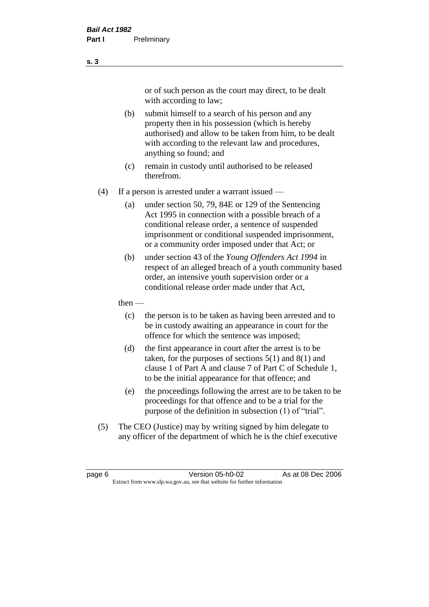or of such person as the court may direct, to be dealt with according to law;

(b) submit himself to a search of his person and any property then in his possession (which is hereby authorised) and allow to be taken from him, to be dealt with according to the relevant law and procedures, anything so found; and

- (c) remain in custody until authorised to be released therefrom.
- (4) If a person is arrested under a warrant issued
	- (a) under section 50, 79, 84E or 129 of the Sentencing Act 1995 in connection with a possible breach of a conditional release order, a sentence of suspended imprisonment or conditional suspended imprisonment, or a community order imposed under that Act; or
	- (b) under section 43 of the *Young Offenders Act 1994* in respect of an alleged breach of a youth community based order, an intensive youth supervision order or a conditional release order made under that Act,
	- then
		- (c) the person is to be taken as having been arrested and to be in custody awaiting an appearance in court for the offence for which the sentence was imposed;
		- (d) the first appearance in court after the arrest is to be taken, for the purposes of sections  $5(1)$  and  $8(1)$  and clause 1 of Part A and clause 7 of Part C of Schedule 1, to be the initial appearance for that offence; and
		- (e) the proceedings following the arrest are to be taken to be proceedings for that offence and to be a trial for the purpose of the definition in subsection (1) of "trial".
- (5) The CEO (Justice) may by writing signed by him delegate to any officer of the department of which he is the chief executive

page 6 **Version 05-h0-02** As at 08 Dec 2006 Extract from www.slp.wa.gov.au, see that website for further information

#### **s. 3**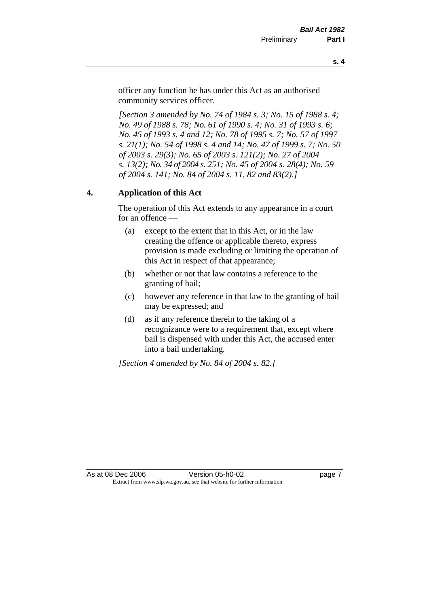officer any function he has under this Act as an authorised community services officer.

*[Section 3 amended by No. 74 of 1984 s. 3; No. 15 of 1988 s. 4; No. 49 of 1988 s. 78; No. 61 of 1990 s. 4; No. 31 of 1993 s. 6; No. 45 of 1993 s. 4 and 12; No. 78 of 1995 s. 7; No. 57 of 1997 s. 21(1); No. 54 of 1998 s. 4 and 14; No. 47 of 1999 s. 7; No. 50 of 2003 s. 29(3); No. 65 of 2003 s. 121(2); No. 27 of 2004 s. 13(2); No. 34 of 2004 s. 251; No. 45 of 2004 s. 28(4); No. 59 of 2004 s. 141; No. 84 of 2004 s. 11, 82 and 83(2).]* 

#### **4. Application of this Act**

The operation of this Act extends to any appearance in a court for an offence —

- (a) except to the extent that in this Act, or in the law creating the offence or applicable thereto, express provision is made excluding or limiting the operation of this Act in respect of that appearance;
- (b) whether or not that law contains a reference to the granting of bail;
- (c) however any reference in that law to the granting of bail may be expressed; and
- (d) as if any reference therein to the taking of a recognizance were to a requirement that, except where bail is dispensed with under this Act, the accused enter into a bail undertaking.

*[Section 4 amended by No. 84 of 2004 s. 82.]*

As at 08 Dec 2006 Version 05-h0-02 Page 7 Extract from www.slp.wa.gov.au, see that website for further information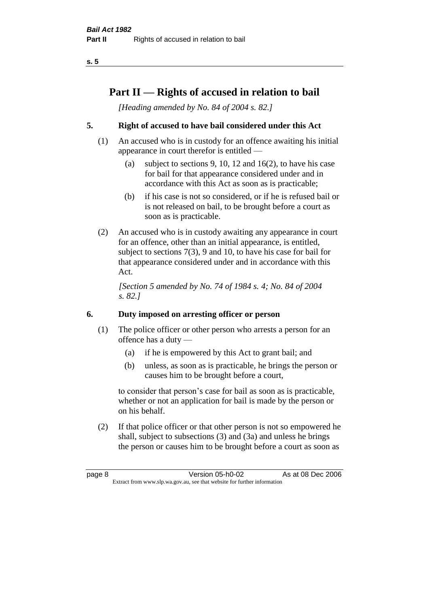# **Part II — Rights of accused in relation to bail**

*[Heading amended by No. 84 of 2004 s. 82.]* 

## **5. Right of accused to have bail considered under this Act**

- (1) An accused who is in custody for an offence awaiting his initial appearance in court therefor is entitled —
	- (a) subject to sections 9, 10, 12 and 16(2), to have his case for bail for that appearance considered under and in accordance with this Act as soon as is practicable;
	- (b) if his case is not so considered, or if he is refused bail or is not released on bail, to be brought before a court as soon as is practicable.
- (2) An accused who is in custody awaiting any appearance in court for an offence, other than an initial appearance, is entitled, subject to sections 7(3), 9 and 10, to have his case for bail for that appearance considered under and in accordance with this Act.

*[Section 5 amended by No. 74 of 1984 s. 4; No. 84 of 2004 s. 82.]* 

## **6. Duty imposed on arresting officer or person**

- (1) The police officer or other person who arrests a person for an offence has a duty —
	- (a) if he is empowered by this Act to grant bail; and
	- (b) unless, as soon as is practicable, he brings the person or causes him to be brought before a court,

to consider that person's case for bail as soon as is practicable, whether or not an application for bail is made by the person or on his behalf.

(2) If that police officer or that other person is not so empowered he shall, subject to subsections (3) and (3a) and unless he brings the person or causes him to be brought before a court as soon as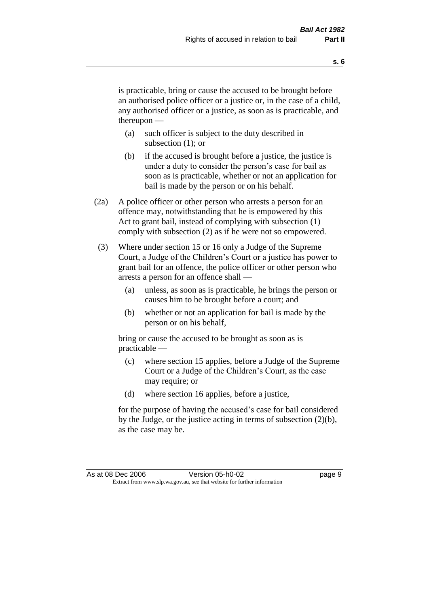is practicable, bring or cause the accused to be brought before an authorised police officer or a justice or, in the case of a child, any authorised officer or a justice, as soon as is practicable, and thereupon —

- (a) such officer is subject to the duty described in subsection (1); or
- (b) if the accused is brought before a justice, the justice is under a duty to consider the person's case for bail as soon as is practicable, whether or not an application for bail is made by the person or on his behalf.
- (2a) A police officer or other person who arrests a person for an offence may, notwithstanding that he is empowered by this Act to grant bail, instead of complying with subsection (1) comply with subsection (2) as if he were not so empowered.
- (3) Where under section 15 or 16 only a Judge of the Supreme Court, a Judge of the Children's Court or a justice has power to grant bail for an offence, the police officer or other person who arrests a person for an offence shall —
	- (a) unless, as soon as is practicable, he brings the person or causes him to be brought before a court; and
	- (b) whether or not an application for bail is made by the person or on his behalf,

bring or cause the accused to be brought as soon as is practicable —

- (c) where section 15 applies, before a Judge of the Supreme Court or a Judge of the Children's Court, as the case may require; or
- (d) where section 16 applies, before a justice,

for the purpose of having the accused's case for bail considered by the Judge, or the justice acting in terms of subsection (2)(b), as the case may be.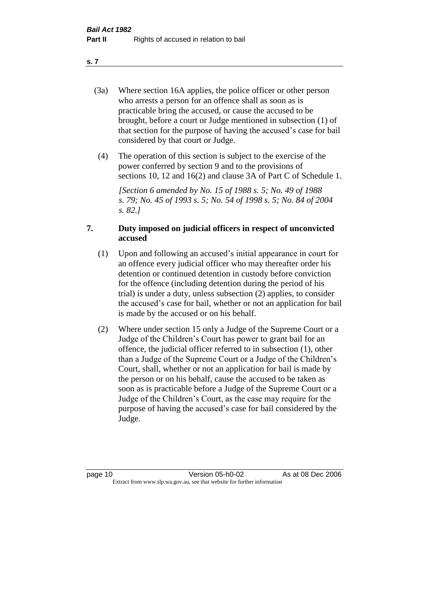- (3a) Where section 16A applies, the police officer or other person who arrests a person for an offence shall as soon as is practicable bring the accused, or cause the accused to be brought, before a court or Judge mentioned in subsection (1) of that section for the purpose of having the accused's case for bail considered by that court or Judge.
- (4) The operation of this section is subject to the exercise of the power conferred by section 9 and to the provisions of sections 10, 12 and 16(2) and clause 3A of Part C of Schedule 1.

*[Section 6 amended by No. 15 of 1988 s. 5; No. 49 of 1988 s. 79; No. 45 of 1993 s. 5; No. 54 of 1998 s. 5; No. 84 of 2004 s. 82.]* 

#### **7. Duty imposed on judicial officers in respect of unconvicted accused**

- (1) Upon and following an accused's initial appearance in court for an offence every judicial officer who may thereafter order his detention or continued detention in custody before conviction for the offence (including detention during the period of his trial) is under a duty, unless subsection (2) applies, to consider the accused's case for bail, whether or not an application for bail is made by the accused or on his behalf.
- (2) Where under section 15 only a Judge of the Supreme Court or a Judge of the Children's Court has power to grant bail for an offence, the judicial officer referred to in subsection (1), other than a Judge of the Supreme Court or a Judge of the Children's Court, shall, whether or not an application for bail is made by the person or on his behalf, cause the accused to be taken as soon as is practicable before a Judge of the Supreme Court or a Judge of the Children's Court, as the case may require for the purpose of having the accused's case for bail considered by the Judge.

**s. 7**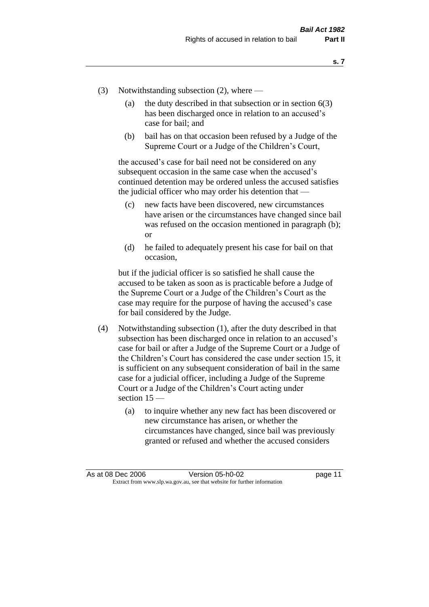- (3) Notwithstanding subsection (2), where
	- (a) the duty described in that subsection or in section  $6(3)$ has been discharged once in relation to an accused's case for bail; and
	- (b) bail has on that occasion been refused by a Judge of the Supreme Court or a Judge of the Children's Court,

the accused's case for bail need not be considered on any subsequent occasion in the same case when the accused's continued detention may be ordered unless the accused satisfies the judicial officer who may order his detention that —

- (c) new facts have been discovered, new circumstances have arisen or the circumstances have changed since bail was refused on the occasion mentioned in paragraph (b); or
- (d) he failed to adequately present his case for bail on that occasion,

but if the judicial officer is so satisfied he shall cause the accused to be taken as soon as is practicable before a Judge of the Supreme Court or a Judge of the Children's Court as the case may require for the purpose of having the accused's case for bail considered by the Judge.

- (4) Notwithstanding subsection (1), after the duty described in that subsection has been discharged once in relation to an accused's case for bail or after a Judge of the Supreme Court or a Judge of the Children's Court has considered the case under section 15, it is sufficient on any subsequent consideration of bail in the same case for a judicial officer, including a Judge of the Supreme Court or a Judge of the Children's Court acting under section 15 —
	- (a) to inquire whether any new fact has been discovered or new circumstance has arisen, or whether the circumstances have changed, since bail was previously granted or refused and whether the accused considers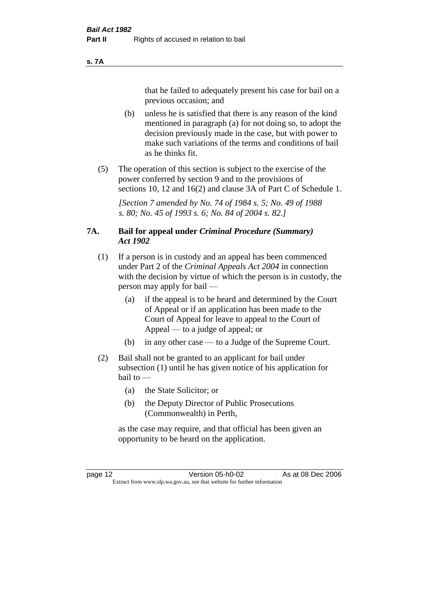#### **s. 7A**

that he failed to adequately present his case for bail on a previous occasion; and

- (b) unless he is satisfied that there is any reason of the kind mentioned in paragraph (a) for not doing so, to adopt the decision previously made in the case, but with power to make such variations of the terms and conditions of bail as he thinks fit.
- (5) The operation of this section is subject to the exercise of the power conferred by section 9 and to the provisions of sections 10, 12 and 16(2) and clause 3A of Part C of Schedule 1.

*[Section 7 amended by No. 74 of 1984 s. 5; No. 49 of 1988 s. 80; No. 45 of 1993 s. 6; No. 84 of 2004 s. 82.]* 

#### **7A. Bail for appeal under** *Criminal Procedure (Summary) Act 1902*

- (1) If a person is in custody and an appeal has been commenced under Part 2 of the *Criminal Appeals Act 2004* in connection with the decision by virtue of which the person is in custody, the person may apply for bail —
	- (a) if the appeal is to be heard and determined by the Court of Appeal or if an application has been made to the Court of Appeal for leave to appeal to the Court of Appeal — to a judge of appeal; or
	- (b) in any other case to a Judge of the Supreme Court.
- (2) Bail shall not be granted to an applicant for bail under subsection (1) until he has given notice of his application for bail to —
	- (a) the State Solicitor; or
	- (b) the Deputy Director of Public Prosecutions (Commonwealth) in Perth,

as the case may require, and that official has been given an opportunity to be heard on the application.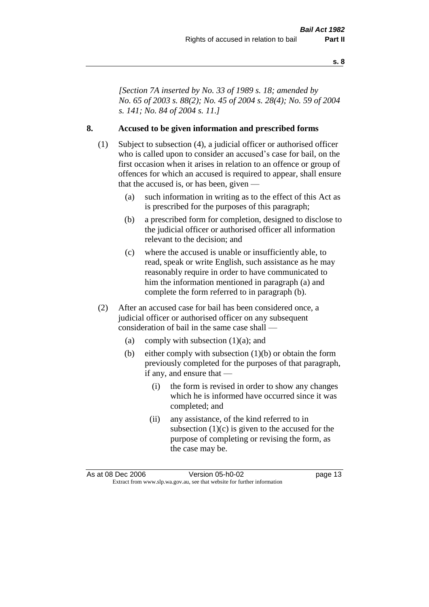*[Section 7A inserted by No. 33 of 1989 s. 18; amended by No. 65 of 2003 s. 88(2); No. 45 of 2004 s. 28(4); No. 59 of 2004 s. 141; No. 84 of 2004 s. 11.]* 

#### **8. Accused to be given information and prescribed forms**

- (1) Subject to subsection (4), a judicial officer or authorised officer who is called upon to consider an accused's case for bail, on the first occasion when it arises in relation to an offence or group of offences for which an accused is required to appear, shall ensure that the accused is, or has been, given —
	- (a) such information in writing as to the effect of this Act as is prescribed for the purposes of this paragraph;
	- (b) a prescribed form for completion, designed to disclose to the judicial officer or authorised officer all information relevant to the decision; and
	- (c) where the accused is unable or insufficiently able, to read, speak or write English, such assistance as he may reasonably require in order to have communicated to him the information mentioned in paragraph (a) and complete the form referred to in paragraph (b).
- (2) After an accused case for bail has been considered once, a judicial officer or authorised officer on any subsequent consideration of bail in the same case shall —
	- (a) comply with subsection  $(1)(a)$ ; and
	- (b) either comply with subsection (1)(b) or obtain the form previously completed for the purposes of that paragraph, if any, and ensure that —
		- (i) the form is revised in order to show any changes which he is informed have occurred since it was completed; and
		- (ii) any assistance, of the kind referred to in subsection  $(1)(c)$  is given to the accused for the purpose of completing or revising the form, as the case may be.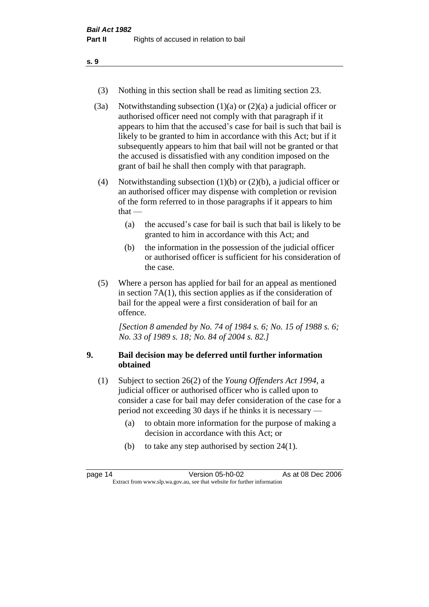- (3) Nothing in this section shall be read as limiting section 23.
- (3a) Notwithstanding subsection  $(1)(a)$  or  $(2)(a)$  a judicial officer or authorised officer need not comply with that paragraph if it appears to him that the accused's case for bail is such that bail is likely to be granted to him in accordance with this Act; but if it subsequently appears to him that bail will not be granted or that the accused is dissatisfied with any condition imposed on the grant of bail he shall then comply with that paragraph.
- (4) Notwithstanding subsection (1)(b) or (2)(b), a judicial officer or an authorised officer may dispense with completion or revision of the form referred to in those paragraphs if it appears to him  $that -$ 
	- (a) the accused's case for bail is such that bail is likely to be granted to him in accordance with this Act; and
	- (b) the information in the possession of the judicial officer or authorised officer is sufficient for his consideration of the case.
- (5) Where a person has applied for bail for an appeal as mentioned in section 7A(1), this section applies as if the consideration of bail for the appeal were a first consideration of bail for an offence.

*[Section 8 amended by No. 74 of 1984 s. 6; No. 15 of 1988 s. 6; No. 33 of 1989 s. 18; No. 84 of 2004 s. 82.]* 

#### **9. Bail decision may be deferred until further information obtained**

- (1) Subject to section 26(2) of the *Young Offenders Act 1994*, a judicial officer or authorised officer who is called upon to consider a case for bail may defer consideration of the case for a period not exceeding 30 days if he thinks it is necessary —
	- (a) to obtain more information for the purpose of making a decision in accordance with this Act; or
	- (b) to take any step authorised by section 24(1).

| page 14 | Version 05-h0-02                                                         | As at 08 Dec 2006 |
|---------|--------------------------------------------------------------------------|-------------------|
|         | Extract from www.slp.wa.gov.au, see that website for further information |                   |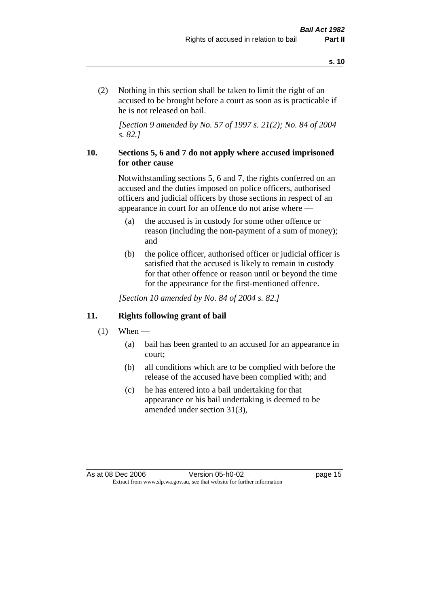(2) Nothing in this section shall be taken to limit the right of an accused to be brought before a court as soon as is practicable if he is not released on bail.

*[Section 9 amended by No. 57 of 1997 s. 21(2); No. 84 of 2004 s. 82.]*

#### **10. Sections 5, 6 and 7 do not apply where accused imprisoned for other cause**

Notwithstanding sections 5, 6 and 7, the rights conferred on an accused and the duties imposed on police officers, authorised officers and judicial officers by those sections in respect of an appearance in court for an offence do not arise where —

- (a) the accused is in custody for some other offence or reason (including the non-payment of a sum of money); and
- (b) the police officer, authorised officer or judicial officer is satisfied that the accused is likely to remain in custody for that other offence or reason until or beyond the time for the appearance for the first-mentioned offence.

*[Section 10 amended by No. 84 of 2004 s. 82.]*

#### **11. Rights following grant of bail**

- $(1)$  When
	- (a) bail has been granted to an accused for an appearance in court;
	- (b) all conditions which are to be complied with before the release of the accused have been complied with; and
	- (c) he has entered into a bail undertaking for that appearance or his bail undertaking is deemed to be amended under section 31(3),

As at 08 Dec 2006 Version 05-h0-02 page 15 Extract from www.slp.wa.gov.au, see that website for further information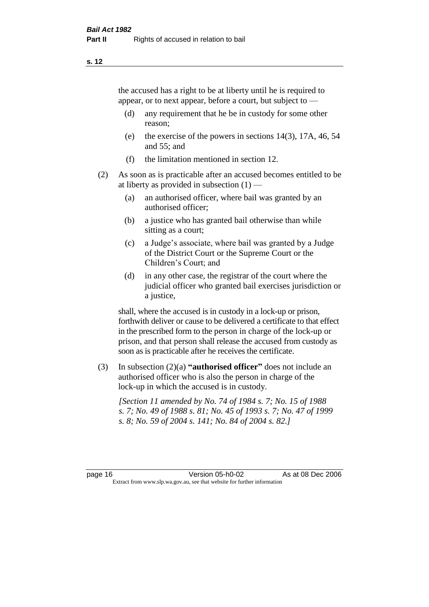the accused has a right to be at liberty until he is required to appear, or to next appear, before a court, but subject to —

- (d) any requirement that he be in custody for some other reason;
- (e) the exercise of the powers in sections 14(3), 17A, 46, 54 and 55; and
- (f) the limitation mentioned in section 12.
- (2) As soon as is practicable after an accused becomes entitled to be at liberty as provided in subsection  $(1)$  —
	- (a) an authorised officer, where bail was granted by an authorised officer;
	- (b) a justice who has granted bail otherwise than while sitting as a court;
	- (c) a Judge's associate, where bail was granted by a Judge of the District Court or the Supreme Court or the Children's Court; and
	- (d) in any other case, the registrar of the court where the judicial officer who granted bail exercises jurisdiction or a justice,

shall, where the accused is in custody in a lock-up or prison, forthwith deliver or cause to be delivered a certificate to that effect in the prescribed form to the person in charge of the lock-up or prison, and that person shall release the accused from custody as soon as is practicable after he receives the certificate.

(3) In subsection (2)(a) **"authorised officer"** does not include an authorised officer who is also the person in charge of the lock-up in which the accused is in custody.

*[Section 11 amended by No. 74 of 1984 s. 7; No. 15 of 1988 s. 7; No. 49 of 1988 s. 81; No. 45 of 1993 s. 7; No. 47 of 1999 s. 8; No. 59 of 2004 s. 141; No. 84 of 2004 s. 82.]*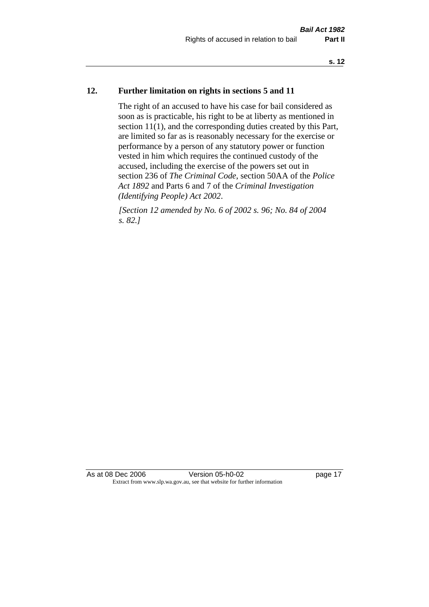#### **12. Further limitation on rights in sections 5 and 11**

The right of an accused to have his case for bail considered as soon as is practicable, his right to be at liberty as mentioned in section 11(1), and the corresponding duties created by this Part, are limited so far as is reasonably necessary for the exercise or performance by a person of any statutory power or function vested in him which requires the continued custody of the accused, including the exercise of the powers set out in section 236 of *The Criminal Code*, section 50AA of the *Police Act 1892* and Parts 6 and 7 of the *Criminal Investigation (Identifying People) Act 2002*.

*[Section 12 amended by No. 6 of 2002 s. 96; No. 84 of 2004 s. 82.]*

As at 08 Dec 2006 Version 05-h0-02 page 17 Extract from www.slp.wa.gov.au, see that website for further information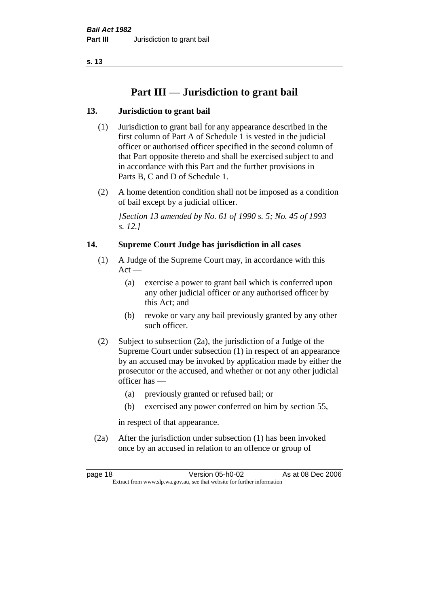# **Part III — Jurisdiction to grant bail**

## **13. Jurisdiction to grant bail**

- (1) Jurisdiction to grant bail for any appearance described in the first column of Part A of Schedule 1 is vested in the judicial officer or authorised officer specified in the second column of that Part opposite thereto and shall be exercised subject to and in accordance with this Part and the further provisions in Parts B, C and D of Schedule 1.
- (2) A home detention condition shall not be imposed as a condition of bail except by a judicial officer.

*[Section 13 amended by No. 61 of 1990 s. 5; No. 45 of 1993 s. 12.]* 

#### **14. Supreme Court Judge has jurisdiction in all cases**

- (1) A Judge of the Supreme Court may, in accordance with this  $Act -$ 
	- (a) exercise a power to grant bail which is conferred upon any other judicial officer or any authorised officer by this Act; and
	- (b) revoke or vary any bail previously granted by any other such officer.
- (2) Subject to subsection (2a), the jurisdiction of a Judge of the Supreme Court under subsection (1) in respect of an appearance by an accused may be invoked by application made by either the prosecutor or the accused, and whether or not any other judicial officer has —
	- (a) previously granted or refused bail; or
	- (b) exercised any power conferred on him by section 55,

in respect of that appearance.

(2a) After the jurisdiction under subsection (1) has been invoked once by an accused in relation to an offence or group of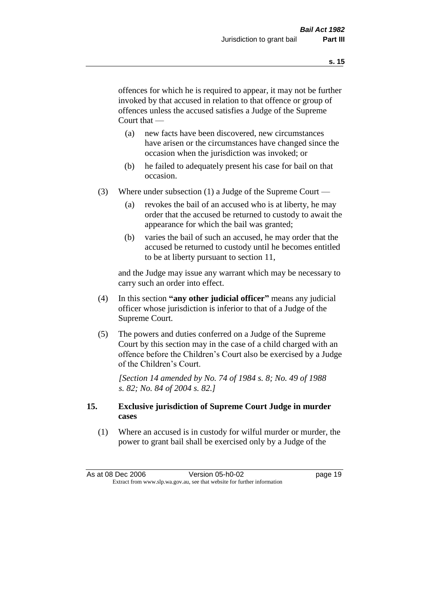offences for which he is required to appear, it may not be further invoked by that accused in relation to that offence or group of offences unless the accused satisfies a Judge of the Supreme Court that —

- (a) new facts have been discovered, new circumstances have arisen or the circumstances have changed since the occasion when the jurisdiction was invoked; or
- (b) he failed to adequately present his case for bail on that occasion.
- (3) Where under subsection (1) a Judge of the Supreme Court
	- (a) revokes the bail of an accused who is at liberty, he may order that the accused be returned to custody to await the appearance for which the bail was granted;
	- (b) varies the bail of such an accused, he may order that the accused be returned to custody until he becomes entitled to be at liberty pursuant to section 11,

and the Judge may issue any warrant which may be necessary to carry such an order into effect.

- (4) In this section **"any other judicial officer"** means any judicial officer whose jurisdiction is inferior to that of a Judge of the Supreme Court.
- (5) The powers and duties conferred on a Judge of the Supreme Court by this section may in the case of a child charged with an offence before the Children's Court also be exercised by a Judge of the Children's Court.

*[Section 14 amended by No. 74 of 1984 s. 8; No. 49 of 1988 s. 82; No. 84 of 2004 s. 82.]* 

#### **15. Exclusive jurisdiction of Supreme Court Judge in murder cases**

(1) Where an accused is in custody for wilful murder or murder, the power to grant bail shall be exercised only by a Judge of the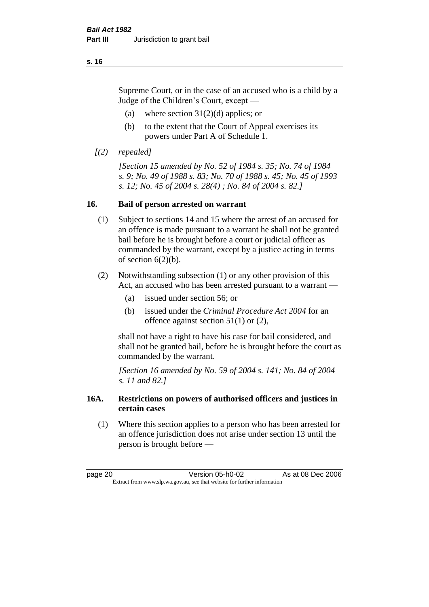Supreme Court, or in the case of an accused who is a child by a Judge of the Children's Court, except —

- (a) where section  $31(2)(d)$  applies; or
- (b) to the extent that the Court of Appeal exercises its powers under Part A of Schedule 1.
- *[(2) repealed]*

*[Section 15 amended by No. 52 of 1984 s. 35; No. 74 of 1984 s. 9; No. 49 of 1988 s. 83; No. 70 of 1988 s. 45; No. 45 of 1993 s. 12; No. 45 of 2004 s. 28(4) ; No. 84 of 2004 s. 82.]* 

#### **16. Bail of person arrested on warrant**

- (1) Subject to sections 14 and 15 where the arrest of an accused for an offence is made pursuant to a warrant he shall not be granted bail before he is brought before a court or judicial officer as commanded by the warrant, except by a justice acting in terms of section  $6(2)(b)$ .
- (2) Notwithstanding subsection (1) or any other provision of this Act, an accused who has been arrested pursuant to a warrant —
	- (a) issued under section 56; or
	- (b) issued under the *Criminal Procedure Act 2004* for an offence against section 51(1) or (2),

shall not have a right to have his case for bail considered, and shall not be granted bail, before he is brought before the court as commanded by the warrant.

*[Section 16 amended by No. 59 of 2004 s. 141; No. 84 of 2004 s. 11 and 82.]*

#### **16A. Restrictions on powers of authorised officers and justices in certain cases**

(1) Where this section applies to a person who has been arrested for an offence jurisdiction does not arise under section 13 until the person is brought before —

page 20 **Version 05-h0-02** As at 08 Dec 2006 Extract from www.slp.wa.gov.au, see that website for further information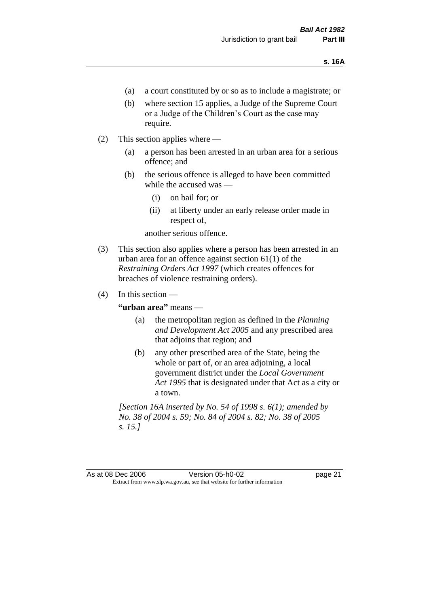- (a) a court constituted by or so as to include a magistrate; or
- (b) where section 15 applies, a Judge of the Supreme Court or a Judge of the Children's Court as the case may require.
- (2) This section applies where
	- (a) a person has been arrested in an urban area for a serious offence; and
	- (b) the serious offence is alleged to have been committed while the accused was —
		- (i) on bail for; or
		- (ii) at liberty under an early release order made in respect of,

another serious offence.

- (3) This section also applies where a person has been arrested in an urban area for an offence against section 61(1) of the *Restraining Orders Act 1997* (which creates offences for breaches of violence restraining orders).
- $(4)$  In this section —

**"urban area"** means —

- (a) the metropolitan region as defined in the *Planning and Development Act 2005* and any prescribed area that adjoins that region; and
- (b) any other prescribed area of the State, being the whole or part of, or an area adjoining, a local government district under the *Local Government Act 1995* that is designated under that Act as a city or a town.

*[Section 16A inserted by No. 54 of 1998 s. 6(1); amended by No. 38 of 2004 s. 59; No. 84 of 2004 s. 82; No. 38 of 2005 s. 15.]*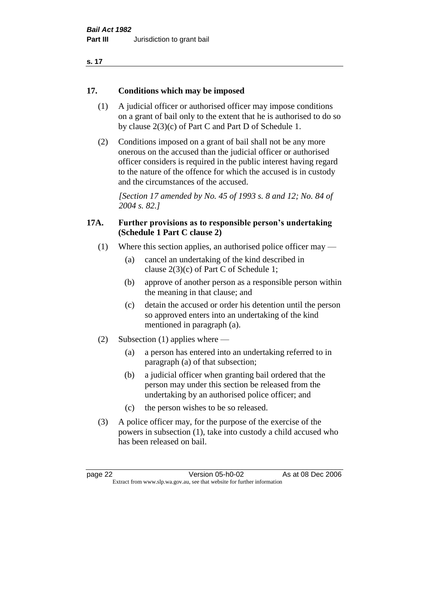#### **17. Conditions which may be imposed**

- (1) A judicial officer or authorised officer may impose conditions on a grant of bail only to the extent that he is authorised to do so by clause 2(3)(c) of Part C and Part D of Schedule 1.
- (2) Conditions imposed on a grant of bail shall not be any more onerous on the accused than the judicial officer or authorised officer considers is required in the public interest having regard to the nature of the offence for which the accused is in custody and the circumstances of the accused.

*[Section 17 amended by No. 45 of 1993 s. 8 and 12; No. 84 of 2004 s. 82.]* 

#### **17A. Further provisions as to responsible person's undertaking (Schedule 1 Part C clause 2)**

- (1) Where this section applies, an authorised police officer may
	- (a) cancel an undertaking of the kind described in clause 2(3)(c) of Part C of Schedule 1;
	- (b) approve of another person as a responsible person within the meaning in that clause; and
	- (c) detain the accused or order his detention until the person so approved enters into an undertaking of the kind mentioned in paragraph (a).
- (2) Subsection (1) applies where
	- (a) a person has entered into an undertaking referred to in paragraph (a) of that subsection;
	- (b) a judicial officer when granting bail ordered that the person may under this section be released from the undertaking by an authorised police officer; and
	- (c) the person wishes to be so released.
- (3) A police officer may, for the purpose of the exercise of the powers in subsection (1), take into custody a child accused who has been released on bail.

page 22 Version 05-h0-02 As at 08 Dec 2006 Extract from www.slp.wa.gov.au, see that website for further information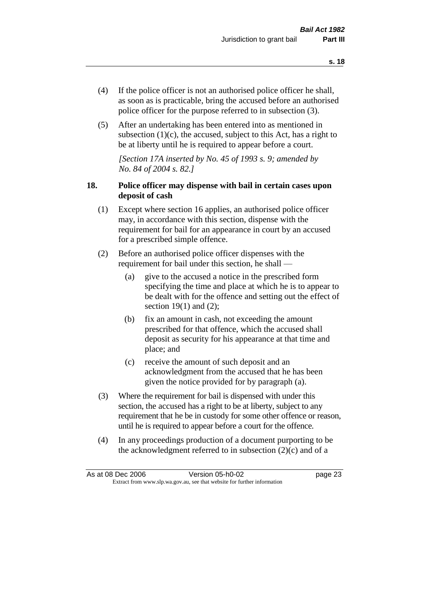- (4) If the police officer is not an authorised police officer he shall, as soon as is practicable, bring the accused before an authorised police officer for the purpose referred to in subsection (3).
- (5) After an undertaking has been entered into as mentioned in subsection  $(1)(c)$ , the accused, subject to this Act, has a right to be at liberty until he is required to appear before a court.

*[Section 17A inserted by No. 45 of 1993 s. 9; amended by No. 84 of 2004 s. 82.]* 

### **18. Police officer may dispense with bail in certain cases upon deposit of cash**

- (1) Except where section 16 applies, an authorised police officer may, in accordance with this section, dispense with the requirement for bail for an appearance in court by an accused for a prescribed simple offence.
- (2) Before an authorised police officer dispenses with the requirement for bail under this section, he shall —
	- (a) give to the accused a notice in the prescribed form specifying the time and place at which he is to appear to be dealt with for the offence and setting out the effect of section  $19(1)$  and  $(2)$ ;
	- (b) fix an amount in cash, not exceeding the amount prescribed for that offence, which the accused shall deposit as security for his appearance at that time and place; and
	- (c) receive the amount of such deposit and an acknowledgment from the accused that he has been given the notice provided for by paragraph (a).
- (3) Where the requirement for bail is dispensed with under this section, the accused has a right to be at liberty, subject to any requirement that he be in custody for some other offence or reason, until he is required to appear before a court for the offence.
- (4) In any proceedings production of a document purporting to be the acknowledgment referred to in subsection  $(2)(c)$  and of a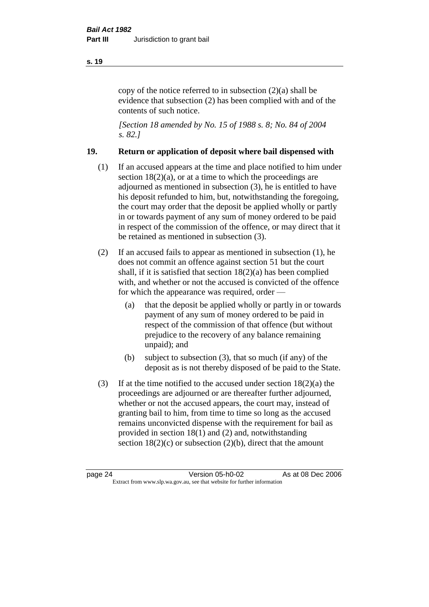copy of the notice referred to in subsection (2)(a) shall be evidence that subsection (2) has been complied with and of the contents of such notice.

*[Section 18 amended by No. 15 of 1988 s. 8; No. 84 of 2004 s. 82.]* 

#### **19. Return or application of deposit where bail dispensed with**

- (1) If an accused appears at the time and place notified to him under section  $18(2)(a)$ , or at a time to which the proceedings are adjourned as mentioned in subsection (3), he is entitled to have his deposit refunded to him, but, notwithstanding the foregoing, the court may order that the deposit be applied wholly or partly in or towards payment of any sum of money ordered to be paid in respect of the commission of the offence, or may direct that it be retained as mentioned in subsection (3).
- (2) If an accused fails to appear as mentioned in subsection (1), he does not commit an offence against section 51 but the court shall, if it is satisfied that section 18(2)(a) has been complied with, and whether or not the accused is convicted of the offence for which the appearance was required, order —
	- (a) that the deposit be applied wholly or partly in or towards payment of any sum of money ordered to be paid in respect of the commission of that offence (but without prejudice to the recovery of any balance remaining unpaid); and
	- (b) subject to subsection (3), that so much (if any) of the deposit as is not thereby disposed of be paid to the State.
- (3) If at the time notified to the accused under section 18(2)(a) the proceedings are adjourned or are thereafter further adjourned, whether or not the accused appears, the court may, instead of granting bail to him, from time to time so long as the accused remains unconvicted dispense with the requirement for bail as provided in section 18(1) and (2) and, notwithstanding section  $18(2)(c)$  or subsection  $(2)(b)$ , direct that the amount

#### **s. 19**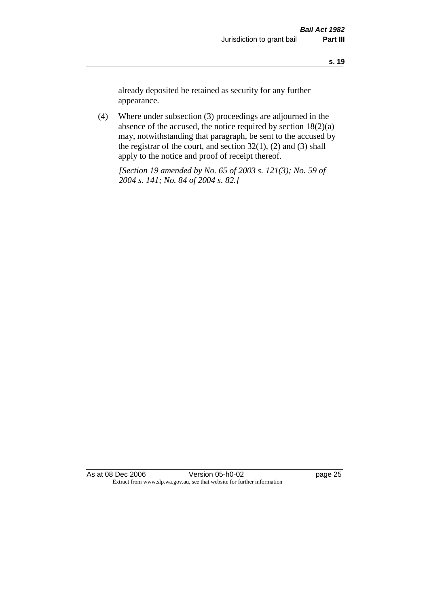already deposited be retained as security for any further appearance.

(4) Where under subsection (3) proceedings are adjourned in the absence of the accused, the notice required by section 18(2)(a) may, notwithstanding that paragraph, be sent to the accused by the registrar of the court, and section  $32(1)$ ,  $(2)$  and  $(3)$  shall apply to the notice and proof of receipt thereof.

*[Section 19 amended by No. 65 of 2003 s. 121(3); No. 59 of 2004 s. 141; No. 84 of 2004 s. 82.]*

As at 08 Dec 2006 Version 05-h0-02 Page 25 Extract from www.slp.wa.gov.au, see that website for further information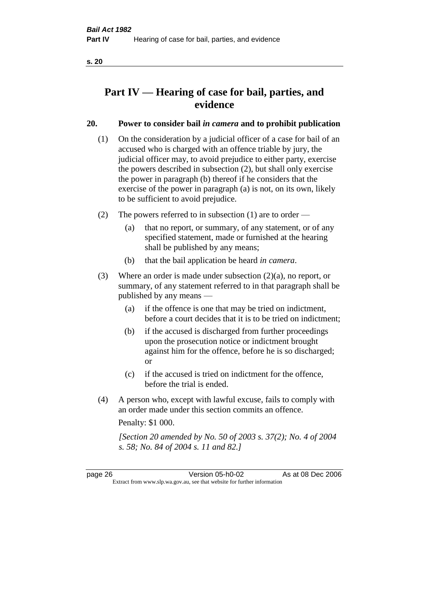# **Part IV — Hearing of case for bail, parties, and evidence**

## **20. Power to consider bail** *in camera* **and to prohibit publication**

- (1) On the consideration by a judicial officer of a case for bail of an accused who is charged with an offence triable by jury, the judicial officer may, to avoid prejudice to either party, exercise the powers described in subsection (2), but shall only exercise the power in paragraph (b) thereof if he considers that the exercise of the power in paragraph (a) is not, on its own, likely to be sufficient to avoid prejudice.
- (2) The powers referred to in subsection (1) are to order
	- (a) that no report, or summary, of any statement, or of any specified statement, made or furnished at the hearing shall be published by any means;
	- (b) that the bail application be heard *in camera*.
- (3) Where an order is made under subsection (2)(a), no report, or summary, of any statement referred to in that paragraph shall be published by any means —
	- (a) if the offence is one that may be tried on indictment, before a court decides that it is to be tried on indictment;
	- (b) if the accused is discharged from further proceedings upon the prosecution notice or indictment brought against him for the offence, before he is so discharged; or
	- (c) if the accused is tried on indictment for the offence, before the trial is ended.
- (4) A person who, except with lawful excuse, fails to comply with an order made under this section commits an offence.

Penalty: \$1 000.

*[Section 20 amended by No. 50 of 2003 s. 37(2); No. 4 of 2004 s. 58; No. 84 of 2004 s. 11 and 82.]*

page 26 Version 05-h0-02 As at 08 Dec 2006 Extract from www.slp.wa.gov.au, see that website for further information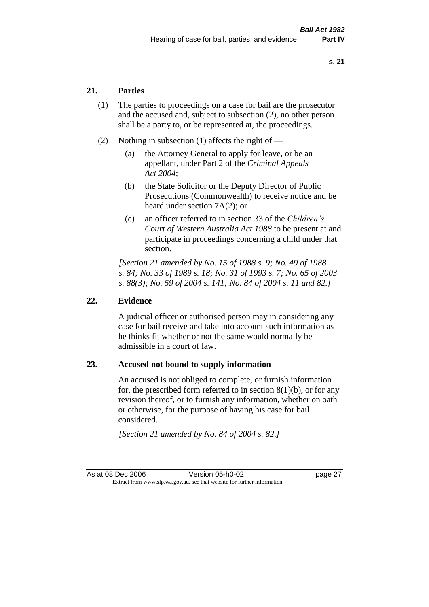### **21. Parties**

- (1) The parties to proceedings on a case for bail are the prosecutor and the accused and, subject to subsection (2), no other person shall be a party to, or be represented at, the proceedings.
- (2) Nothing in subsection (1) affects the right of
	- (a) the Attorney General to apply for leave, or be an appellant, under Part 2 of the *Criminal Appeals Act 2004*;
	- (b) the State Solicitor or the Deputy Director of Public Prosecutions (Commonwealth) to receive notice and be heard under section 7A(2); or
	- (c) an officer referred to in section 33 of the *Children's Court of Western Australia Act 1988* to be present at and participate in proceedings concerning a child under that section.

*[Section 21 amended by No. 15 of 1988 s. 9; No. 49 of 1988 s. 84; No. 33 of 1989 s. 18; No. 31 of 1993 s. 7; No. 65 of 2003 s. 88(3); No. 59 of 2004 s. 141; No. 84 of 2004 s. 11 and 82.]* 

#### **22. Evidence**

A judicial officer or authorised person may in considering any case for bail receive and take into account such information as he thinks fit whether or not the same would normally be admissible in a court of law.

#### **23. Accused not bound to supply information**

An accused is not obliged to complete, or furnish information for, the prescribed form referred to in section  $8(1)(b)$ , or for any revision thereof, or to furnish any information, whether on oath or otherwise, for the purpose of having his case for bail considered.

*[Section 21 amended by No. 84 of 2004 s. 82.]*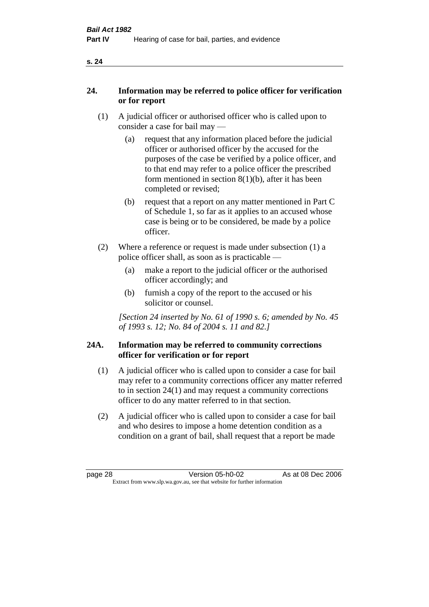| ۰, |  |
|----|--|
|    |  |

#### **24. Information may be referred to police officer for verification or for report**

- (1) A judicial officer or authorised officer who is called upon to consider a case for bail may —
	- (a) request that any information placed before the judicial officer or authorised officer by the accused for the purposes of the case be verified by a police officer, and to that end may refer to a police officer the prescribed form mentioned in section  $8(1)(b)$ , after it has been completed or revised;
	- (b) request that a report on any matter mentioned in Part C of Schedule 1, so far as it applies to an accused whose case is being or to be considered, be made by a police officer.
- (2) Where a reference or request is made under subsection (1) a police officer shall, as soon as is practicable —
	- (a) make a report to the judicial officer or the authorised officer accordingly; and
	- (b) furnish a copy of the report to the accused or his solicitor or counsel.

*[Section 24 inserted by No. 61 of 1990 s. 6; amended by No. 45 of 1993 s. 12; No. 84 of 2004 s. 11 and 82.]* 

#### **24A. Information may be referred to community corrections officer for verification or for report**

- (1) A judicial officer who is called upon to consider a case for bail may refer to a community corrections officer any matter referred to in section 24(1) and may request a community corrections officer to do any matter referred to in that section.
- (2) A judicial officer who is called upon to consider a case for bail and who desires to impose a home detention condition as a condition on a grant of bail, shall request that a report be made

#### **s. 24**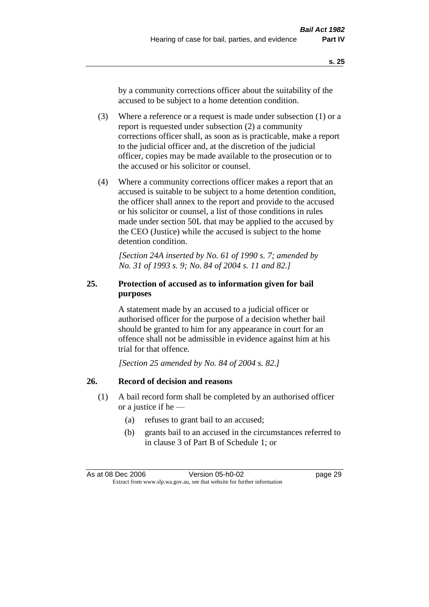by a community corrections officer about the suitability of the accused to be subject to a home detention condition.

- (3) Where a reference or a request is made under subsection (1) or a report is requested under subsection (2) a community corrections officer shall, as soon as is practicable, make a report to the judicial officer and, at the discretion of the judicial officer, copies may be made available to the prosecution or to the accused or his solicitor or counsel.
- (4) Where a community corrections officer makes a report that an accused is suitable to be subject to a home detention condition, the officer shall annex to the report and provide to the accused or his solicitor or counsel, a list of those conditions in rules made under section 50L that may be applied to the accused by the CEO (Justice) while the accused is subject to the home detention condition.

*[Section 24A inserted by No. 61 of 1990 s. 7; amended by No. 31 of 1993 s. 9; No. 84 of 2004 s. 11 and 82.]* 

# **25. Protection of accused as to information given for bail purposes**

A statement made by an accused to a judicial officer or authorised officer for the purpose of a decision whether bail should be granted to him for any appearance in court for an offence shall not be admissible in evidence against him at his trial for that offence.

*[Section 25 amended by No. 84 of 2004 s. 82.]* 

### **26. Record of decision and reasons**

- (1) A bail record form shall be completed by an authorised officer or a justice if he —
	- (a) refuses to grant bail to an accused;
	- (b) grants bail to an accused in the circumstances referred to in clause 3 of Part B of Schedule 1; or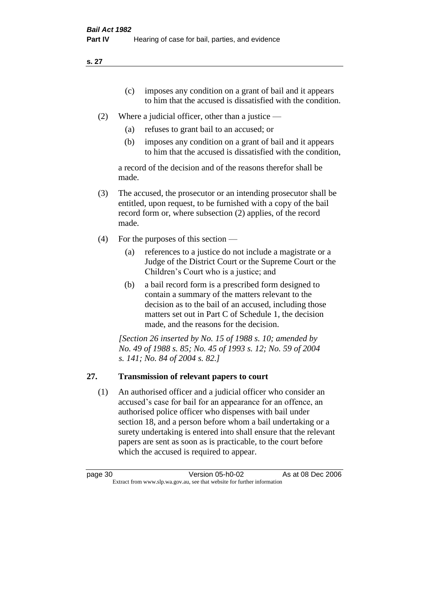**s. 27**

- (c) imposes any condition on a grant of bail and it appears to him that the accused is dissatisfied with the condition.
- (2) Where a judicial officer, other than a justice
	- (a) refuses to grant bail to an accused; or
	- (b) imposes any condition on a grant of bail and it appears to him that the accused is dissatisfied with the condition,

a record of the decision and of the reasons therefor shall be made.

- (3) The accused, the prosecutor or an intending prosecutor shall be entitled, upon request, to be furnished with a copy of the bail record form or, where subsection (2) applies, of the record made.
- (4) For the purposes of this section
	- (a) references to a justice do not include a magistrate or a Judge of the District Court or the Supreme Court or the Children's Court who is a justice; and
	- (b) a bail record form is a prescribed form designed to contain a summary of the matters relevant to the decision as to the bail of an accused, including those matters set out in Part C of Schedule 1, the decision made, and the reasons for the decision.

*[Section 26 inserted by No. 15 of 1988 s. 10; amended by No. 49 of 1988 s. 85; No. 45 of 1993 s. 12; No. 59 of 2004 s. 141; No. 84 of 2004 s. 82.]* 

# **27. Transmission of relevant papers to court**

(1) An authorised officer and a judicial officer who consider an accused's case for bail for an appearance for an offence, an authorised police officer who dispenses with bail under section 18, and a person before whom a bail undertaking or a surety undertaking is entered into shall ensure that the relevant papers are sent as soon as is practicable, to the court before which the accused is required to appear.

| page 30 | Version 05-h0-02                                                         | As at 08 Dec 2006 |
|---------|--------------------------------------------------------------------------|-------------------|
|         | Extract from www.slp.wa.gov.au, see that website for further information |                   |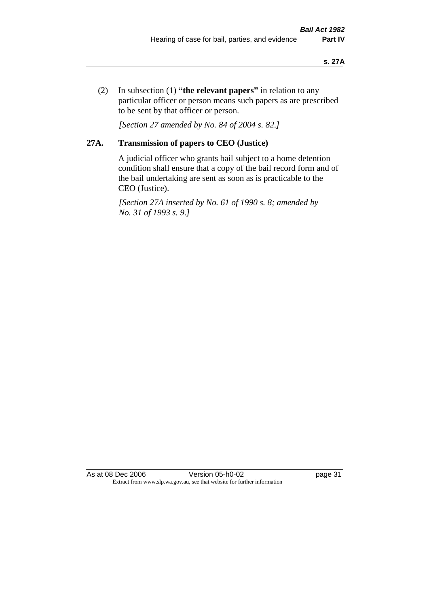(2) In subsection (1) **"the relevant papers"** in relation to any particular officer or person means such papers as are prescribed to be sent by that officer or person.

*[Section 27 amended by No. 84 of 2004 s. 82.]* 

# **27A. Transmission of papers to CEO (Justice)**

A judicial officer who grants bail subject to a home detention condition shall ensure that a copy of the bail record form and of the bail undertaking are sent as soon as is practicable to the CEO (Justice).

*[Section 27A inserted by No. 61 of 1990 s. 8; amended by No. 31 of 1993 s. 9.]* 

As at 08 Dec 2006 Version 05-h0-02 page 31 Extract from www.slp.wa.gov.au, see that website for further information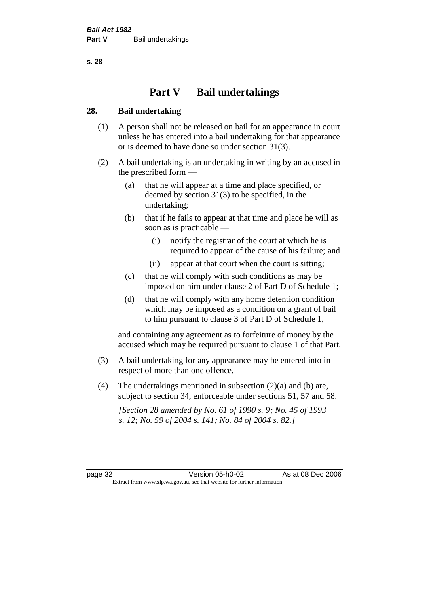**s. 28**

# **Part V — Bail undertakings**

## **28. Bail undertaking**

- (1) A person shall not be released on bail for an appearance in court unless he has entered into a bail undertaking for that appearance or is deemed to have done so under section 31(3).
- (2) A bail undertaking is an undertaking in writing by an accused in the prescribed form —
	- (a) that he will appear at a time and place specified, or deemed by section 31(3) to be specified, in the undertaking;
	- (b) that if he fails to appear at that time and place he will as soon as is practicable —
		- (i) notify the registrar of the court at which he is required to appear of the cause of his failure; and
		- (ii) appear at that court when the court is sitting;
	- (c) that he will comply with such conditions as may be imposed on him under clause 2 of Part D of Schedule 1;
	- (d) that he will comply with any home detention condition which may be imposed as a condition on a grant of bail to him pursuant to clause 3 of Part D of Schedule 1,

and containing any agreement as to forfeiture of money by the accused which may be required pursuant to clause 1 of that Part.

- (3) A bail undertaking for any appearance may be entered into in respect of more than one offence.
- (4) The undertakings mentioned in subsection (2)(a) and (b) are, subject to section 34, enforceable under sections 51, 57 and 58.

*[Section 28 amended by No. 61 of 1990 s. 9; No. 45 of 1993 s. 12; No. 59 of 2004 s. 141; No. 84 of 2004 s. 82.]* 

page 32 Version 05-h0-02 As at 08 Dec 2006 Extract from www.slp.wa.gov.au, see that website for further information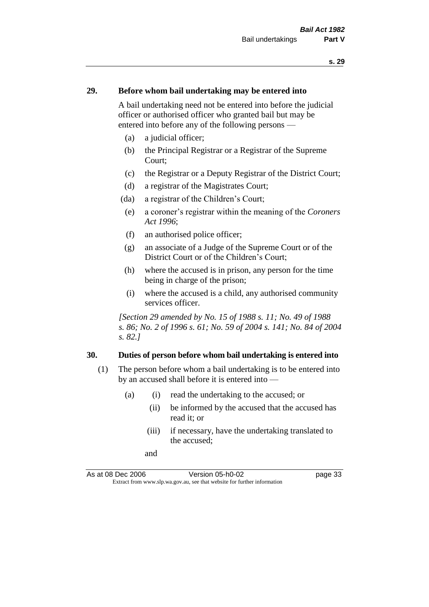#### **29. Before whom bail undertaking may be entered into**

A bail undertaking need not be entered into before the judicial officer or authorised officer who granted bail but may be entered into before any of the following persons —

- (a) a judicial officer;
- (b) the Principal Registrar or a Registrar of the Supreme Court;
- (c) the Registrar or a Deputy Registrar of the District Court;
- (d) a registrar of the Magistrates Court;
- (da) a registrar of the Children's Court;
- (e) a coroner's registrar within the meaning of the *Coroners Act 1996*;
- (f) an authorised police officer;
- (g) an associate of a Judge of the Supreme Court or of the District Court or of the Children's Court;
- (h) where the accused is in prison, any person for the time being in charge of the prison;
- (i) where the accused is a child, any authorised community services officer.

*[Section 29 amended by No. 15 of 1988 s. 11; No. 49 of 1988 s. 86; No. 2 of 1996 s. 61; No. 59 of 2004 s. 141; No. 84 of 2004 s. 82.]* 

#### **30. Duties of person before whom bail undertaking is entered into**

- (1) The person before whom a bail undertaking is to be entered into by an accused shall before it is entered into —
	- (a) (i) read the undertaking to the accused; or
		- (ii) be informed by the accused that the accused has read it; or
		- (iii) if necessary, have the undertaking translated to the accused;
		- and

As at 08 Dec 2006 Version 05-h0-02 page 33 Extract from www.slp.wa.gov.au, see that website for further information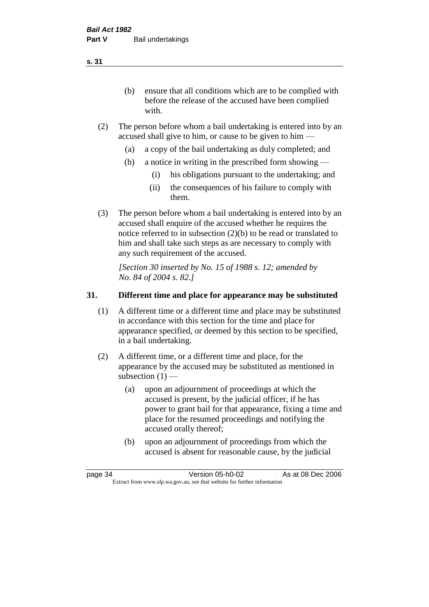(b) ensure that all conditions which are to be complied with before the release of the accused have been complied with.

- (2) The person before whom a bail undertaking is entered into by an accused shall give to him, or cause to be given to him —
	- (a) a copy of the bail undertaking as duly completed; and
	- (b) a notice in writing in the prescribed form showing
		- (i) his obligations pursuant to the undertaking; and
		- (ii) the consequences of his failure to comply with them.
- (3) The person before whom a bail undertaking is entered into by an accused shall enquire of the accused whether he requires the notice referred to in subsection (2)(b) to be read or translated to him and shall take such steps as are necessary to comply with any such requirement of the accused.

*[Section 30 inserted by No. 15 of 1988 s. 12; amended by No. 84 of 2004 s. 82.]* 

# **31. Different time and place for appearance may be substituted**

- (1) A different time or a different time and place may be substituted in accordance with this section for the time and place for appearance specified, or deemed by this section to be specified, in a bail undertaking.
- (2) A different time, or a different time and place, for the appearance by the accused may be substituted as mentioned in subsection  $(1)$  —
	- (a) upon an adjournment of proceedings at which the accused is present, by the judicial officer, if he has power to grant bail for that appearance, fixing a time and place for the resumed proceedings and notifying the accused orally thereof;
	- (b) upon an adjournment of proceedings from which the accused is absent for reasonable cause, by the judicial

page 34 Version 05-h0-02 As at 08 Dec 2006 Extract from www.slp.wa.gov.au, see that website for further information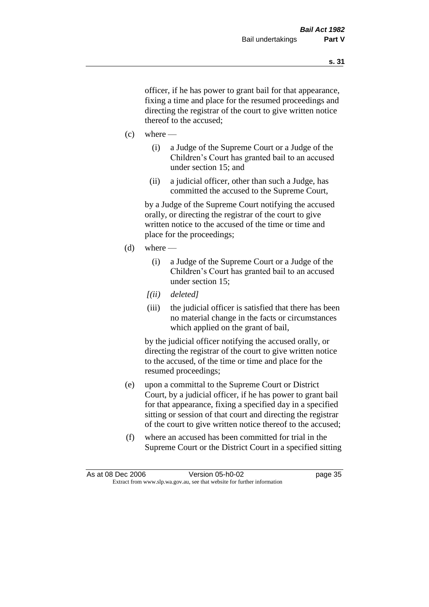officer, if he has power to grant bail for that appearance, fixing a time and place for the resumed proceedings and directing the registrar of the court to give written notice thereof to the accused;

- $(c)$  where
	- (i) a Judge of the Supreme Court or a Judge of the Children's Court has granted bail to an accused under section 15; and
	- (ii) a judicial officer, other than such a Judge, has committed the accused to the Supreme Court,

by a Judge of the Supreme Court notifying the accused orally, or directing the registrar of the court to give written notice to the accused of the time or time and place for the proceedings;

- $(d)$  where
	- (i) a Judge of the Supreme Court or a Judge of the Children's Court has granted bail to an accused under section 15;
	- *[(ii) deleted]*
	- (iii) the judicial officer is satisfied that there has been no material change in the facts or circumstances which applied on the grant of bail,

by the judicial officer notifying the accused orally, or directing the registrar of the court to give written notice to the accused, of the time or time and place for the resumed proceedings;

- (e) upon a committal to the Supreme Court or District Court, by a judicial officer, if he has power to grant bail for that appearance, fixing a specified day in a specified sitting or session of that court and directing the registrar of the court to give written notice thereof to the accused;
- (f) where an accused has been committed for trial in the Supreme Court or the District Court in a specified sitting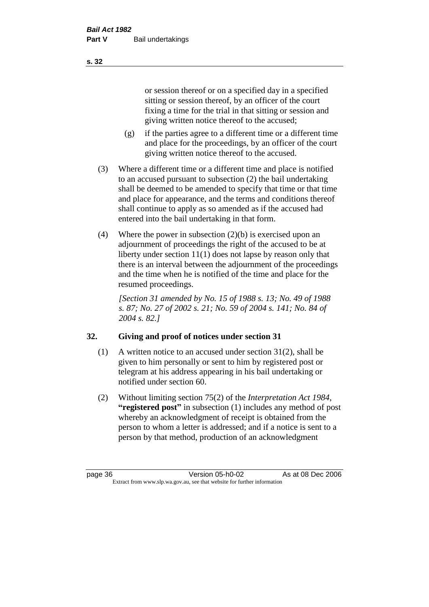or session thereof or on a specified day in a specified sitting or session thereof, by an officer of the court fixing a time for the trial in that sitting or session and giving written notice thereof to the accused;

- (g) if the parties agree to a different time or a different time and place for the proceedings, by an officer of the court giving written notice thereof to the accused.
- (3) Where a different time or a different time and place is notified to an accused pursuant to subsection (2) the bail undertaking shall be deemed to be amended to specify that time or that time and place for appearance, and the terms and conditions thereof shall continue to apply as so amended as if the accused had entered into the bail undertaking in that form.
- (4) Where the power in subsection (2)(b) is exercised upon an adjournment of proceedings the right of the accused to be at liberty under section 11(1) does not lapse by reason only that there is an interval between the adjournment of the proceedings and the time when he is notified of the time and place for the resumed proceedings.

*[Section 31 amended by No. 15 of 1988 s. 13; No. 49 of 1988 s. 87; No. 27 of 2002 s. 21; No. 59 of 2004 s. 141; No. 84 of 2004 s. 82.]* 

# **32. Giving and proof of notices under section 31**

- (1) A written notice to an accused under section 31(2), shall be given to him personally or sent to him by registered post or telegram at his address appearing in his bail undertaking or notified under section 60.
- (2) Without limiting section 75(2) of the *Interpretation Act 1984*, **"registered post"** in subsection (1) includes any method of post whereby an acknowledgment of receipt is obtained from the person to whom a letter is addressed; and if a notice is sent to a person by that method, production of an acknowledgment

**s. 32**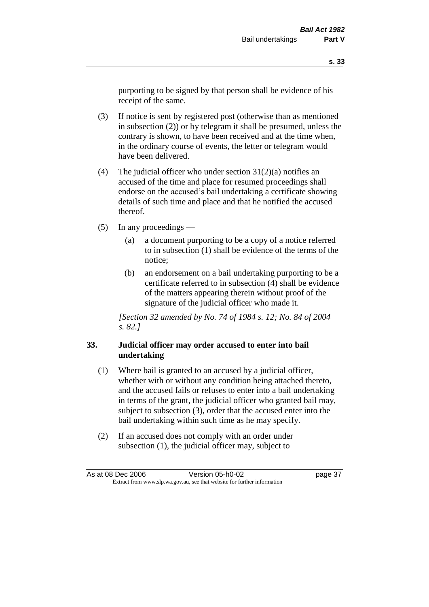purporting to be signed by that person shall be evidence of his receipt of the same.

- (3) If notice is sent by registered post (otherwise than as mentioned in subsection (2)) or by telegram it shall be presumed, unless the contrary is shown, to have been received and at the time when, in the ordinary course of events, the letter or telegram would have been delivered.
- (4) The judicial officer who under section  $31(2)(a)$  notifies an accused of the time and place for resumed proceedings shall endorse on the accused's bail undertaking a certificate showing details of such time and place and that he notified the accused thereof.
- (5) In any proceedings
	- (a) a document purporting to be a copy of a notice referred to in subsection (1) shall be evidence of the terms of the notice;
	- (b) an endorsement on a bail undertaking purporting to be a certificate referred to in subsection (4) shall be evidence of the matters appearing therein without proof of the signature of the judicial officer who made it.

*[Section 32 amended by No. 74 of 1984 s. 12; No. 84 of 2004 s. 82.]* 

## **33. Judicial officer may order accused to enter into bail undertaking**

- (1) Where bail is granted to an accused by a judicial officer, whether with or without any condition being attached thereto, and the accused fails or refuses to enter into a bail undertaking in terms of the grant, the judicial officer who granted bail may, subject to subsection (3), order that the accused enter into the bail undertaking within such time as he may specify.
- (2) If an accused does not comply with an order under subsection (1), the judicial officer may, subject to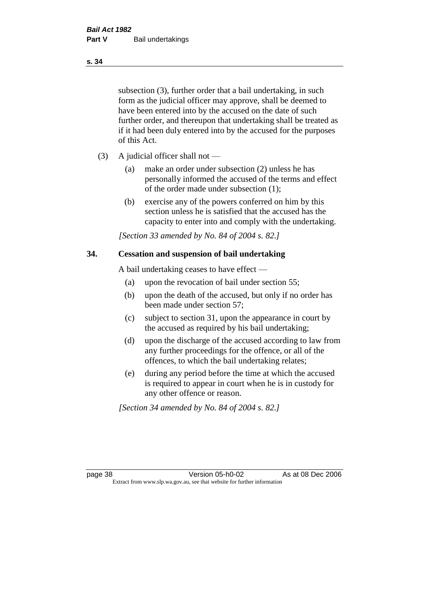subsection (3), further order that a bail undertaking, in such form as the judicial officer may approve, shall be deemed to have been entered into by the accused on the date of such further order, and thereupon that undertaking shall be treated as if it had been duly entered into by the accused for the purposes of this Act.

- (3) A judicial officer shall not
	- (a) make an order under subsection (2) unless he has personally informed the accused of the terms and effect of the order made under subsection (1);
	- (b) exercise any of the powers conferred on him by this section unless he is satisfied that the accused has the capacity to enter into and comply with the undertaking.

*[Section 33 amended by No. 84 of 2004 s. 82.]* 

#### **34. Cessation and suspension of bail undertaking**

A bail undertaking ceases to have effect —

- (a) upon the revocation of bail under section 55;
- (b) upon the death of the accused, but only if no order has been made under section 57;
- (c) subject to section 31, upon the appearance in court by the accused as required by his bail undertaking;
- (d) upon the discharge of the accused according to law from any further proceedings for the offence, or all of the offences, to which the bail undertaking relates;
- (e) during any period before the time at which the accused is required to appear in court when he is in custody for any other offence or reason.

*[Section 34 amended by No. 84 of 2004 s. 82.]* 

page 38 Version 05-h0-02 As at 08 Dec 2006 Extract from www.slp.wa.gov.au, see that website for further information

#### **s. 34**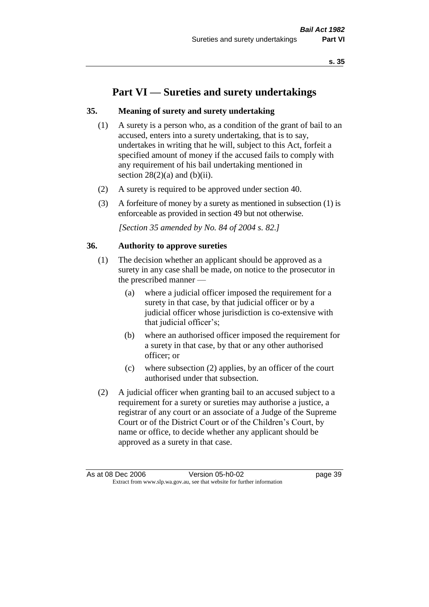# **Part VI — Sureties and surety undertakings**

### **35. Meaning of surety and surety undertaking**

- (1) A surety is a person who, as a condition of the grant of bail to an accused, enters into a surety undertaking, that is to say, undertakes in writing that he will, subject to this Act, forfeit a specified amount of money if the accused fails to comply with any requirement of his bail undertaking mentioned in section  $28(2)(a)$  and  $(b)(ii)$ .
- (2) A surety is required to be approved under section 40.
- (3) A forfeiture of money by a surety as mentioned in subsection (1) is enforceable as provided in section 49 but not otherwise.

*[Section 35 amended by No. 84 of 2004 s. 82.]* 

#### **36. Authority to approve sureties**

- (1) The decision whether an applicant should be approved as a surety in any case shall be made, on notice to the prosecutor in the prescribed manner —
	- (a) where a judicial officer imposed the requirement for a surety in that case, by that judicial officer or by a judicial officer whose jurisdiction is co-extensive with that judicial officer's;
	- (b) where an authorised officer imposed the requirement for a surety in that case, by that or any other authorised officer; or
	- (c) where subsection (2) applies, by an officer of the court authorised under that subsection.
- (2) A judicial officer when granting bail to an accused subject to a requirement for a surety or sureties may authorise a justice, a registrar of any court or an associate of a Judge of the Supreme Court or of the District Court or of the Children's Court, by name or office, to decide whether any applicant should be approved as a surety in that case.

As at 08 Dec 2006 Version 05-h0-02 Page 39 Extract from www.slp.wa.gov.au, see that website for further information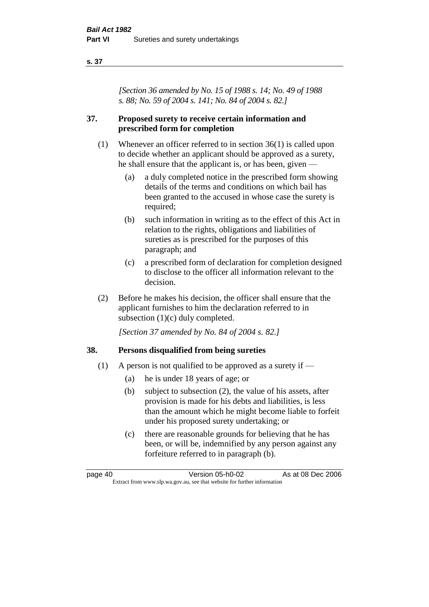#### **s. 37**

*[Section 36 amended by No. 15 of 1988 s. 14; No. 49 of 1988 s. 88; No. 59 of 2004 s. 141; No. 84 of 2004 s. 82.]* 

### **37. Proposed surety to receive certain information and prescribed form for completion**

- (1) Whenever an officer referred to in section 36(1) is called upon to decide whether an applicant should be approved as a surety, he shall ensure that the applicant is, or has been, given —
	- (a) a duly completed notice in the prescribed form showing details of the terms and conditions on which bail has been granted to the accused in whose case the surety is required;
	- (b) such information in writing as to the effect of this Act in relation to the rights, obligations and liabilities of sureties as is prescribed for the purposes of this paragraph; and
	- (c) a prescribed form of declaration for completion designed to disclose to the officer all information relevant to the decision.
- (2) Before he makes his decision, the officer shall ensure that the applicant furnishes to him the declaration referred to in subsection (1)(c) duly completed.

*[Section 37 amended by No. 84 of 2004 s. 82.]* 

### **38. Persons disqualified from being sureties**

- (1) A person is not qualified to be approved as a surety if  $-$ 
	- (a) he is under 18 years of age; or
	- (b) subject to subsection (2), the value of his assets, after provision is made for his debts and liabilities, is less than the amount which he might become liable to forfeit under his proposed surety undertaking; or
	- (c) there are reasonable grounds for believing that he has been, or will be, indemnified by any person against any forfeiture referred to in paragraph (b).

page 40 Version 05-h0-02 As at 08 Dec 2006 Extract from www.slp.wa.gov.au, see that website for further information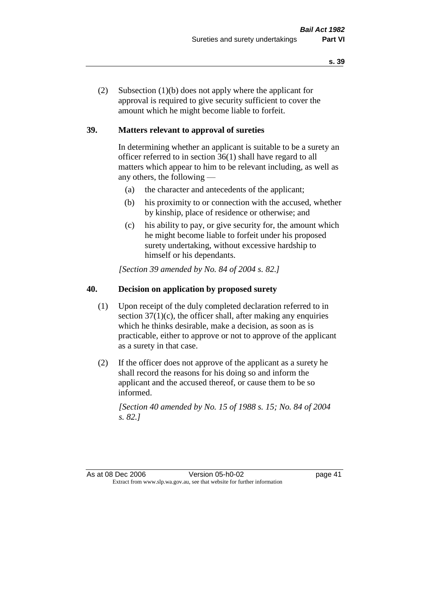(2) Subsection (1)(b) does not apply where the applicant for approval is required to give security sufficient to cover the amount which he might become liable to forfeit.

## **39. Matters relevant to approval of sureties**

In determining whether an applicant is suitable to be a surety an officer referred to in section 36(1) shall have regard to all matters which appear to him to be relevant including, as well as any others, the following —

- (a) the character and antecedents of the applicant;
- (b) his proximity to or connection with the accused, whether by kinship, place of residence or otherwise; and
- (c) his ability to pay, or give security for, the amount which he might become liable to forfeit under his proposed surety undertaking, without excessive hardship to himself or his dependants.

*[Section 39 amended by No. 84 of 2004 s. 82.]* 

# **40. Decision on application by proposed surety**

- (1) Upon receipt of the duly completed declaration referred to in section  $37(1)(c)$ , the officer shall, after making any enquiries which he thinks desirable, make a decision, as soon as is practicable, either to approve or not to approve of the applicant as a surety in that case.
- (2) If the officer does not approve of the applicant as a surety he shall record the reasons for his doing so and inform the applicant and the accused thereof, or cause them to be so informed.

*[Section 40 amended by No. 15 of 1988 s. 15; No. 84 of 2004 s. 82.]* 

As at 08 Dec 2006 Version 05-h0-02 page 41 Extract from www.slp.wa.gov.au, see that website for further information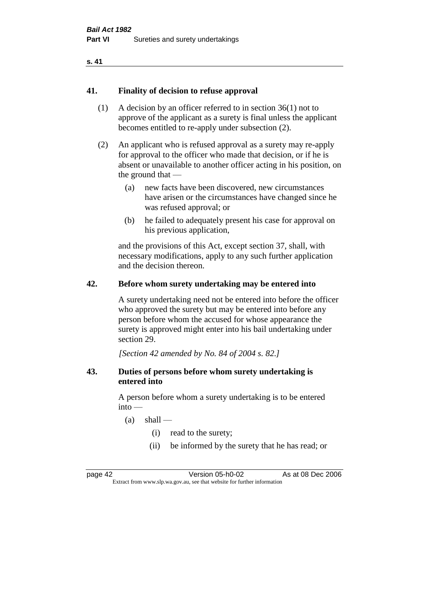#### **s. 41**

#### **41. Finality of decision to refuse approval**

- (1) A decision by an officer referred to in section 36(1) not to approve of the applicant as a surety is final unless the applicant becomes entitled to re-apply under subsection (2).
- (2) An applicant who is refused approval as a surety may re-apply for approval to the officer who made that decision, or if he is absent or unavailable to another officer acting in his position, on the ground that —
	- (a) new facts have been discovered, new circumstances have arisen or the circumstances have changed since he was refused approval; or
	- (b) he failed to adequately present his case for approval on his previous application,

and the provisions of this Act, except section 37, shall, with necessary modifications, apply to any such further application and the decision thereon.

#### **42. Before whom surety undertaking may be entered into**

A surety undertaking need not be entered into before the officer who approved the surety but may be entered into before any person before whom the accused for whose appearance the surety is approved might enter into his bail undertaking under section 29.

*[Section 42 amended by No. 84 of 2004 s. 82.]* 

#### **43. Duties of persons before whom surety undertaking is entered into**

A person before whom a surety undertaking is to be entered into —

- $(a)$  shall
	- (i) read to the surety;
	- (ii) be informed by the surety that he has read; or

page 42 Version 05-h0-02 As at 08 Dec 2006 Extract from www.slp.wa.gov.au, see that website for further information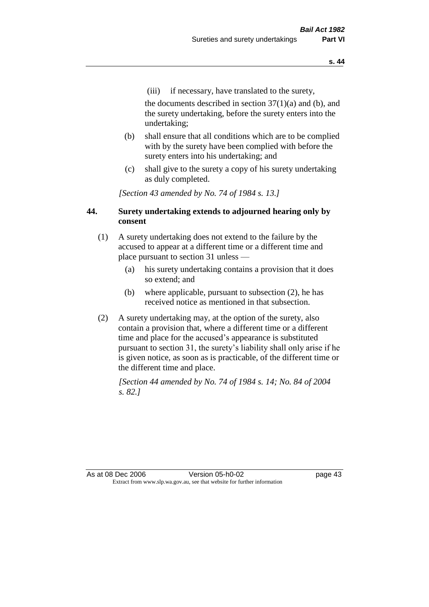(iii) if necessary, have translated to the surety,

the documents described in section  $37(1)(a)$  and (b), and the surety undertaking, before the surety enters into the undertaking;

- (b) shall ensure that all conditions which are to be complied with by the surety have been complied with before the surety enters into his undertaking; and
- (c) shall give to the surety a copy of his surety undertaking as duly completed.

*[Section 43 amended by No. 74 of 1984 s. 13.]* 

## **44. Surety undertaking extends to adjourned hearing only by consent**

- (1) A surety undertaking does not extend to the failure by the accused to appear at a different time or a different time and place pursuant to section 31 unless —
	- (a) his surety undertaking contains a provision that it does so extend; and
	- (b) where applicable, pursuant to subsection (2), he has received notice as mentioned in that subsection.
- (2) A surety undertaking may, at the option of the surety, also contain a provision that, where a different time or a different time and place for the accused's appearance is substituted pursuant to section 31, the surety's liability shall only arise if he is given notice, as soon as is practicable, of the different time or the different time and place.

*[Section 44 amended by No. 74 of 1984 s. 14; No. 84 of 2004 s. 82.]* 

As at 08 Dec 2006 Version 05-h0-02 page 43 Extract from www.slp.wa.gov.au, see that website for further information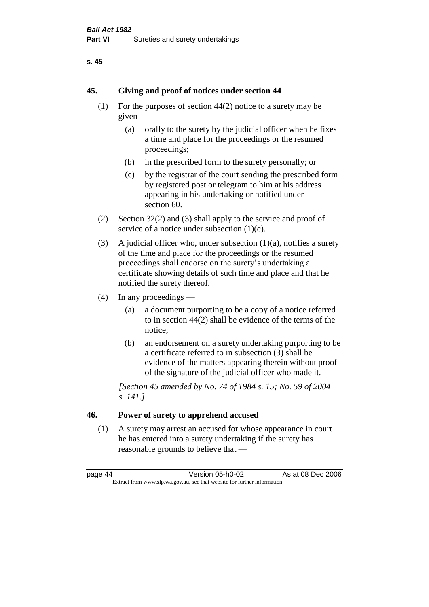#### **s. 45**

#### **45. Giving and proof of notices under section 44**

- (1) For the purposes of section 44(2) notice to a surety may be given —
	- (a) orally to the surety by the judicial officer when he fixes a time and place for the proceedings or the resumed proceedings;
	- (b) in the prescribed form to the surety personally; or
	- (c) by the registrar of the court sending the prescribed form by registered post or telegram to him at his address appearing in his undertaking or notified under section 60.
- (2) Section 32(2) and (3) shall apply to the service and proof of service of a notice under subsection  $(1)(c)$ .
- (3) A judicial officer who, under subsection  $(1)(a)$ , notifies a surety of the time and place for the proceedings or the resumed proceedings shall endorse on the surety's undertaking a certificate showing details of such time and place and that he notified the surety thereof.
- (4) In any proceedings
	- (a) a document purporting to be a copy of a notice referred to in section 44(2) shall be evidence of the terms of the notice;
	- (b) an endorsement on a surety undertaking purporting to be a certificate referred to in subsection (3) shall be evidence of the matters appearing therein without proof of the signature of the judicial officer who made it.

*[Section 45 amended by No. 74 of 1984 s. 15; No. 59 of 2004 s. 141.]* 

# **46. Power of surety to apprehend accused**

(1) A surety may arrest an accused for whose appearance in court he has entered into a surety undertaking if the surety has reasonable grounds to believe that —

page 44 Version 05-h0-02 As at 08 Dec 2006 Extract from www.slp.wa.gov.au, see that website for further information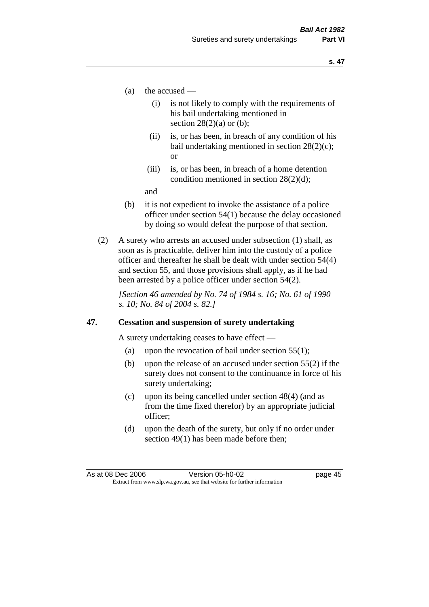- (a) the accused
	- (i) is not likely to comply with the requirements of his bail undertaking mentioned in section  $28(2)(a)$  or (b):
	- (ii) is, or has been, in breach of any condition of his bail undertaking mentioned in section 28(2)(c); or
	- (iii) is, or has been, in breach of a home detention condition mentioned in section 28(2)(d);

and

- (b) it is not expedient to invoke the assistance of a police officer under section 54(1) because the delay occasioned by doing so would defeat the purpose of that section.
- (2) A surety who arrests an accused under subsection (1) shall, as soon as is practicable, deliver him into the custody of a police officer and thereafter he shall be dealt with under section 54(4) and section 55, and those provisions shall apply, as if he had been arrested by a police officer under section 54(2).

*[Section 46 amended by No. 74 of 1984 s. 16; No. 61 of 1990 s. 10; No. 84 of 2004 s. 82.]* 

#### **47. Cessation and suspension of surety undertaking**

A surety undertaking ceases to have effect —

- (a) upon the revocation of bail under section  $55(1)$ ;
- (b) upon the release of an accused under section 55(2) if the surety does not consent to the continuance in force of his surety undertaking;
- (c) upon its being cancelled under section 48(4) (and as from the time fixed therefor) by an appropriate judicial officer;
- (d) upon the death of the surety, but only if no order under section 49(1) has been made before then;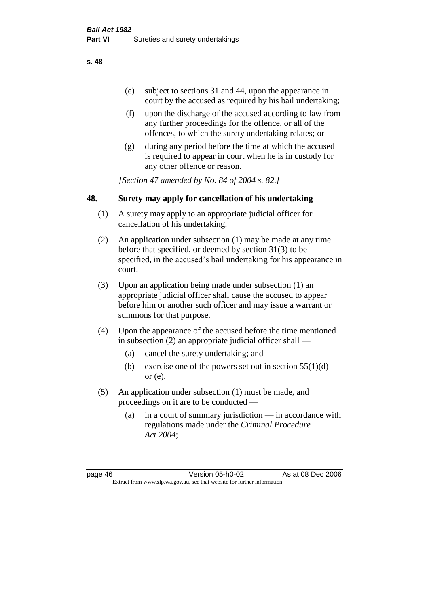- (e) subject to sections 31 and 44, upon the appearance in court by the accused as required by his bail undertaking;
- (f) upon the discharge of the accused according to law from any further proceedings for the offence, or all of the offences, to which the surety undertaking relates; or
- (g) during any period before the time at which the accused is required to appear in court when he is in custody for any other offence or reason.

*[Section 47 amended by No. 84 of 2004 s. 82.]* 

## **48. Surety may apply for cancellation of his undertaking**

- (1) A surety may apply to an appropriate judicial officer for cancellation of his undertaking.
- (2) An application under subsection (1) may be made at any time before that specified, or deemed by section 31(3) to be specified, in the accused's bail undertaking for his appearance in court.
- (3) Upon an application being made under subsection (1) an appropriate judicial officer shall cause the accused to appear before him or another such officer and may issue a warrant or summons for that purpose.
- (4) Upon the appearance of the accused before the time mentioned in subsection (2) an appropriate judicial officer shall —
	- (a) cancel the surety undertaking; and
	- (b) exercise one of the powers set out in section  $55(1)(d)$ or (e).
- (5) An application under subsection (1) must be made, and proceedings on it are to be conducted —
	- (a) in a court of summary jurisdiction in accordance with regulations made under the *Criminal Procedure Act 2004*;

page 46 Version 05-h0-02 As at 08 Dec 2006 Extract from www.slp.wa.gov.au, see that website for further information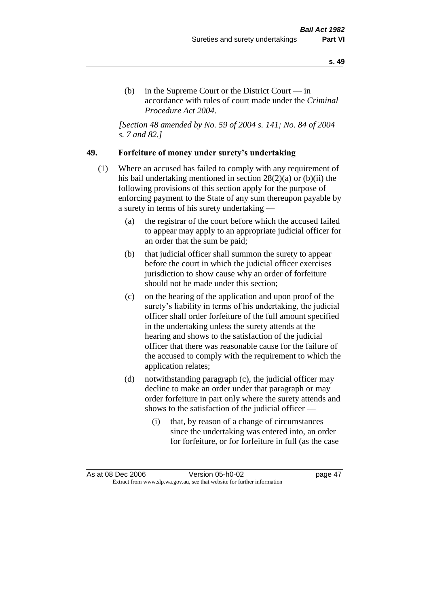(b) in the Supreme Court or the District Court  $-\text{in}$ accordance with rules of court made under the *Criminal Procedure Act 2004*.

*[Section 48 amended by No. 59 of 2004 s. 141; No. 84 of 2004 s. 7 and 82.]* 

#### **49. Forfeiture of money under surety's undertaking**

- (1) Where an accused has failed to comply with any requirement of his bail undertaking mentioned in section 28(2)(a) or (b)(ii) the following provisions of this section apply for the purpose of enforcing payment to the State of any sum thereupon payable by a surety in terms of his surety undertaking —
	- (a) the registrar of the court before which the accused failed to appear may apply to an appropriate judicial officer for an order that the sum be paid;
	- (b) that judicial officer shall summon the surety to appear before the court in which the judicial officer exercises jurisdiction to show cause why an order of forfeiture should not be made under this section;
	- (c) on the hearing of the application and upon proof of the surety's liability in terms of his undertaking, the judicial officer shall order forfeiture of the full amount specified in the undertaking unless the surety attends at the hearing and shows to the satisfaction of the judicial officer that there was reasonable cause for the failure of the accused to comply with the requirement to which the application relates;
	- (d) notwithstanding paragraph (c), the judicial officer may decline to make an order under that paragraph or may order forfeiture in part only where the surety attends and shows to the satisfaction of the judicial officer —
		- (i) that, by reason of a change of circumstances since the undertaking was entered into, an order for forfeiture, or for forfeiture in full (as the case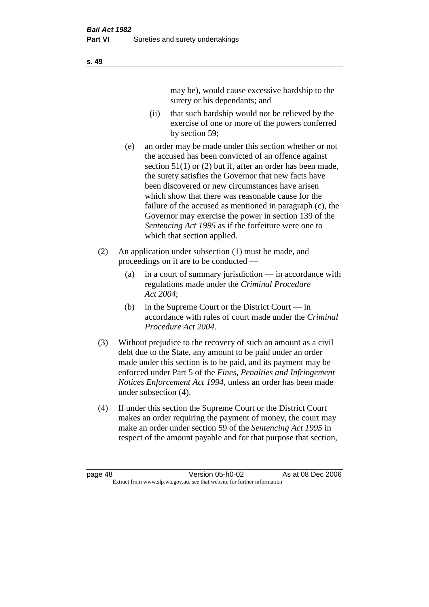may be), would cause excessive hardship to the surety or his dependants; and

- (ii) that such hardship would not be relieved by the exercise of one or more of the powers conferred by section 59;
- (e) an order may be made under this section whether or not the accused has been convicted of an offence against section 51(1) or (2) but if, after an order has been made, the surety satisfies the Governor that new facts have been discovered or new circumstances have arisen which show that there was reasonable cause for the failure of the accused as mentioned in paragraph (c), the Governor may exercise the power in section 139 of the *Sentencing Act 1995* as if the forfeiture were one to which that section applied.
- (2) An application under subsection (1) must be made, and proceedings on it are to be conducted —
	- (a) in a court of summary jurisdiction in accordance with regulations made under the *Criminal Procedure Act 2004*;
	- (b) in the Supreme Court or the District Court  $-\text{in}$ accordance with rules of court made under the *Criminal Procedure Act 2004*.
- (3) Without prejudice to the recovery of such an amount as a civil debt due to the State, any amount to be paid under an order made under this section is to be paid, and its payment may be enforced under Part 5 of the *Fines, Penalties and Infringement Notices Enforcement Act 1994*, unless an order has been made under subsection (4).
- (4) If under this section the Supreme Court or the District Court makes an order requiring the payment of money, the court may make an order under section 59 of the *Sentencing Act 1995* in respect of the amount payable and for that purpose that section,

page 48 Version 05-h0-02 As at 08 Dec 2006 Extract from www.slp.wa.gov.au, see that website for further information

**s. 49**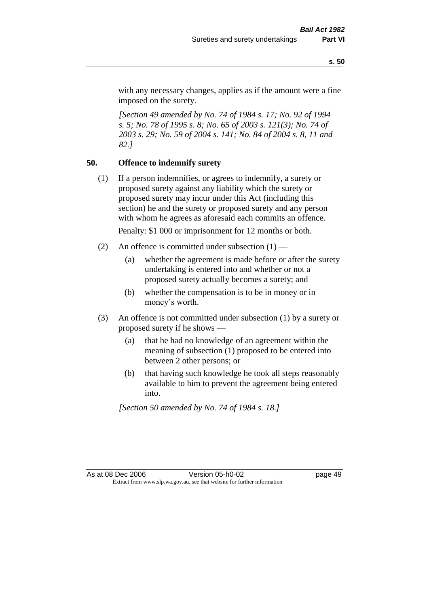with any necessary changes, applies as if the amount were a fine imposed on the surety.

*[Section 49 amended by No. 74 of 1984 s. 17; No. 92 of 1994 s. 5; No. 78 of 1995 s. 8; No. 65 of 2003 s. 121(3); No. 74 of 2003 s. 29; No. 59 of 2004 s. 141; No. 84 of 2004 s. 8, 11 and 82.]* 

## **50. Offence to indemnify surety**

(1) If a person indemnifies, or agrees to indemnify, a surety or proposed surety against any liability which the surety or proposed surety may incur under this Act (including this section) he and the surety or proposed surety and any person with whom he agrees as aforesaid each commits an offence.

Penalty: \$1 000 or imprisonment for 12 months or both.

- (2) An offence is committed under subsection  $(1)$ 
	- (a) whether the agreement is made before or after the surety undertaking is entered into and whether or not a proposed surety actually becomes a surety; and
	- (b) whether the compensation is to be in money or in money's worth.
- (3) An offence is not committed under subsection (1) by a surety or proposed surety if he shows —
	- (a) that he had no knowledge of an agreement within the meaning of subsection (1) proposed to be entered into between 2 other persons; or
	- (b) that having such knowledge he took all steps reasonably available to him to prevent the agreement being entered into.

*[Section 50 amended by No. 74 of 1984 s. 18.]*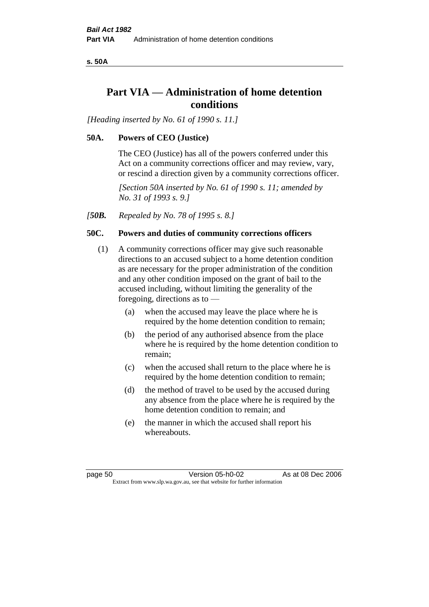**s. 50A**

# **Part VIA — Administration of home detention conditions**

*[Heading inserted by No. 61 of 1990 s. 11.]* 

# **50A. Powers of CEO (Justice)**

The CEO (Justice) has all of the powers conferred under this Act on a community corrections officer and may review, vary, or rescind a direction given by a community corrections officer.

*[Section 50A inserted by No. 61 of 1990 s. 11; amended by No. 31 of 1993 s. 9.]* 

*[50B. Repealed by No. 78 of 1995 s. 8.]* 

### **50C. Powers and duties of community corrections officers**

- (1) A community corrections officer may give such reasonable directions to an accused subject to a home detention condition as are necessary for the proper administration of the condition and any other condition imposed on the grant of bail to the accused including, without limiting the generality of the foregoing, directions as to —
	- (a) when the accused may leave the place where he is required by the home detention condition to remain;
	- (b) the period of any authorised absence from the place where he is required by the home detention condition to remain;
	- (c) when the accused shall return to the place where he is required by the home detention condition to remain;
	- (d) the method of travel to be used by the accused during any absence from the place where he is required by the home detention condition to remain; and
	- (e) the manner in which the accused shall report his whereabouts.

page 50 Version 05-h0-02 As at 08 Dec 2006 Extract from www.slp.wa.gov.au, see that website for further information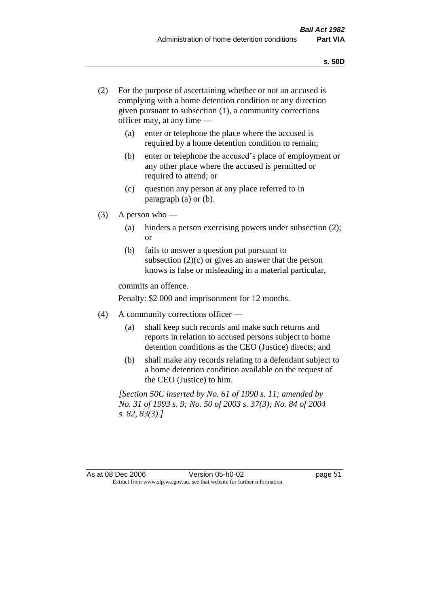- (2) For the purpose of ascertaining whether or not an accused is complying with a home detention condition or any direction given pursuant to subsection (1), a community corrections officer may, at any time —
	- (a) enter or telephone the place where the accused is required by a home detention condition to remain;
	- (b) enter or telephone the accused's place of employment or any other place where the accused is permitted or required to attend; or
	- (c) question any person at any place referred to in paragraph (a) or (b).
- $(3)$  A person who
	- (a) hinders a person exercising powers under subsection (2); or
	- (b) fails to answer a question put pursuant to subsection  $(2)(c)$  or gives an answer that the person knows is false or misleading in a material particular,

commits an offence.

Penalty: \$2 000 and imprisonment for 12 months.

- (4) A community corrections officer
	- (a) shall keep such records and make such returns and reports in relation to accused persons subject to home detention conditions as the CEO (Justice) directs; and
	- (b) shall make any records relating to a defendant subject to a home detention condition available on the request of the CEO (Justice) to him.

*[Section 50C inserted by No. 61 of 1990 s. 11; amended by No. 31 of 1993 s. 9; No. 50 of 2003 s. 37(3); No. 84 of 2004 s. 82, 83(3).]*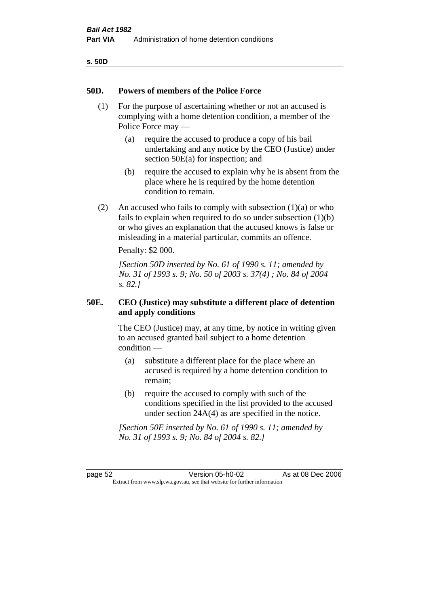| v<br>۰.<br>۰,<br>× |
|--------------------|
|--------------------|

#### **50D. Powers of members of the Police Force**

- (1) For the purpose of ascertaining whether or not an accused is complying with a home detention condition, a member of the Police Force may —
	- (a) require the accused to produce a copy of his bail undertaking and any notice by the CEO (Justice) under section 50E(a) for inspection; and
	- (b) require the accused to explain why he is absent from the place where he is required by the home detention condition to remain.
- (2) An accused who fails to comply with subsection  $(1)(a)$  or who fails to explain when required to do so under subsection (1)(b) or who gives an explanation that the accused knows is false or misleading in a material particular, commits an offence.

Penalty: \$2 000.

*[Section 50D inserted by No. 61 of 1990 s. 11; amended by No. 31 of 1993 s. 9; No. 50 of 2003 s. 37(4) ; No. 84 of 2004 s. 82.]* 

# **50E. CEO (Justice) may substitute a different place of detention and apply conditions**

The CEO (Justice) may, at any time, by notice in writing given to an accused granted bail subject to a home detention condition —

- (a) substitute a different place for the place where an accused is required by a home detention condition to remain;
- (b) require the accused to comply with such of the conditions specified in the list provided to the accused under section 24A(4) as are specified in the notice.

*[Section 50E inserted by No. 61 of 1990 s. 11; amended by No. 31 of 1993 s. 9; No. 84 of 2004 s. 82.]* 

page 52 Version 05-h0-02 As at 08 Dec 2006 Extract from www.slp.wa.gov.au, see that website for further information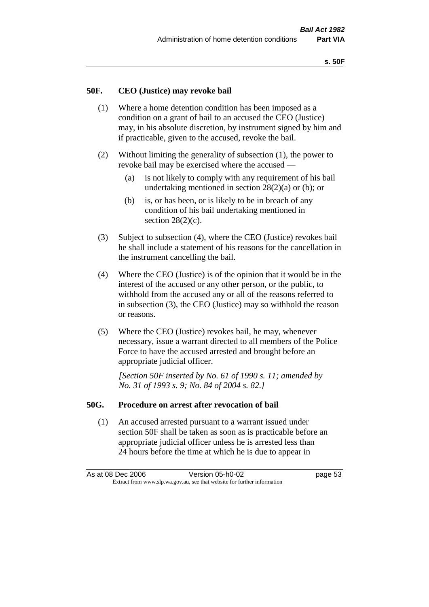#### **50F. CEO (Justice) may revoke bail**

- (1) Where a home detention condition has been imposed as a condition on a grant of bail to an accused the CEO (Justice) may, in his absolute discretion, by instrument signed by him and if practicable, given to the accused, revoke the bail.
- (2) Without limiting the generality of subsection (1), the power to revoke bail may be exercised where the accused —
	- (a) is not likely to comply with any requirement of his bail undertaking mentioned in section  $28(2)(a)$  or (b); or
	- (b) is, or has been, or is likely to be in breach of any condition of his bail undertaking mentioned in section  $28(2)(c)$ .
- (3) Subject to subsection (4), where the CEO (Justice) revokes bail he shall include a statement of his reasons for the cancellation in the instrument cancelling the bail.
- (4) Where the CEO (Justice) is of the opinion that it would be in the interest of the accused or any other person, or the public, to withhold from the accused any or all of the reasons referred to in subsection (3), the CEO (Justice) may so withhold the reason or reasons.
- (5) Where the CEO (Justice) revokes bail, he may, whenever necessary, issue a warrant directed to all members of the Police Force to have the accused arrested and brought before an appropriate judicial officer.

*[Section 50F inserted by No. 61 of 1990 s. 11; amended by No. 31 of 1993 s. 9; No. 84 of 2004 s. 82.]* 

#### **50G. Procedure on arrest after revocation of bail**

(1) An accused arrested pursuant to a warrant issued under section 50F shall be taken as soon as is practicable before an appropriate judicial officer unless he is arrested less than 24 hours before the time at which he is due to appear in

As at 08 Dec 2006 Version 05-h0-02 Page 53 Extract from www.slp.wa.gov.au, see that website for further information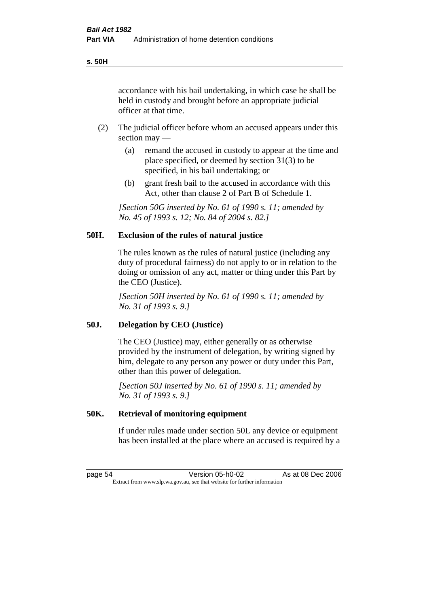accordance with his bail undertaking, in which case he shall be held in custody and brought before an appropriate judicial officer at that time.

- (2) The judicial officer before whom an accused appears under this section may —
	- (a) remand the accused in custody to appear at the time and place specified, or deemed by section 31(3) to be specified, in his bail undertaking; or
	- (b) grant fresh bail to the accused in accordance with this Act, other than clause 2 of Part B of Schedule 1.

*[Section 50G inserted by No. 61 of 1990 s. 11; amended by No. 45 of 1993 s. 12; No. 84 of 2004 s. 82.]* 

# **50H. Exclusion of the rules of natural justice**

The rules known as the rules of natural justice (including any duty of procedural fairness) do not apply to or in relation to the doing or omission of any act, matter or thing under this Part by the CEO (Justice).

*[Section 50H inserted by No. 61 of 1990 s. 11; amended by No. 31 of 1993 s. 9.]* 

#### **50J. Delegation by CEO (Justice)**

The CEO (Justice) may, either generally or as otherwise provided by the instrument of delegation, by writing signed by him, delegate to any person any power or duty under this Part, other than this power of delegation.

*[Section 50J inserted by No. 61 of 1990 s. 11; amended by No. 31 of 1993 s. 9.]* 

#### **50K. Retrieval of monitoring equipment**

If under rules made under section 50L any device or equipment has been installed at the place where an accused is required by a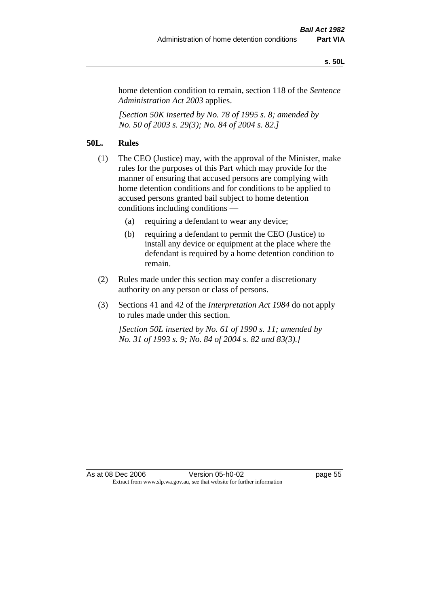#### **s. 50L**

home detention condition to remain, section 118 of the *Sentence Administration Act 2003* applies.

*[Section 50K inserted by No. 78 of 1995 s. 8; amended by No. 50 of 2003 s. 29(3); No. 84 of 2004 s. 82.]* 

# **50L. Rules**

- (1) The CEO (Justice) may, with the approval of the Minister, make rules for the purposes of this Part which may provide for the manner of ensuring that accused persons are complying with home detention conditions and for conditions to be applied to accused persons granted bail subject to home detention conditions including conditions —
	- (a) requiring a defendant to wear any device;
	- (b) requiring a defendant to permit the CEO (Justice) to install any device or equipment at the place where the defendant is required by a home detention condition to remain.
- (2) Rules made under this section may confer a discretionary authority on any person or class of persons.
- (3) Sections 41 and 42 of the *Interpretation Act 1984* do not apply to rules made under this section.

*[Section 50L inserted by No. 61 of 1990 s. 11; amended by No. 31 of 1993 s. 9; No. 84 of 2004 s. 82 and 83(3).]*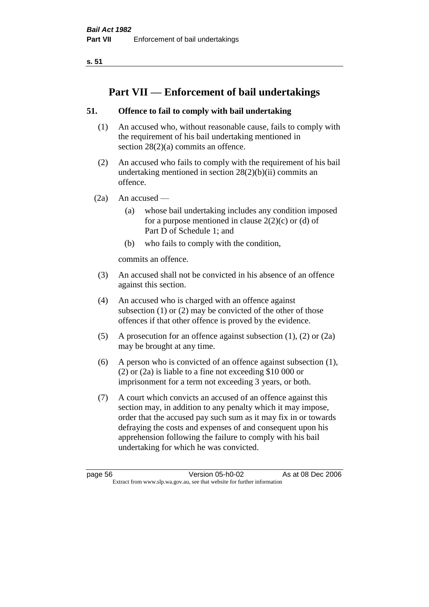**s. 51**

# **Part VII — Enforcement of bail undertakings**

# **51. Offence to fail to comply with bail undertaking**

- (1) An accused who, without reasonable cause, fails to comply with the requirement of his bail undertaking mentioned in section 28(2)(a) commits an offence.
- (2) An accused who fails to comply with the requirement of his bail undertaking mentioned in section  $28(2)(b)(ii)$  commits an offence.
- $(2a)$  An accused
	- (a) whose bail undertaking includes any condition imposed for a purpose mentioned in clause  $2(2)(c)$  or (d) of Part D of Schedule 1; and
	- (b) who fails to comply with the condition,

commits an offence.

- (3) An accused shall not be convicted in his absence of an offence against this section.
- (4) An accused who is charged with an offence against subsection (1) or (2) may be convicted of the other of those offences if that other offence is proved by the evidence.
- (5) A prosecution for an offence against subsection (1), (2) or (2a) may be brought at any time.
- (6) A person who is convicted of an offence against subsection (1), (2) or (2a) is liable to a fine not exceeding \$10 000 or imprisonment for a term not exceeding 3 years, or both.
- (7) A court which convicts an accused of an offence against this section may, in addition to any penalty which it may impose, order that the accused pay such sum as it may fix in or towards defraying the costs and expenses of and consequent upon his apprehension following the failure to comply with his bail undertaking for which he was convicted.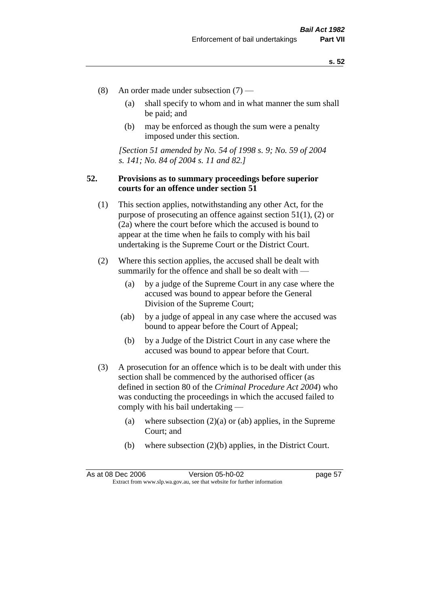- (8) An order made under subsection (7)
	- (a) shall specify to whom and in what manner the sum shall be paid; and
	- (b) may be enforced as though the sum were a penalty imposed under this section.

*[Section 51 amended by No. 54 of 1998 s. 9; No. 59 of 2004 s. 141; No. 84 of 2004 s. 11 and 82.]*

### **52. Provisions as to summary proceedings before superior courts for an offence under section 51**

- (1) This section applies, notwithstanding any other Act, for the purpose of prosecuting an offence against section 51(1), (2) or (2a) where the court before which the accused is bound to appear at the time when he fails to comply with his bail undertaking is the Supreme Court or the District Court.
- (2) Where this section applies, the accused shall be dealt with summarily for the offence and shall be so dealt with —
	- (a) by a judge of the Supreme Court in any case where the accused was bound to appear before the General Division of the Supreme Court;
	- (ab) by a judge of appeal in any case where the accused was bound to appear before the Court of Appeal;
	- (b) by a Judge of the District Court in any case where the accused was bound to appear before that Court.
- (3) A prosecution for an offence which is to be dealt with under this section shall be commenced by the authorised officer (as defined in section 80 of the *Criminal Procedure Act 2004*) who was conducting the proceedings in which the accused failed to comply with his bail undertaking —
	- (a) where subsection  $(2)(a)$  or (ab) applies, in the Supreme Court; and
	- (b) where subsection (2)(b) applies, in the District Court.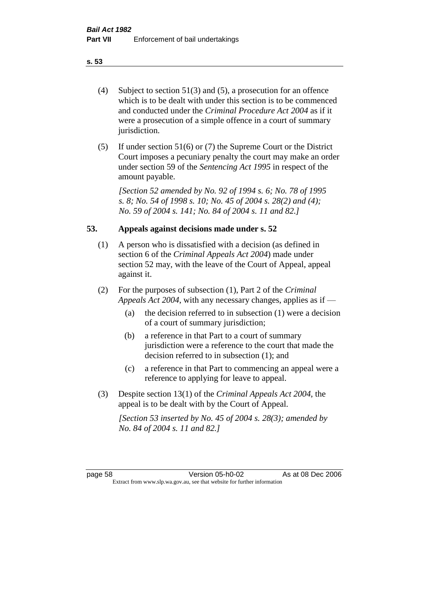- (4) Subject to section 51(3) and (5), a prosecution for an offence which is to be dealt with under this section is to be commenced and conducted under the *Criminal Procedure Act 2004* as if it were a prosecution of a simple offence in a court of summary jurisdiction.
- (5) If under section 51(6) or (7) the Supreme Court or the District Court imposes a pecuniary penalty the court may make an order under section 59 of the *Sentencing Act 1995* in respect of the amount payable.

*[Section 52 amended by No. 92 of 1994 s. 6; No. 78 of 1995 s. 8; No. 54 of 1998 s. 10; No. 45 of 2004 s. 28(2) and (4); No. 59 of 2004 s. 141; No. 84 of 2004 s. 11 and 82.]* 

### **53. Appeals against decisions made under s. 52**

- (1) A person who is dissatisfied with a decision (as defined in section 6 of the *Criminal Appeals Act 2004*) made under section 52 may, with the leave of the Court of Appeal, appeal against it.
- (2) For the purposes of subsection (1), Part 2 of the *Criminal Appeals Act 2004*, with any necessary changes, applies as if —
	- (a) the decision referred to in subsection (1) were a decision of a court of summary jurisdiction;
	- (b) a reference in that Part to a court of summary jurisdiction were a reference to the court that made the decision referred to in subsection (1); and
	- (c) a reference in that Part to commencing an appeal were a reference to applying for leave to appeal.
- (3) Despite section 13(1) of the *Criminal Appeals Act 2004*, the appeal is to be dealt with by the Court of Appeal.

*[Section 53 inserted by No. 45 of 2004 s. 28(3); amended by No. 84 of 2004 s. 11 and 82.]*

page 58 Version 05-h0-02 As at 08 Dec 2006 Extract from www.slp.wa.gov.au, see that website for further information

**s. 53**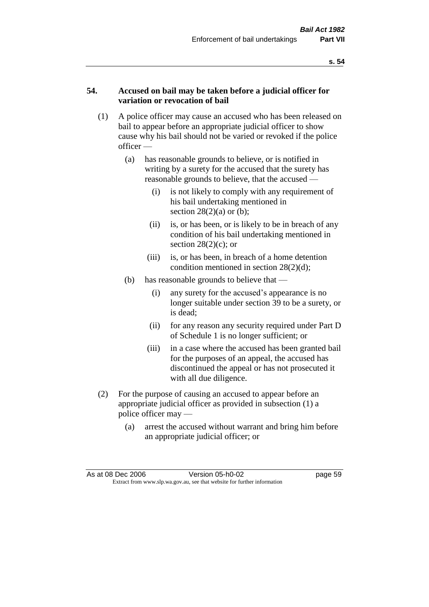### **54. Accused on bail may be taken before a judicial officer for variation or revocation of bail**

- (1) A police officer may cause an accused who has been released on bail to appear before an appropriate judicial officer to show cause why his bail should not be varied or revoked if the police officer —
	- (a) has reasonable grounds to believe, or is notified in writing by a surety for the accused that the surety has reasonable grounds to believe, that the accused —
		- (i) is not likely to comply with any requirement of his bail undertaking mentioned in section  $28(2)(a)$  or (b);
		- (ii) is, or has been, or is likely to be in breach of any condition of his bail undertaking mentioned in section  $28(2)(c)$ ; or
		- (iii) is, or has been, in breach of a home detention condition mentioned in section 28(2)(d);
	- (b) has reasonable grounds to believe that
		- (i) any surety for the accused's appearance is no longer suitable under section 39 to be a surety, or is dead;
		- (ii) for any reason any security required under Part D of Schedule 1 is no longer sufficient; or
		- (iii) in a case where the accused has been granted bail for the purposes of an appeal, the accused has discontinued the appeal or has not prosecuted it with all due diligence.
- (2) For the purpose of causing an accused to appear before an appropriate judicial officer as provided in subsection (1) a police officer may —
	- (a) arrest the accused without warrant and bring him before an appropriate judicial officer; or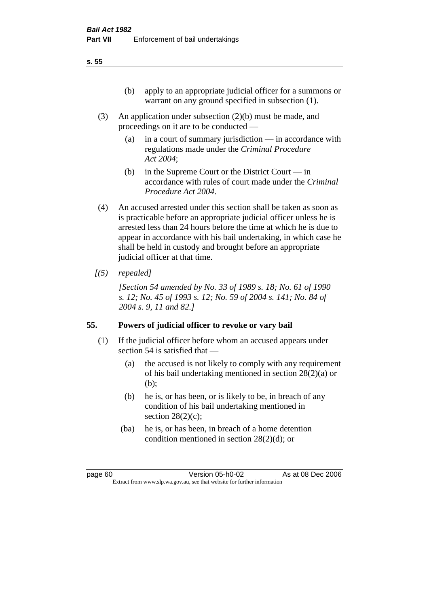- (3) An application under subsection (2)(b) must be made, and proceedings on it are to be conducted —
	- (a) in a court of summary jurisdiction in accordance with regulations made under the *Criminal Procedure Act 2004*;
	- (b) in the Supreme Court or the District Court  $-\text{in}$ accordance with rules of court made under the *Criminal Procedure Act 2004*.
- (4) An accused arrested under this section shall be taken as soon as is practicable before an appropriate judicial officer unless he is arrested less than 24 hours before the time at which he is due to appear in accordance with his bail undertaking, in which case he shall be held in custody and brought before an appropriate judicial officer at that time.
- *[(5) repealed]*

*[Section 54 amended by No. 33 of 1989 s. 18; No. 61 of 1990 s. 12; No. 45 of 1993 s. 12; No. 59 of 2004 s. 141; No. 84 of 2004 s. 9, 11 and 82.]* 

### **55. Powers of judicial officer to revoke or vary bail**

- (1) If the judicial officer before whom an accused appears under section 54 is satisfied that —
	- (a) the accused is not likely to comply with any requirement of his bail undertaking mentioned in section 28(2)(a) or (b);
	- (b) he is, or has been, or is likely to be, in breach of any condition of his bail undertaking mentioned in section  $28(2)(c)$ ;
	- (ba) he is, or has been, in breach of a home detention condition mentioned in section 28(2)(d); or

**s. 55**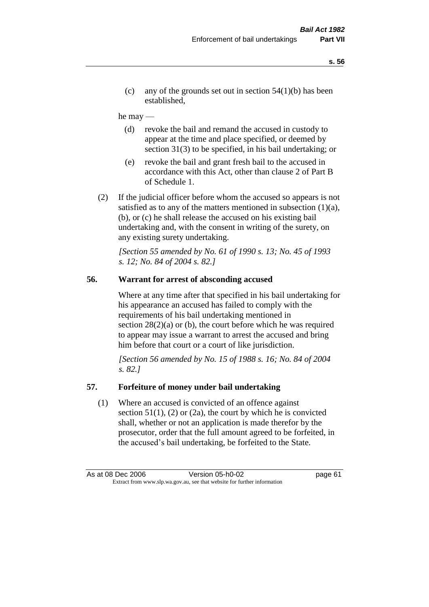(c) any of the grounds set out in section  $54(1)(b)$  has been established,

#### he may —

- (d) revoke the bail and remand the accused in custody to appear at the time and place specified, or deemed by section 31(3) to be specified, in his bail undertaking; or
- (e) revoke the bail and grant fresh bail to the accused in accordance with this Act, other than clause 2 of Part B of Schedule 1.
- (2) If the judicial officer before whom the accused so appears is not satisfied as to any of the matters mentioned in subsection (1)(a), (b), or (c) he shall release the accused on his existing bail undertaking and, with the consent in writing of the surety, on any existing surety undertaking.

*[Section 55 amended by No. 61 of 1990 s. 13; No. 45 of 1993 s. 12; No. 84 of 2004 s. 82.]* 

## **56. Warrant for arrest of absconding accused**

Where at any time after that specified in his bail undertaking for his appearance an accused has failed to comply with the requirements of his bail undertaking mentioned in section  $28(2)(a)$  or (b), the court before which he was required to appear may issue a warrant to arrest the accused and bring him before that court or a court of like jurisdiction.

*[Section 56 amended by No. 15 of 1988 s. 16; No. 84 of 2004 s. 82.]* 

#### **57. Forfeiture of money under bail undertaking**

(1) Where an accused is convicted of an offence against section  $51(1)$ ,  $(2)$  or  $(2a)$ , the court by which he is convicted shall, whether or not an application is made therefor by the prosecutor, order that the full amount agreed to be forfeited, in the accused's bail undertaking, be forfeited to the State.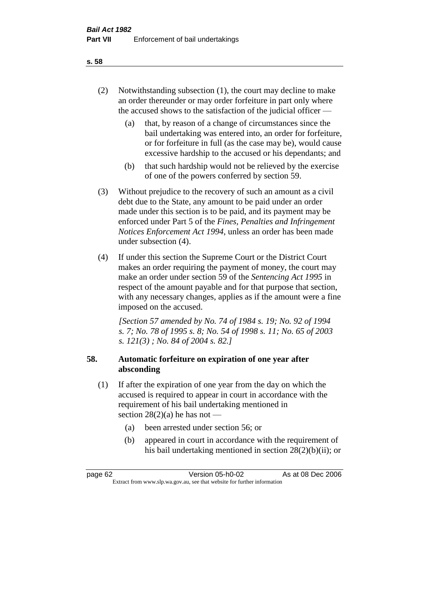- (2) Notwithstanding subsection (1), the court may decline to make an order thereunder or may order forfeiture in part only where the accused shows to the satisfaction of the judicial officer —
	- (a) that, by reason of a change of circumstances since the bail undertaking was entered into, an order for forfeiture, or for forfeiture in full (as the case may be), would cause excessive hardship to the accused or his dependants; and
	- (b) that such hardship would not be relieved by the exercise of one of the powers conferred by section 59.
- (3) Without prejudice to the recovery of such an amount as a civil debt due to the State, any amount to be paid under an order made under this section is to be paid, and its payment may be enforced under Part 5 of the *Fines, Penalties and Infringement Notices Enforcement Act 1994*, unless an order has been made under subsection (4).
- (4) If under this section the Supreme Court or the District Court makes an order requiring the payment of money, the court may make an order under section 59 of the *Sentencing Act 1995* in respect of the amount payable and for that purpose that section, with any necessary changes, applies as if the amount were a fine imposed on the accused.

*[Section 57 amended by No. 74 of 1984 s. 19; No. 92 of 1994 s. 7; No. 78 of 1995 s. 8; No. 54 of 1998 s. 11; No. 65 of 2003 s. 121(3) ; No. 84 of 2004 s. 82.]* 

# **58. Automatic forfeiture on expiration of one year after absconding**

- (1) If after the expiration of one year from the day on which the accused is required to appear in court in accordance with the requirement of his bail undertaking mentioned in section  $28(2)(a)$  he has not —
	- (a) been arrested under section 56; or
	- (b) appeared in court in accordance with the requirement of his bail undertaking mentioned in section 28(2)(b)(ii); or

| page 62                                                                  | Version 05-h0-02 | As at 08 Dec 2006 |
|--------------------------------------------------------------------------|------------------|-------------------|
| Extract from www.slp.wa.gov.au, see that website for further information |                  |                   |

#### **s. 58**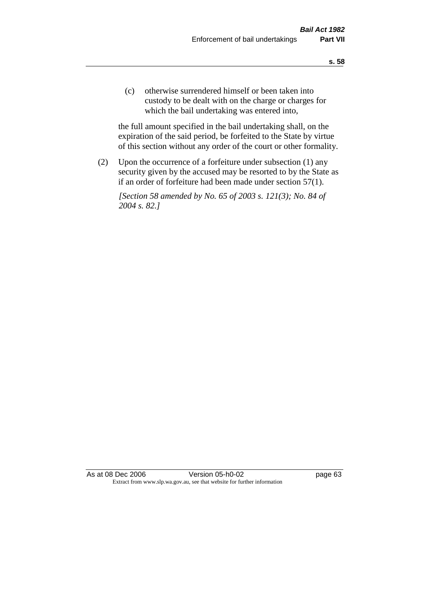(c) otherwise surrendered himself or been taken into custody to be dealt with on the charge or charges for which the bail undertaking was entered into,

the full amount specified in the bail undertaking shall, on the expiration of the said period, be forfeited to the State by virtue of this section without any order of the court or other formality.

(2) Upon the occurrence of a forfeiture under subsection (1) any security given by the accused may be resorted to by the State as if an order of forfeiture had been made under section 57(1).

*[Section 58 amended by No. 65 of 2003 s. 121(3); No. 84 of 2004 s. 82.]*

As at 08 Dec 2006 Version 05-h0-02 Page 63 Extract from www.slp.wa.gov.au, see that website for further information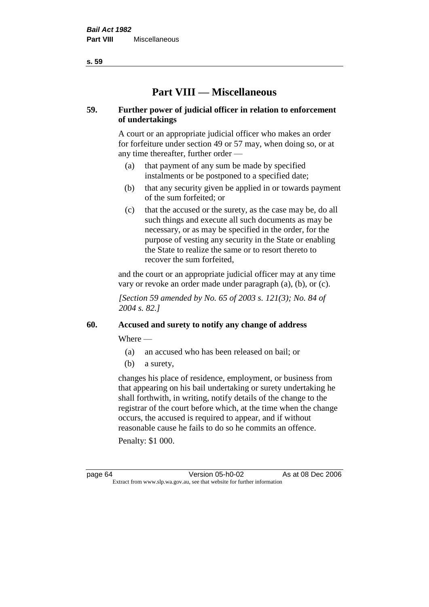**s. 59**

# **Part VIII — Miscellaneous**

# **59. Further power of judicial officer in relation to enforcement of undertakings**

A court or an appropriate judicial officer who makes an order for forfeiture under section 49 or 57 may, when doing so, or at any time thereafter, further order —

- (a) that payment of any sum be made by specified instalments or be postponed to a specified date;
- (b) that any security given be applied in or towards payment of the sum forfeited; or
- (c) that the accused or the surety, as the case may be, do all such things and execute all such documents as may be necessary, or as may be specified in the order, for the purpose of vesting any security in the State or enabling the State to realize the same or to resort thereto to recover the sum forfeited,

and the court or an appropriate judicial officer may at any time vary or revoke an order made under paragraph (a), (b), or (c).

*[Section 59 amended by No. 65 of 2003 s. 121(3); No. 84 of 2004 s. 82.]*

# **60. Accused and surety to notify any change of address**

Where —

- (a) an accused who has been released on bail; or
- (b) a surety,

changes his place of residence, employment, or business from that appearing on his bail undertaking or surety undertaking he shall forthwith, in writing, notify details of the change to the registrar of the court before which, at the time when the change occurs, the accused is required to appear, and if without reasonable cause he fails to do so he commits an offence.

Penalty: \$1 000.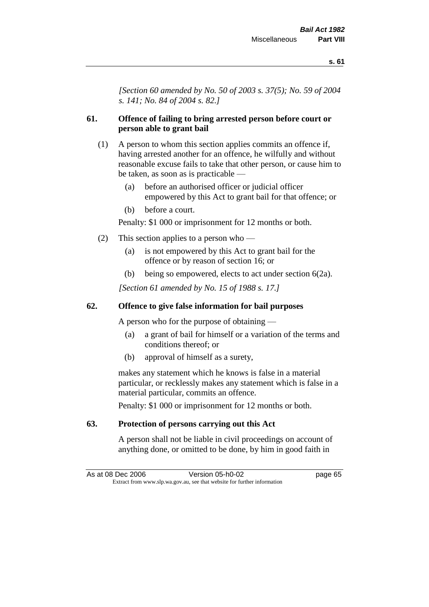*[Section 60 amended by No. 50 of 2003 s. 37(5); No. 59 of 2004 s. 141; No. 84 of 2004 s. 82.]*

### **61. Offence of failing to bring arrested person before court or person able to grant bail**

- (1) A person to whom this section applies commits an offence if, having arrested another for an offence, he wilfully and without reasonable excuse fails to take that other person, or cause him to be taken, as soon as is practicable —
	- (a) before an authorised officer or judicial officer empowered by this Act to grant bail for that offence; or
	- (b) before a court.

Penalty: \$1 000 or imprisonment for 12 months or both.

- (2) This section applies to a person who
	- (a) is not empowered by this Act to grant bail for the offence or by reason of section 16; or
	- (b) being so empowered, elects to act under section 6(2a).

*[Section 61 amended by No. 15 of 1988 s. 17.]* 

### **62. Offence to give false information for bail purposes**

A person who for the purpose of obtaining —

- (a) a grant of bail for himself or a variation of the terms and conditions thereof; or
- (b) approval of himself as a surety,

makes any statement which he knows is false in a material particular, or recklessly makes any statement which is false in a material particular, commits an offence.

Penalty: \$1 000 or imprisonment for 12 months or both.

### **63. Protection of persons carrying out this Act**

A person shall not be liable in civil proceedings on account of anything done, or omitted to be done, by him in good faith in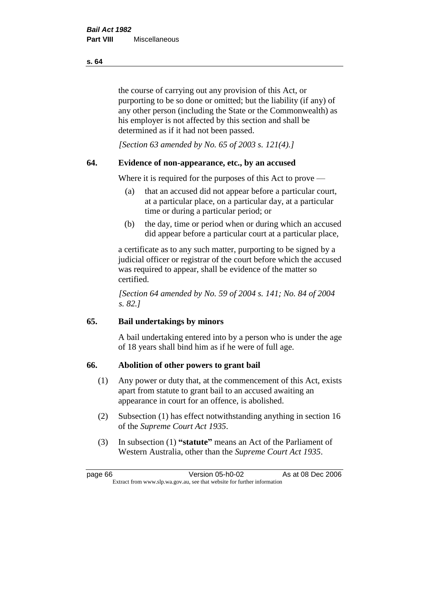the course of carrying out any provision of this Act, or purporting to be so done or omitted; but the liability (if any) of any other person (including the State or the Commonwealth) as his employer is not affected by this section and shall be determined as if it had not been passed.

*[Section 63 amended by No. 65 of 2003 s. 121(4).]*

### **64. Evidence of non-appearance, etc., by an accused**

Where it is required for the purposes of this Act to prove —

- (a) that an accused did not appear before a particular court, at a particular place, on a particular day, at a particular time or during a particular period; or
- (b) the day, time or period when or during which an accused did appear before a particular court at a particular place,

a certificate as to any such matter, purporting to be signed by a judicial officer or registrar of the court before which the accused was required to appear, shall be evidence of the matter so certified.

*[Section 64 amended by No. 59 of 2004 s. 141; No. 84 of 2004 s. 82.]* 

### **65. Bail undertakings by minors**

A bail undertaking entered into by a person who is under the age of 18 years shall bind him as if he were of full age.

#### **66. Abolition of other powers to grant bail**

- (1) Any power or duty that, at the commencement of this Act, exists apart from statute to grant bail to an accused awaiting an appearance in court for an offence, is abolished.
- (2) Subsection (1) has effect notwithstanding anything in section 16 of the *Supreme Court Act 1935*.
- (3) In subsection (1) **"statute"** means an Act of the Parliament of Western Australia, other than the *Supreme Court Act 1935*.

page 66 Version 05-h0-02 As at 08 Dec 2006 Extract from www.slp.wa.gov.au, see that website for further information

**s. 64**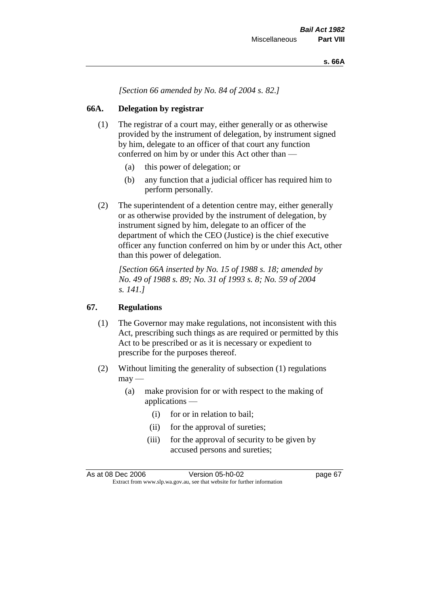*[Section 66 amended by No. 84 of 2004 s. 82.]*

### **66A. Delegation by registrar**

- (1) The registrar of a court may, either generally or as otherwise provided by the instrument of delegation, by instrument signed by him, delegate to an officer of that court any function conferred on him by or under this Act other than —
	- (a) this power of delegation; or
	- (b) any function that a judicial officer has required him to perform personally.
- (2) The superintendent of a detention centre may, either generally or as otherwise provided by the instrument of delegation, by instrument signed by him, delegate to an officer of the department of which the CEO (Justice) is the chief executive officer any function conferred on him by or under this Act, other than this power of delegation.

*[Section 66A inserted by No. 15 of 1988 s. 18; amended by No. 49 of 1988 s. 89; No. 31 of 1993 s. 8; No. 59 of 2004 s. 141.]* 

### **67. Regulations**

- (1) The Governor may make regulations, not inconsistent with this Act, prescribing such things as are required or permitted by this Act to be prescribed or as it is necessary or expedient to prescribe for the purposes thereof.
- (2) Without limiting the generality of subsection (1) regulations  $\text{max}$  —
	- (a) make provision for or with respect to the making of applications —
		- (i) for or in relation to bail;
		- (ii) for the approval of sureties;
		- (iii) for the approval of security to be given by accused persons and sureties;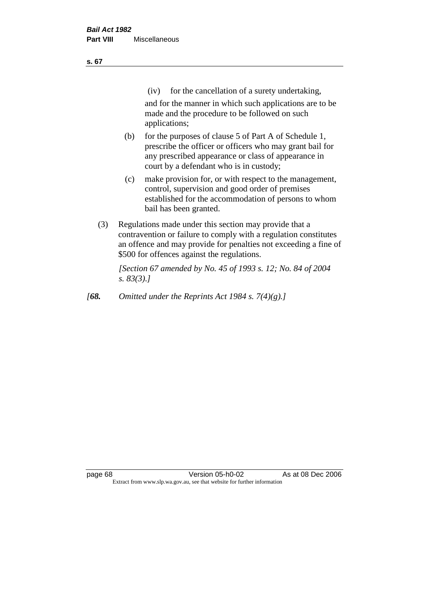| ×<br>v | ×<br>۰. |
|--------|---------|
|        |         |

(iv) for the cancellation of a surety undertaking,

and for the manner in which such applications are to be made and the procedure to be followed on such applications;

- (b) for the purposes of clause 5 of Part A of Schedule 1, prescribe the officer or officers who may grant bail for any prescribed appearance or class of appearance in court by a defendant who is in custody;
- (c) make provision for, or with respect to the management, control, supervision and good order of premises established for the accommodation of persons to whom bail has been granted.
- (3) Regulations made under this section may provide that a contravention or failure to comply with a regulation constitutes an offence and may provide for penalties not exceeding a fine of \$500 for offences against the regulations.

*[Section 67 amended by No. 45 of 1993 s. 12; No. 84 of 2004 s. 83(3).]* 

*[68. Omitted under the Reprints Act 1984 s. 7(4)(g).]*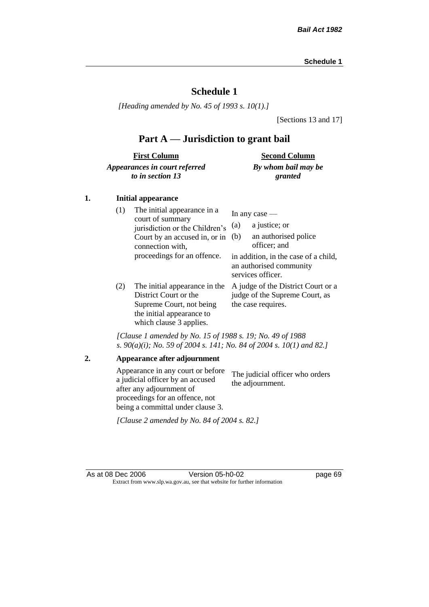# **Schedule 1**

*[Heading amended by No. 45 of 1993 s. 10(1).]*

[Sections 13 and 17]

# **Part A — Jurisdiction to grant bail**

| <b>First Column</b>           | <b>Second Column</b> |
|-------------------------------|----------------------|
| Appearances in court referred | By whom bail may be  |
| to in section 13              | granted              |

### **1. Initial appearance**

| (1) | The initial appearance in a<br>court of summary<br>jurisdiction or the Children's<br>Court by an accused in, or in<br>connection with,<br>proceedings for an offence. | In any case $-$<br>a justice; or<br>(a)<br>an authorised police<br>(b)<br>officer; and<br>in addition, in the case of a child,<br>an authorised community |
|-----|-----------------------------------------------------------------------------------------------------------------------------------------------------------------------|-----------------------------------------------------------------------------------------------------------------------------------------------------------|
| (2) | The initial appearance in the<br>District Court or the<br>Supreme Court, not being<br>the initial appearance to<br>which clause 3 applies.                            | services officer.<br>A judge of the District Court or a<br>judge of the Supreme Court, as<br>the case requires.                                           |

*[Clause 1 amended by No. 15 of 1988 s. 19; No. 49 of 1988 s. 90(a)(i); No. 59 of 2004 s. 141; No. 84 of 2004 s. 10(1) and 82.]*

**2. Appearance after adjournment** Appearance in any court or before a judicial officer by an accused after any adjournment of proceedings for an offence, not being a committal under clause 3. The judicial officer who orders the adjournment. *[Clause 2 amended by No. 84 of 2004 s. 82.]*

As at 08 Dec 2006 Version 05-h0-02 page 69 Extract from www.slp.wa.gov.au, see that website for further information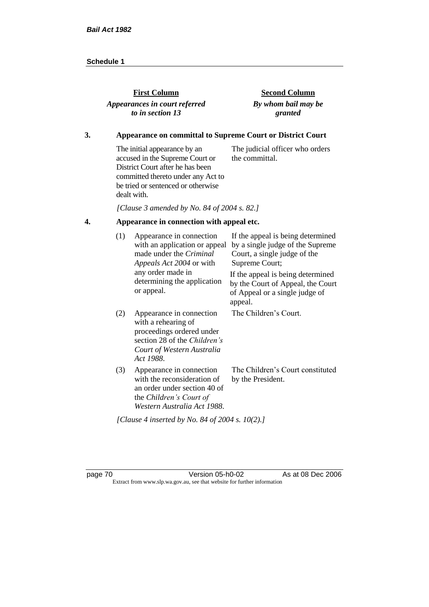| <b>First Column</b>           | <b>Second Column</b> |
|-------------------------------|----------------------|
| Appearances in court referred | By whom bail may be  |
| to in section 13              | granted              |

### **3. Appearance on committal to Supreme Court or District Court**

The initial appearance by an accused in the Supreme Court or District Court after he has been committed thereto under any Act to be tried or sentenced or otherwise dealt with. The judicial officer who orders the committal.

*[Clause 3 amended by No. 84 of 2004 s. 82.]*

## **4. Appearance in connection with appeal etc.**

| (1) | Appearance in connection<br>with an application or appeal<br>made under the <i>Criminal</i><br>Appeals Act 2004 or with                                 | If the appeal is being determined<br>by a single judge of the Supreme<br>Court, a single judge of the<br>Supreme Court; |
|-----|---------------------------------------------------------------------------------------------------------------------------------------------------------|-------------------------------------------------------------------------------------------------------------------------|
|     | any order made in<br>determining the application<br>or appeal.                                                                                          | If the appeal is being determined<br>by the Court of Appeal, the Court<br>of Appeal or a single judge of<br>appeal.     |
| (2) | Appearance in connection<br>with a rehearing of<br>proceedings ordered under<br>section 28 of the Children's<br>Court of Western Australia<br>Act 1988. | The Children's Court.                                                                                                   |
| (3) | Appearance in connection<br>with the reconsideration of<br>an order under section 40 of<br>the Children's Court of<br>Western Australia Act 1988.       | The Children's Court constituted<br>by the President.                                                                   |
|     | [Clause 4 inserted by No. 84 of 2004 s. 10(2).]                                                                                                         |                                                                                                                         |

page 70 **Version 05-h0-02** As at 08 Dec 2006 Extract from www.slp.wa.gov.au, see that website for further information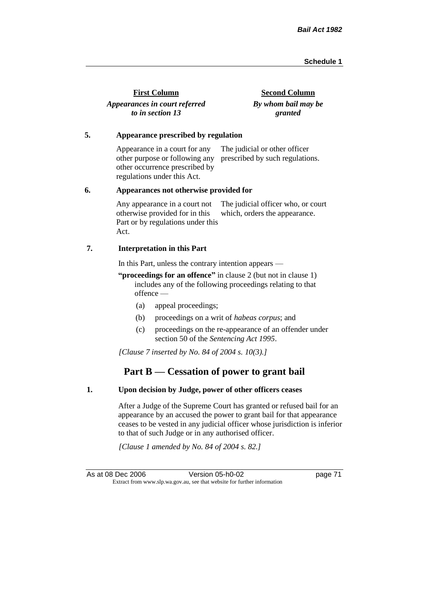| <b>First Column</b>           | <b>Second Column</b> |
|-------------------------------|----------------------|
| Appearances in court referred | By whom bail may be  |
| to in section 13              | granted              |

#### **5. Appearance prescribed by regulation**

Appearance in a court for any other purpose or following any prescribed by such regulations. other occurrence prescribed by regulations under this Act. The judicial or other officer

#### **6. Appearances not otherwise provided for**

Any appearance in a court not otherwise provided for in this Part or by regulations under this Act. The judicial officer who, or court which, orders the appearance.

#### **7. Interpretation in this Part**

In this Part, unless the contrary intention appears —

**"proceedings for an offence"** in clause 2 (but not in clause 1) includes any of the following proceedings relating to that offence —

- (a) appeal proceedings;
- (b) proceedings on a writ of *habeas corpus*; and
- (c) proceedings on the re-appearance of an offender under section 50 of the *Sentencing Act 1995*.

*[Clause 7 inserted by No. 84 of 2004 s. 10(3).]*

# **Part B — Cessation of power to grant bail**

#### **1. Upon decision by Judge, power of other officers ceases**

After a Judge of the Supreme Court has granted or refused bail for an appearance by an accused the power to grant bail for that appearance ceases to be vested in any judicial officer whose jurisdiction is inferior to that of such Judge or in any authorised officer.

*[Clause 1 amended by No. 84 of 2004 s. 82.]*

As at 08 Dec 2006 Version 05-h0-02 page 71 Extract from www.slp.wa.gov.au, see that website for further information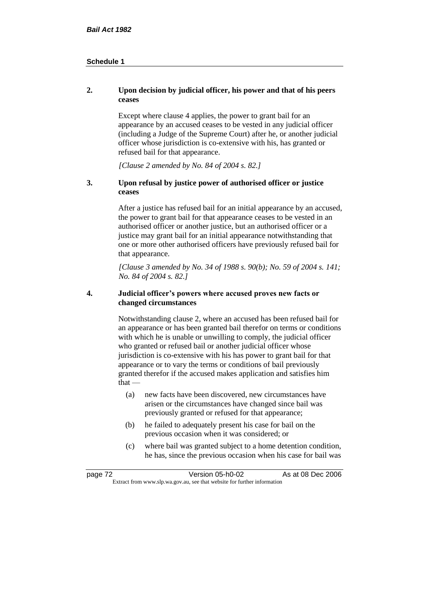### **2. Upon decision by judicial officer, his power and that of his peers ceases**

Except where clause 4 applies, the power to grant bail for an appearance by an accused ceases to be vested in any judicial officer (including a Judge of the Supreme Court) after he, or another judicial officer whose jurisdiction is co-extensive with his, has granted or refused bail for that appearance.

*[Clause 2 amended by No. 84 of 2004 s. 82.]*

#### **3. Upon refusal by justice power of authorised officer or justice ceases**

After a justice has refused bail for an initial appearance by an accused, the power to grant bail for that appearance ceases to be vested in an authorised officer or another justice, but an authorised officer or a justice may grant bail for an initial appearance notwithstanding that one or more other authorised officers have previously refused bail for that appearance.

*[Clause 3 amended by No. 34 of 1988 s. 90(b); No. 59 of 2004 s. 141; No. 84 of 2004 s. 82.]*

#### **4. Judicial officer's powers where accused proves new facts or changed circumstances**

Notwithstanding clause 2, where an accused has been refused bail for an appearance or has been granted bail therefor on terms or conditions with which he is unable or unwilling to comply, the judicial officer who granted or refused bail or another judicial officer whose jurisdiction is co-extensive with his has power to grant bail for that appearance or to vary the terms or conditions of bail previously granted therefor if the accused makes application and satisfies him  $that -$ 

- (a) new facts have been discovered, new circumstances have arisen or the circumstances have changed since bail was previously granted or refused for that appearance;
- (b) he failed to adequately present his case for bail on the previous occasion when it was considered; or
- (c) where bail was granted subject to a home detention condition, he has, since the previous occasion when his case for bail was

| page 72                                                                  | Version 05-h0-02 | As at 08 Dec 2006 |
|--------------------------------------------------------------------------|------------------|-------------------|
| Extract from www.slp.wa.gov.au, see that website for further information |                  |                   |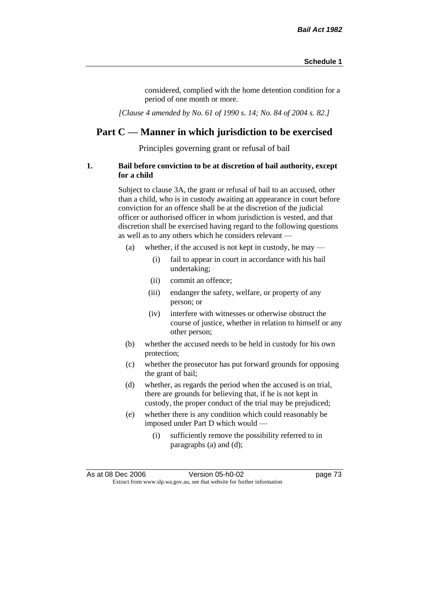considered, complied with the home detention condition for a period of one month or more.

*[Clause 4 amended by No. 61 of 1990 s. 14; No. 84 of 2004 s. 82.]*

# **Part C — Manner in which jurisdiction to be exercised**

Principles governing grant or refusal of bail

#### **1. Bail before conviction to be at discretion of bail authority, except for a child**

Subject to clause 3A, the grant or refusal of bail to an accused, other than a child, who is in custody awaiting an appearance in court before conviction for an offence shall be at the discretion of the judicial officer or authorised officer in whom jurisdiction is vested, and that discretion shall be exercised having regard to the following questions as well as to any others which he considers relevant —

- (a) whether, if the accused is not kept in custody, he may
	- (i) fail to appear in court in accordance with his bail undertaking;
	- (ii) commit an offence;
	- (iii) endanger the safety, welfare, or property of any person; or
	- (iv) interfere with witnesses or otherwise obstruct the course of justice, whether in relation to himself or any other person;
- (b) whether the accused needs to be held in custody for his own protection;
- (c) whether the prosecutor has put forward grounds for opposing the grant of bail;
- (d) whether, as regards the period when the accused is on trial, there are grounds for believing that, if he is not kept in custody, the proper conduct of the trial may be prejudiced;
- (e) whether there is any condition which could reasonably be imposed under Part D which would —
	- (i) sufficiently remove the possibility referred to in paragraphs (a) and (d);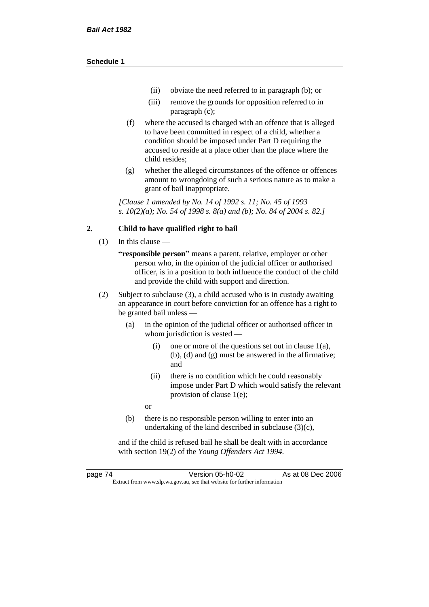- (ii) obviate the need referred to in paragraph (b); or
- (iii) remove the grounds for opposition referred to in paragraph (c);
- (f) where the accused is charged with an offence that is alleged to have been committed in respect of a child, whether a condition should be imposed under Part D requiring the accused to reside at a place other than the place where the child resides;
- (g) whether the alleged circumstances of the offence or offences amount to wrongdoing of such a serious nature as to make a grant of bail inappropriate.

*[Clause 1 amended by No. 14 of 1992 s. 11; No. 45 of 1993 s. 10(2)(a); No. 54 of 1998 s. 8(a) and (b); No. 84 of 2004 s. 82.]*

#### **2. Child to have qualified right to bail**

- (1) In this clause
	- **"responsible person"** means a parent, relative, employer or other person who, in the opinion of the judicial officer or authorised officer, is in a position to both influence the conduct of the child and provide the child with support and direction.
- (2) Subject to subclause (3), a child accused who is in custody awaiting an appearance in court before conviction for an offence has a right to be granted bail unless —
	- (a) in the opinion of the judicial officer or authorised officer in whom jurisdiction is vested —
		- (i) one or more of the questions set out in clause 1(a), (b), (d) and (g) must be answered in the affirmative; and
		- (ii) there is no condition which he could reasonably impose under Part D which would satisfy the relevant provision of clause 1(e);
		- or
	- (b) there is no responsible person willing to enter into an undertaking of the kind described in subclause (3)(c),

and if the child is refused bail he shall be dealt with in accordance with section 19(2) of the *Young Offenders Act 1994*.

page 74 Version 05-h0-02 As at 08 Dec 2006 Extract from www.slp.wa.gov.au, see that website for further information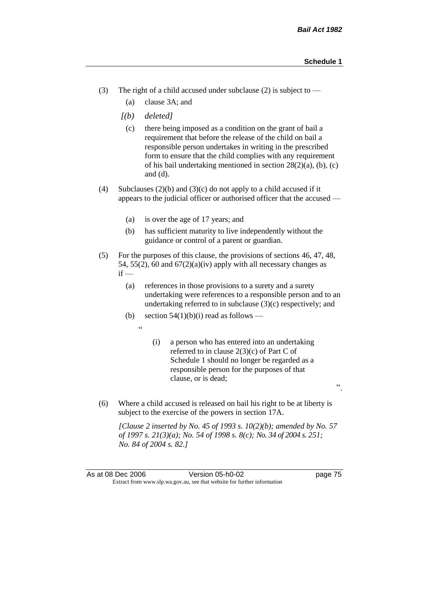- (3) The right of a child accused under subclause (2) is subject to  $-$ 
	- (a) clause 3A; and
	- *[(b) deleted]*
		- (c) there being imposed as a condition on the grant of bail a requirement that before the release of the child on bail a responsible person undertakes in writing in the prescribed form to ensure that the child complies with any requirement of his bail undertaking mentioned in section 28(2)(a), (b), (c) and (d).
- (4) Subclauses (2)(b) and (3)(c) do not apply to a child accused if it appears to the judicial officer or authorised officer that the accused —
	- (a) is over the age of 17 years; and
	- (b) has sufficient maturity to live independently without the guidance or control of a parent or guardian.
- (5) For the purposes of this clause, the provisions of sections 46, 47, 48, 54, 55(2), 60 and  $67(2)(a)(iv)$  apply with all necessary changes as  $if -$ 
	- (a) references in those provisions to a surety and a surety undertaking were references to a responsible person and to an undertaking referred to in subclause  $(3)(c)$  respectively; and
	- (b) section  $54(1)(b)(i)$  read as follows
		- "
- (i) a person who has entered into an undertaking referred to in clause 2(3)(c) of Part C of Schedule 1 should no longer be regarded as a responsible person for the purposes of that clause, or is dead;
	-

".

(6) Where a child accused is released on bail his right to be at liberty is subject to the exercise of the powers in section 17A.

*[Clause 2 inserted by No. 45 of 1993 s. 10(2)(b); amended by No. 57 of 1997 s. 21(3)(a); No. 54 of 1998 s. 8(c); No. 34 of 2004 s. 251; No. 84 of 2004 s. 82.]*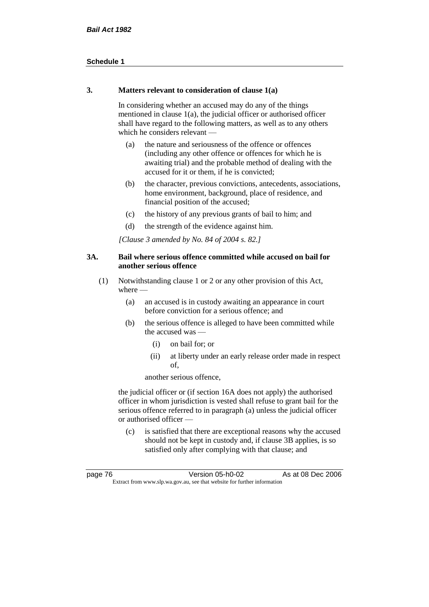#### **3. Matters relevant to consideration of clause 1(a)**

In considering whether an accused may do any of the things mentioned in clause 1(a), the judicial officer or authorised officer shall have regard to the following matters, as well as to any others which he considers relevant —

- (a) the nature and seriousness of the offence or offences (including any other offence or offences for which he is awaiting trial) and the probable method of dealing with the accused for it or them, if he is convicted;
- (b) the character, previous convictions, antecedents, associations, home environment, background, place of residence, and financial position of the accused;
- (c) the history of any previous grants of bail to him; and
- (d) the strength of the evidence against him.

*[Clause 3 amended by No. 84 of 2004 s. 82.]*

### **3A. Bail where serious offence committed while accused on bail for another serious offence**

- (1) Notwithstanding clause 1 or 2 or any other provision of this Act, where —
	- (a) an accused is in custody awaiting an appearance in court before conviction for a serious offence; and
	- (b) the serious offence is alleged to have been committed while the accused was —
		- (i) on bail for; or
		- (ii) at liberty under an early release order made in respect of,

another serious offence,

the judicial officer or (if section 16A does not apply) the authorised officer in whom jurisdiction is vested shall refuse to grant bail for the serious offence referred to in paragraph (a) unless the judicial officer or authorised officer —

(c) is satisfied that there are exceptional reasons why the accused should not be kept in custody and, if clause 3B applies, is so satisfied only after complying with that clause; and

| page 76 | Version 05-h0-02                                                         | As at 08 Dec 2006 |
|---------|--------------------------------------------------------------------------|-------------------|
|         | Extract from www.slp.wa.gov.au, see that website for further information |                   |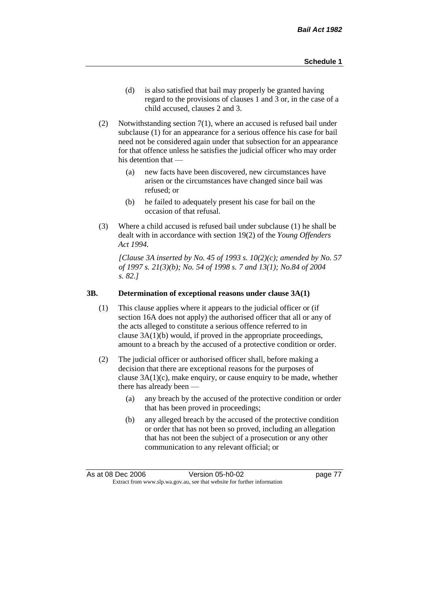- (d) is also satisfied that bail may properly be granted having regard to the provisions of clauses 1 and 3 or, in the case of a child accused, clauses 2 and 3.
- (2) Notwithstanding section 7(1), where an accused is refused bail under subclause (1) for an appearance for a serious offence his case for bail need not be considered again under that subsection for an appearance for that offence unless he satisfies the judicial officer who may order his detention that —
	- (a) new facts have been discovered, new circumstances have arisen or the circumstances have changed since bail was refused; or
	- (b) he failed to adequately present his case for bail on the occasion of that refusal.
- (3) Where a child accused is refused bail under subclause (1) he shall be dealt with in accordance with section 19(2) of the *Young Offenders Act 1994*.

*[Clause 3A inserted by No. 45 of 1993 s. 10(2)(c); amended by No. 57 of 1997 s. 21(3)(b); No. 54 of 1998 s. 7 and 13(1); No.84 of 2004 s. 82.]*

#### **3B. Determination of exceptional reasons under clause 3A(1)**

- (1) This clause applies where it appears to the judicial officer or (if section 16A does not apply) the authorised officer that all or any of the acts alleged to constitute a serious offence referred to in clause 3A(1)(b) would, if proved in the appropriate proceedings, amount to a breach by the accused of a protective condition or order.
- (2) The judicial officer or authorised officer shall, before making a decision that there are exceptional reasons for the purposes of clause  $3A(1)(c)$ , make enquiry, or cause enquiry to be made, whether there has already been -
	- (a) any breach by the accused of the protective condition or order that has been proved in proceedings;
	- (b) any alleged breach by the accused of the protective condition or order that has not been so proved, including an allegation that has not been the subject of a prosecution or any other communication to any relevant official; or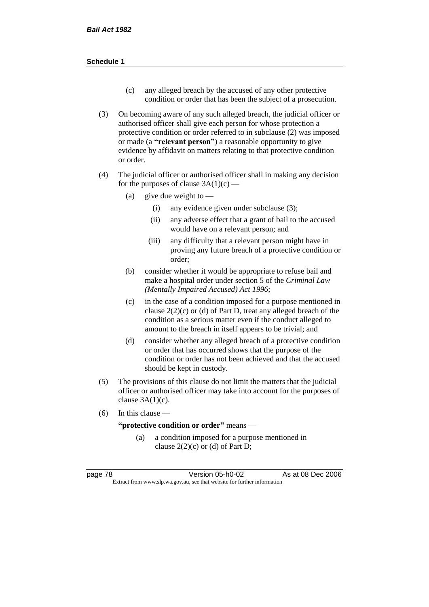- (c) any alleged breach by the accused of any other protective condition or order that has been the subject of a prosecution.
- (3) On becoming aware of any such alleged breach, the judicial officer or authorised officer shall give each person for whose protection a protective condition or order referred to in subclause (2) was imposed or made (a **"relevant person"**) a reasonable opportunity to give evidence by affidavit on matters relating to that protective condition or order.
- (4) The judicial officer or authorised officer shall in making any decision for the purposes of clause  $3A(1)(c)$  —
	- (a) give due weight to  $-$ 
		- (i) any evidence given under subclause (3);
		- (ii) any adverse effect that a grant of bail to the accused would have on a relevant person; and
		- (iii) any difficulty that a relevant person might have in proving any future breach of a protective condition or order;
	- (b) consider whether it would be appropriate to refuse bail and make a hospital order under section 5 of the *Criminal Law (Mentally Impaired Accused) Act 1996*;
	- (c) in the case of a condition imposed for a purpose mentioned in clause  $2(2)(c)$  or (d) of Part D, treat any alleged breach of the condition as a serious matter even if the conduct alleged to amount to the breach in itself appears to be trivial; and
	- (d) consider whether any alleged breach of a protective condition or order that has occurred shows that the purpose of the condition or order has not been achieved and that the accused should be kept in custody.
- (5) The provisions of this clause do not limit the matters that the judicial officer or authorised officer may take into account for the purposes of clause  $3A(1)(c)$ .
- (6) In this clause —

**"protective condition or order"** means —

(a) a condition imposed for a purpose mentioned in clause  $2(2)(c)$  or (d) of Part D;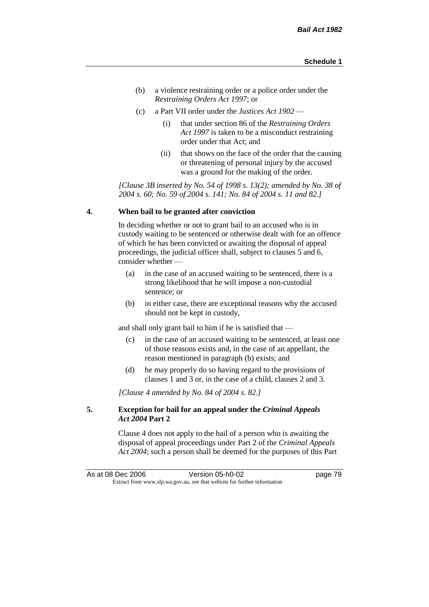- (b) a violence restraining order or a police order under the *Restraining Orders Act 1997*; or
- (c) a Part VII order under the *Justices Act 1902*
	- (i) that under section 86 of the *Restraining Orders Act 1997* is taken to be a misconduct restraining order under that Act; and
	- (ii) that shows on the face of the order that the causing or threatening of personal injury by the accused was a ground for the making of the order.

*[Clause 3B inserted by No. 54 of 1998 s. 13(2); amended by No. 38 of 2004 s. 60; No. 59 of 2004 s. 141; No. 84 of 2004 s. 11 and 82.]*

#### **4. When bail to be granted after conviction**

In deciding whether or not to grant bail to an accused who is in custody waiting to be sentenced or otherwise dealt with for an offence of which he has been convicted or awaiting the disposal of appeal proceedings, the judicial officer shall, subject to clauses 5 and 6, consider whether —

- (a) in the case of an accused waiting to be sentenced, there is a strong likelihood that he will impose a non-custodial sentence; or
- (b) in either case, there are exceptional reasons why the accused should not be kept in custody,

and shall only grant bail to him if he is satisfied that —

- (c) in the case of an accused waiting to be sentenced, at least one of those reasons exists and, in the case of an appellant, the reason mentioned in paragraph (b) exists; and
- (d) he may properly do so having regard to the provisions of clauses 1 and 3 or, in the case of a child, clauses 2 and 3.

*[Clause 4 amended by No. 84 of 2004 s. 82.]*

### **5. Exception for bail for an appeal under the** *Criminal Appeals Act 2004* **Part 2**

Clause 4 does not apply to the bail of a person who is awaiting the disposal of appeal proceedings under Part 2 of the *Criminal Appeals Act 2004*; such a person shall be deemed for the purposes of this Part

As at 08 Dec 2006 Version 05-h0-02 Page 79 Extract from www.slp.wa.gov.au, see that website for further information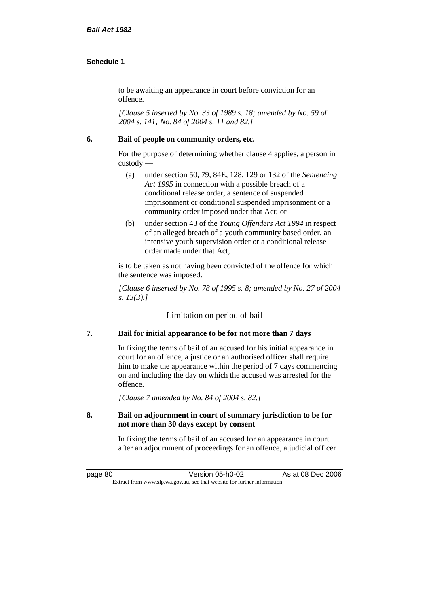to be awaiting an appearance in court before conviction for an offence.

*[Clause 5 inserted by No. 33 of 1989 s. 18; amended by No. 59 of 2004 s. 141; No. 84 of 2004 s. 11 and 82.]*

#### **6. Bail of people on community orders, etc.**

For the purpose of determining whether clause 4 applies, a person in custody —

- (a) under section 50, 79, 84E, 128, 129 or 132 of the *Sentencing Act 1995* in connection with a possible breach of a conditional release order, a sentence of suspended imprisonment or conditional suspended imprisonment or a community order imposed under that Act; or
- (b) under section 43 of the *Young Offenders Act 1994* in respect of an alleged breach of a youth community based order, an intensive youth supervision order or a conditional release order made under that Act,

is to be taken as not having been convicted of the offence for which the sentence was imposed.

*[Clause 6 inserted by No. 78 of 1995 s. 8; amended by No. 27 of 2004 s. 13(3).]*

Limitation on period of bail

### **7. Bail for initial appearance to be for not more than 7 days**

In fixing the terms of bail of an accused for his initial appearance in court for an offence, a justice or an authorised officer shall require him to make the appearance within the period of 7 days commencing on and including the day on which the accused was arrested for the offence.

*[Clause 7 amended by No. 84 of 2004 s. 82.]*

### **8. Bail on adjournment in court of summary jurisdiction to be for not more than 30 days except by consent**

In fixing the terms of bail of an accused for an appearance in court after an adjournment of proceedings for an offence, a judicial officer

page 80 **Version 05-h0-02** As at 08 Dec 2006 Extract from www.slp.wa.gov.au, see that website for further information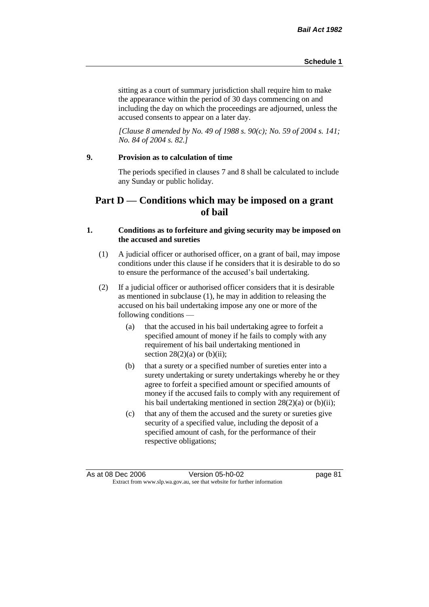sitting as a court of summary jurisdiction shall require him to make the appearance within the period of 30 days commencing on and including the day on which the proceedings are adjourned, unless the accused consents to appear on a later day.

*[Clause 8 amended by No. 49 of 1988 s. 90(c); No. 59 of 2004 s. 141; No. 84 of 2004 s. 82.]*

### **9. Provision as to calculation of time**

The periods specified in clauses 7 and 8 shall be calculated to include any Sunday or public holiday.

## **Part D — Conditions which may be imposed on a grant of bail**

### **1. Conditions as to forfeiture and giving security may be imposed on the accused and sureties**

- (1) A judicial officer or authorised officer, on a grant of bail, may impose conditions under this clause if he considers that it is desirable to do so to ensure the performance of the accused's bail undertaking.
- (2) If a judicial officer or authorised officer considers that it is desirable as mentioned in subclause (1), he may in addition to releasing the accused on his bail undertaking impose any one or more of the following conditions —
	- (a) that the accused in his bail undertaking agree to forfeit a specified amount of money if he fails to comply with any requirement of his bail undertaking mentioned in section  $28(2)(a)$  or (b)(ii);
	- (b) that a surety or a specified number of sureties enter into a surety undertaking or surety undertakings whereby he or they agree to forfeit a specified amount or specified amounts of money if the accused fails to comply with any requirement of his bail undertaking mentioned in section 28(2)(a) or (b)(ii);
	- (c) that any of them the accused and the surety or sureties give security of a specified value, including the deposit of a specified amount of cash, for the performance of their respective obligations;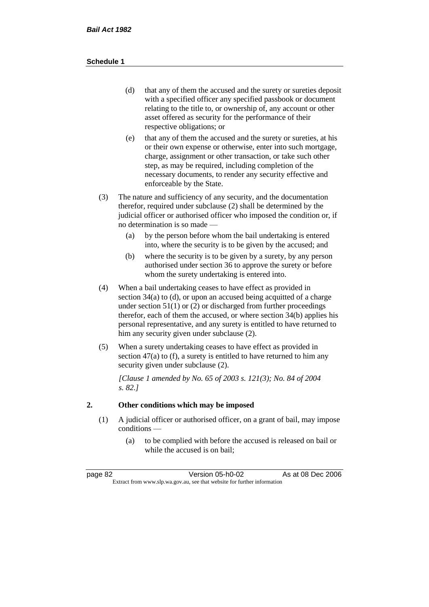- (d) that any of them the accused and the surety or sureties deposit with a specified officer any specified passbook or document relating to the title to, or ownership of, any account or other asset offered as security for the performance of their respective obligations; or
- (e) that any of them the accused and the surety or sureties, at his or their own expense or otherwise, enter into such mortgage, charge, assignment or other transaction, or take such other step, as may be required, including completion of the necessary documents, to render any security effective and enforceable by the State.
- (3) The nature and sufficiency of any security, and the documentation therefor, required under subclause (2) shall be determined by the judicial officer or authorised officer who imposed the condition or, if no determination is so made —
	- (a) by the person before whom the bail undertaking is entered into, where the security is to be given by the accused; and
	- (b) where the security is to be given by a surety, by any person authorised under section 36 to approve the surety or before whom the surety undertaking is entered into.
- (4) When a bail undertaking ceases to have effect as provided in section 34(a) to (d), or upon an accused being acquitted of a charge under section  $51(1)$  or (2) or discharged from further proceedings therefor, each of them the accused, or where section 34(b) applies his personal representative, and any surety is entitled to have returned to him any security given under subclause (2).
- (5) When a surety undertaking ceases to have effect as provided in section 47(a) to (f), a surety is entitled to have returned to him any security given under subclause  $(2)$ .

*[Clause 1 amended by No. 65 of 2003 s. 121(3); No. 84 of 2004 s. 82.]*

### **2. Other conditions which may be imposed**

- (1) A judicial officer or authorised officer, on a grant of bail, may impose conditions —
	- (a) to be complied with before the accused is released on bail or while the accused is on bail;

| page 82                                                                  | Version 05-h0-02 | As at 08 Dec 2006 |
|--------------------------------------------------------------------------|------------------|-------------------|
| Extract from www.slp.wa.gov.au, see that website for further information |                  |                   |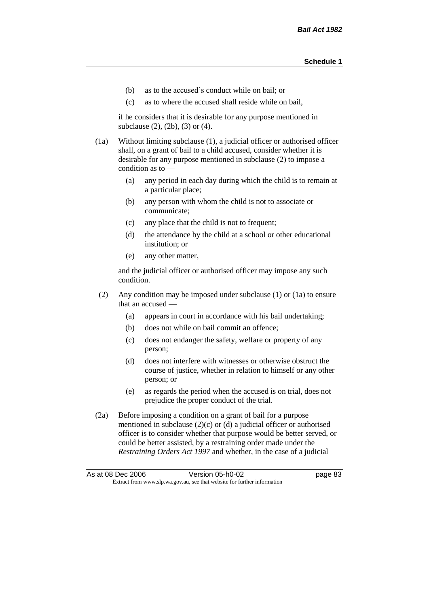- (b) as to the accused's conduct while on bail; or
- (c) as to where the accused shall reside while on bail,

if he considers that it is desirable for any purpose mentioned in subclause (2), (2b), (3) or (4).

(1a) Without limiting subclause (1), a judicial officer or authorised officer shall, on a grant of bail to a child accused, consider whether it is desirable for any purpose mentioned in subclause (2) to impose a condition as to —

- (a) any period in each day during which the child is to remain at a particular place;
- (b) any person with whom the child is not to associate or communicate;
- (c) any place that the child is not to frequent;
- (d) the attendance by the child at a school or other educational institution; or
- (e) any other matter,

and the judicial officer or authorised officer may impose any such condition.

- (2) Any condition may be imposed under subclause (1) or (1a) to ensure that an accused —
	- (a) appears in court in accordance with his bail undertaking;
	- (b) does not while on bail commit an offence;
	- (c) does not endanger the safety, welfare or property of any person;
	- (d) does not interfere with witnesses or otherwise obstruct the course of justice, whether in relation to himself or any other person; or
	- (e) as regards the period when the accused is on trial, does not prejudice the proper conduct of the trial.
- (2a) Before imposing a condition on a grant of bail for a purpose mentioned in subclause (2)(c) or (d) a judicial officer or authorised officer is to consider whether that purpose would be better served, or could be better assisted, by a restraining order made under the *Restraining Orders Act 1997* and whether, in the case of a judicial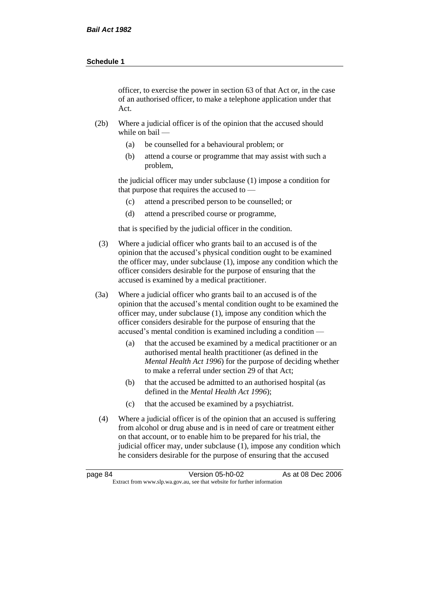officer, to exercise the power in section 63 of that Act or, in the case of an authorised officer, to make a telephone application under that Act.

- (2b) Where a judicial officer is of the opinion that the accused should while on bail —
	- (a) be counselled for a behavioural problem; or
	- (b) attend a course or programme that may assist with such a problem,

the judicial officer may under subclause (1) impose a condition for that purpose that requires the accused to —

- (c) attend a prescribed person to be counselled; or
- (d) attend a prescribed course or programme,

that is specified by the judicial officer in the condition.

- (3) Where a judicial officer who grants bail to an accused is of the opinion that the accused's physical condition ought to be examined the officer may, under subclause (1), impose any condition which the officer considers desirable for the purpose of ensuring that the accused is examined by a medical practitioner.
- (3a) Where a judicial officer who grants bail to an accused is of the opinion that the accused's mental condition ought to be examined the officer may, under subclause (1), impose any condition which the officer considers desirable for the purpose of ensuring that the accused's mental condition is examined including a condition —
	- (a) that the accused be examined by a medical practitioner or an authorised mental health practitioner (as defined in the *Mental Health Act 1996*) for the purpose of deciding whether to make a referral under section 29 of that Act;
	- (b) that the accused be admitted to an authorised hospital (as defined in the *Mental Health Act 1996*);
	- (c) that the accused be examined by a psychiatrist.
- (4) Where a judicial officer is of the opinion that an accused is suffering from alcohol or drug abuse and is in need of care or treatment either on that account, or to enable him to be prepared for his trial, the judicial officer may, under subclause (1), impose any condition which he considers desirable for the purpose of ensuring that the accused

| page 84 | Version 05-h0-02                                                         | As at 08 Dec 2006 |
|---------|--------------------------------------------------------------------------|-------------------|
|         | Extract from www.slp.wa.gov.au, see that website for further information |                   |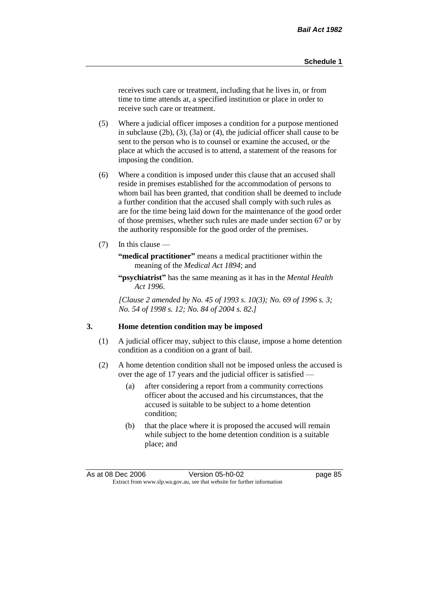receives such care or treatment, including that he lives in, or from time to time attends at, a specified institution or place in order to receive such care or treatment.

- (5) Where a judicial officer imposes a condition for a purpose mentioned in subclause (2b), (3), (3a) or (4), the judicial officer shall cause to be sent to the person who is to counsel or examine the accused, or the place at which the accused is to attend, a statement of the reasons for imposing the condition.
- (6) Where a condition is imposed under this clause that an accused shall reside in premises established for the accommodation of persons to whom bail has been granted, that condition shall be deemed to include a further condition that the accused shall comply with such rules as are for the time being laid down for the maintenance of the good order of those premises, whether such rules are made under section 67 or by the authority responsible for the good order of the premises.
- (7) In this clause —

**"medical practitioner"** means a medical practitioner within the meaning of the *Medical Act 1894*; and

**"psychiatrist"** has the same meaning as it has in the *Mental Health Act 1996*.

*[Clause 2 amended by No. 45 of 1993 s. 10(3); No. 69 of 1996 s. 3; No. 54 of 1998 s. 12; No. 84 of 2004 s. 82.]*

#### **3. Home detention condition may be imposed**

- (1) A judicial officer may, subject to this clause, impose a home detention condition as a condition on a grant of bail.
- (2) A home detention condition shall not be imposed unless the accused is over the age of 17 years and the judicial officer is satisfied —
	- (a) after considering a report from a community corrections officer about the accused and his circumstances, that the accused is suitable to be subject to a home detention condition;
	- (b) that the place where it is proposed the accused will remain while subject to the home detention condition is a suitable place; and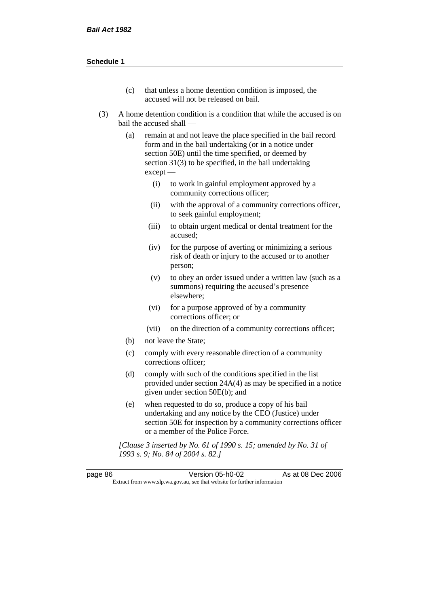- (c) that unless a home detention condition is imposed, the accused will not be released on bail.
- (3) A home detention condition is a condition that while the accused is on bail the accused shall —
	- (a) remain at and not leave the place specified in the bail record form and in the bail undertaking (or in a notice under section 50E) until the time specified, or deemed by section 31(3) to be specified, in the bail undertaking except —
		- (i) to work in gainful employment approved by a community corrections officer;
		- (ii) with the approval of a community corrections officer, to seek gainful employment;
		- (iii) to obtain urgent medical or dental treatment for the accused;
		- (iv) for the purpose of averting or minimizing a serious risk of death or injury to the accused or to another person;
		- (v) to obey an order issued under a written law (such as a summons) requiring the accused's presence elsewhere;
		- (vi) for a purpose approved of by a community corrections officer; or
		- (vii) on the direction of a community corrections officer;
	- (b) not leave the State;
	- (c) comply with every reasonable direction of a community corrections officer;
	- (d) comply with such of the conditions specified in the list provided under section 24A(4) as may be specified in a notice given under section 50E(b); and
	- (e) when requested to do so, produce a copy of his bail undertaking and any notice by the CEO (Justice) under section 50E for inspection by a community corrections officer or a member of the Police Force.

*[Clause 3 inserted by No. 61 of 1990 s. 15; amended by No. 31 of 1993 s. 9; No. 84 of 2004 s. 82.]*

page 86 Version 05-h0-02 As at 08 Dec 2006 Extract from www.slp.wa.gov.au, see that website for further information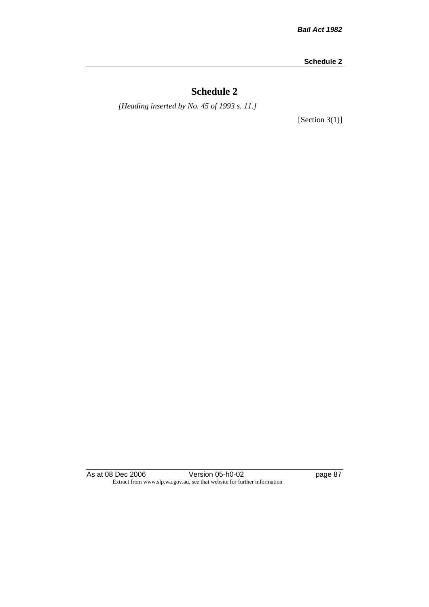# **Schedule 2**

*[Heading inserted by No. 45 of 1993 s. 11.]*

[Section 3(1)]

As at 08 Dec 2006 **Version 05-h0-02 page 87** Extract from www.slp.wa.gov.au, see that website for further information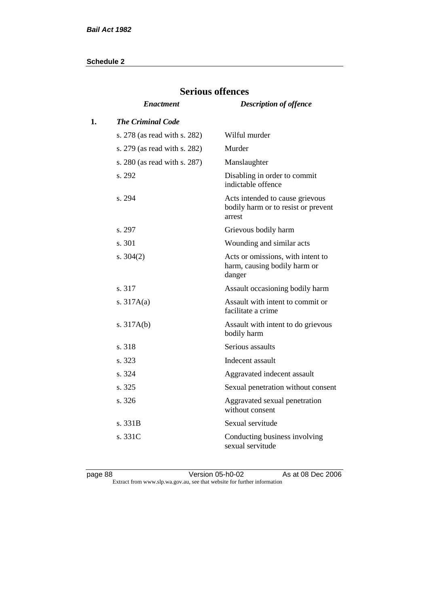|    | del ious offences            |                                                                                  |  |
|----|------------------------------|----------------------------------------------------------------------------------|--|
|    | <i><b>Enactment</b></i>      | <b>Description of offence</b>                                                    |  |
| 1. | <b>The Criminal Code</b>     |                                                                                  |  |
|    | s. 278 (as read with s. 282) | Wilful murder                                                                    |  |
|    | s. 279 (as read with s. 282) | Murder                                                                           |  |
|    | s. 280 (as read with s. 287) | Manslaughter                                                                     |  |
|    | s. 292                       | Disabling in order to commit<br>indictable offence                               |  |
|    | s. 294                       | Acts intended to cause grievous<br>bodily harm or to resist or prevent<br>arrest |  |
|    | s. 297                       | Grievous bodily harm                                                             |  |
|    | s. 301                       | Wounding and similar acts                                                        |  |
|    | s. $304(2)$                  | Acts or omissions, with intent to<br>harm, causing bodily harm or<br>danger      |  |
|    | s. 317                       | Assault occasioning bodily harm                                                  |  |
|    | s. $317A(a)$                 | Assault with intent to commit or<br>facilitate a crime                           |  |
|    | s. $317A(b)$                 | Assault with intent to do grievous<br>bodily harm                                |  |
|    | s. 318                       | Serious assaults                                                                 |  |
|    | s. 323                       | Indecent assault                                                                 |  |
|    | s. 324                       | Aggravated indecent assault                                                      |  |
|    | s. 325                       | Sexual penetration without consent                                               |  |
|    | s. 326                       | Aggravated sexual penetration<br>without consent                                 |  |
|    | s. 331B                      | Sexual servitude                                                                 |  |
|    | s. 331C                      | Conducting business involving<br>sexual servitude                                |  |

# **Serious offences**

page 88 **Version 05-h0-02** As at 08 Dec 2006 Extract from www.slp.wa.gov.au, see that website for further information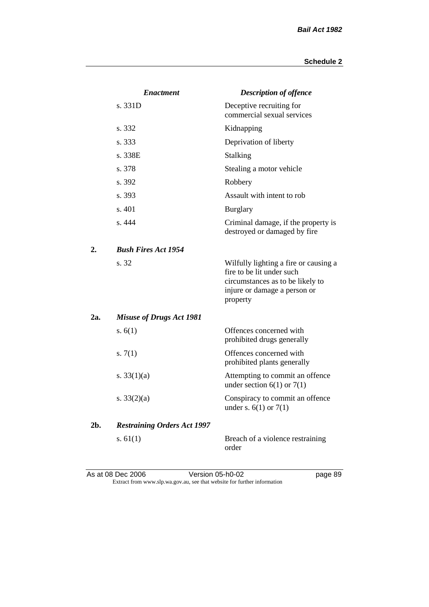|     | <b>Enactment</b>                   | <b>Description of offence</b>                                                                                                                      |
|-----|------------------------------------|----------------------------------------------------------------------------------------------------------------------------------------------------|
|     | s. 331D                            | Deceptive recruiting for<br>commercial sexual services                                                                                             |
|     | s. 332                             | Kidnapping                                                                                                                                         |
|     | s. 333                             | Deprivation of liberty                                                                                                                             |
|     | s. 338E                            | Stalking                                                                                                                                           |
|     | s. 378                             | Stealing a motor vehicle                                                                                                                           |
|     | s. 392                             | Robbery                                                                                                                                            |
|     | s. 393                             | Assault with intent to rob                                                                                                                         |
|     | s. 401                             | <b>Burglary</b>                                                                                                                                    |
|     | s. 444                             | Criminal damage, if the property is<br>destroyed or damaged by fire                                                                                |
| 2.  | <b>Bush Fires Act 1954</b>         |                                                                                                                                                    |
|     | s. 32                              | Wilfully lighting a fire or causing a<br>fire to be lit under such<br>circumstances as to be likely to<br>injure or damage a person or<br>property |
| 2a. | <b>Misuse of Drugs Act 1981</b>    |                                                                                                                                                    |
|     | s. $6(1)$                          | Offences concerned with<br>prohibited drugs generally                                                                                              |
|     | s. $7(1)$                          | Offences concerned with<br>prohibited plants generally                                                                                             |
|     | s. $33(1)(a)$                      | Attempting to commit an offence<br>under section $6(1)$ or $7(1)$                                                                                  |
|     | s. $33(2)(a)$                      | Conspiracy to commit an offence<br>under s. $6(1)$ or $7(1)$                                                                                       |
| 2b. | <b>Restraining Orders Act 1997</b> |                                                                                                                                                    |
|     | s. $61(1)$                         | Breach of a violence restraining<br>order                                                                                                          |

As at 08 Dec 2006 **Version 05-h0-02 page 89** Extract from www.slp.wa.gov.au, see that website for further information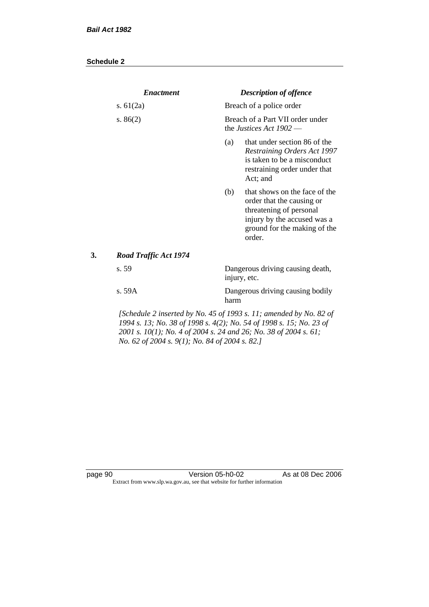|    | <b>Enactment</b>                                                                                                                                                                          |      | <b>Description of offence</b>                                                                                                                                  |
|----|-------------------------------------------------------------------------------------------------------------------------------------------------------------------------------------------|------|----------------------------------------------------------------------------------------------------------------------------------------------------------------|
|    | s. $61(2a)$                                                                                                                                                                               |      | Breach of a police order                                                                                                                                       |
|    | s. $86(2)$                                                                                                                                                                                |      | Breach of a Part VII order under<br>the Justices Act $1902$ —                                                                                                  |
|    |                                                                                                                                                                                           | (a)  | that under section 86 of the<br><b>Restraining Orders Act 1997</b><br>is taken to be a misconduct<br>restraining order under that<br>Act; and                  |
|    |                                                                                                                                                                                           | (b)  | that shows on the face of the<br>order that the causing or<br>threatening of personal<br>injury by the accused was a<br>ground for the making of the<br>order. |
| 3. | <b>Road Traffic Act 1974</b>                                                                                                                                                              |      |                                                                                                                                                                |
|    | s. 59                                                                                                                                                                                     |      | Dangerous driving causing death,<br>injury, etc.                                                                                                               |
|    | s. 59A                                                                                                                                                                                    | harm | Dangerous driving causing bodily                                                                                                                               |
|    | 1994 s. 13; No. 38 of 1998 s. 4(2); No. 54 of 1998 s. 15; No. 23 of<br>2001 s. 10(1); No. 4 of 2004 s. 24 and 26; No. 38 of 2004 s. 61;<br>No. 62 of 2004 s. 9(1); No. 84 of 2004 s. 82.] |      | [Schedule 2 inserted by No. 45 of 1993 s. 11; amended by No. 82 of                                                                                             |

page 90 **Version 05-h0-02** As at 08 Dec 2006 Extract from www.slp.wa.gov.au, see that website for further information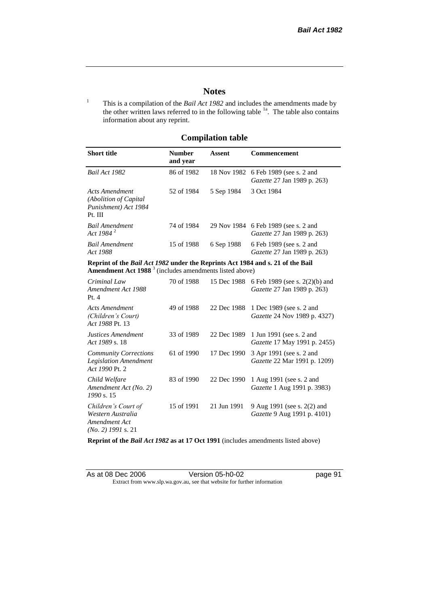### **Notes**

<sup>1</sup> This is a compilation of the *Bail Act 1982* and includes the amendments made by the other written laws referred to in the following table  $1a$ . The table also contains information about any reprint.

## **Compilation table**

| <b>Short title</b>                                                          | <b>Number</b><br>and year | Assent     | <b>Commencement</b>                                                        |
|-----------------------------------------------------------------------------|---------------------------|------------|----------------------------------------------------------------------------|
| Bail Act 1982                                                               | 86 of 1982                |            | 18 Nov 1982 6 Feb 1989 (see s. 2 and<br><i>Gazette</i> 27 Jan 1989 p. 263) |
| Acts Amendment<br>(Abolition of Capital)<br>Punishment) Act 1984<br>Pt. III | 52 of 1984                | 5 Sep 1984 | 3 Oct 1984                                                                 |
| <b>Bail Amendment</b><br>Act 1984 $^{2}$                                    | 74 of 1984                |            | 29 Nov 1984 6 Feb 1989 (see s. 2 and<br><i>Gazette</i> 27 Jan 1989 p. 263) |
| <b>Bail Amendment</b><br>Act 1988                                           | 15 of 1988                | 6 Sep 1988 | 6 Feb 1989 (see s. 2 and<br><i>Gazette</i> 27 Jan 1989 p. 263)             |
|                                                                             |                           |            |                                                                            |

**Reprint of the** *Bail Act 1982* **under the Reprints Act 1984 and s. 21 of the Bail Amendment Act 1988** <sup>3</sup> (includes amendments listed above)

| Criminal Law<br>Amendment Act 1988<br>Pt. 4                                       | 70 of 1988 | 15 Dec 1988 | 6 Feb 1989 (see s. 2(2)(b) and<br><i>Gazette</i> 27 Jan 1989 p. 263) |
|-----------------------------------------------------------------------------------|------------|-------------|----------------------------------------------------------------------|
| Acts Amendment<br>(Children's Court)<br>Act 1988 Pt. 13                           | 49 of 1988 | 22 Dec 1988 | 1 Dec 1989 (see s. 2 and<br><i>Gazette</i> 24 Nov 1989 p. 4327)      |
| Justices Amendment<br>Act 1989 s. 18                                              | 33 of 1989 | 22 Dec 1989 | 1 Jun 1991 (see s. 2 and<br><i>Gazette</i> 17 May 1991 p. 2455)      |
| <b>Community Corrections</b><br><b>Legislation Amendment</b><br>Act 1990 Pt. 2    | 61 of 1990 | 17 Dec 1990 | 3 Apr 1991 (see s. 2 and<br><i>Gazette</i> 22 Mar 1991 p. 1209)      |
| Child Welfare<br>Amendment Act (No. 2)<br>1990 s. 15                              | 83 of 1990 | 22 Dec 1990 | 1 Aug 1991 (see s. 2 and<br>Gazette 1 Aug 1991 p. 3983)              |
| Children's Court of<br>Western Australia<br>Amendment Act<br>$(No. 2)$ 1991 s. 21 | 15 of 1991 | 21 Jun 1991 | 9 Aug 1991 (see s. 2(2) and<br><i>Gazette</i> 9 Aug 1991 p. 4101)    |

**Reprint of the** *Bail Act 1982* **as at 17 Oct 1991** (includes amendments listed above)

| As at 08 Dec 2006 | Version 05-h0-02                                                         |  |
|-------------------|--------------------------------------------------------------------------|--|
|                   | Extract from www.slp.wa.gov.au, see that website for further information |  |

page  $91$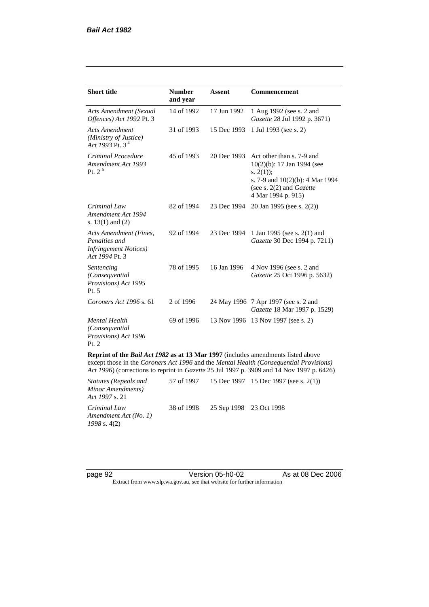| <b>Short title</b>                                                                         | <b>Number</b><br>and year | <b>Assent</b> | Commencement                                                                                                                                                         |
|--------------------------------------------------------------------------------------------|---------------------------|---------------|----------------------------------------------------------------------------------------------------------------------------------------------------------------------|
| <b>Acts Amendment (Sexual</b><br>Offences) Act 1992 Pt. 3                                  | 14 of 1992                | 17 Jun 1992   | 1 Aug 1992 (see s. 2 and<br>Gazette 28 Jul 1992 p. 3671)                                                                                                             |
| <b>Acts Amendment</b><br>(Ministry of Justice)<br>Act 1993 Pt. 3 <sup>4</sup>              | 31 of 1993                | 15 Dec 1993   | 1 Jul 1993 (see s. 2)                                                                                                                                                |
| Criminal Procedure<br>Amendment Act 1993<br>Pt. $2^5$                                      | 45 of 1993                | 20 Dec 1993   | Act other than s. 7-9 and<br>10(2)(b): 17 Jan 1994 (see<br>s. $2(1)$ ;<br>s. 7-9 and 10(2)(b): 4 Mar 1994<br>(see s. $2(2)$ and <i>Gazette</i><br>4 Mar 1994 p. 915) |
| Criminal Law<br>Amendment Act 1994<br>s. $13(1)$ and $(2)$                                 | 82 of 1994                | 23 Dec 1994   | 20 Jan 1995 (see s. 2(2))                                                                                                                                            |
| Acts Amendment (Fines,<br>Penalties and<br><b>Infringement Notices</b> )<br>Act 1994 Pt. 3 | 92 of 1994                | 23 Dec 1994   | 1 Jan 1995 (see s. 2(1) and<br>Gazette 30 Dec 1994 p. 7211)                                                                                                          |
| Sentencing<br>(Consequential<br>Provisions) Act 1995<br>Pt. 5                              | 78 of 1995                | 16 Jan 1996   | 4 Nov 1996 (see s. 2 and<br>Gazette 25 Oct 1996 p. 5632)                                                                                                             |
| Coroners Act 1996 s. 61                                                                    | 2 of 1996                 |               | 24 May 1996 7 Apr 1997 (see s. 2 and<br>Gazette 18 Mar 1997 p. 1529)                                                                                                 |
| <b>Mental Health</b><br>(Consequential<br>Provisions) Act 1996<br>Pt. 2                    | 69 of 1996                |               | 13 Nov 1996 13 Nov 1997 (see s. 2)                                                                                                                                   |
| <b>Reprint of the Bail Act 1982 as at 13 Mar 1997</b> (includes amendments listed above    |                           |               | except those in the <i>Coroners Act 1996</i> and the <i>Mental Health (Consequential Provisions)</i>                                                                 |

except those in the *Coroners Act 1996* and the *Mental Health (Consequential Provisions) Act 1996*) (corrections to reprint in *Gazette* 25 Jul 1997 p. 3909 and 14 Nov 1997 p. 6426)

| Statutes (Repeals and<br>Minor Amendments)<br><i>Act 1997 s.</i> 21 |                                    | 57 of 1997 15 Dec 1997 15 Dec 1997 (see s. 2(1)) |
|---------------------------------------------------------------------|------------------------------------|--------------------------------------------------|
| Criminal Law<br>Amendment Act (No. 1)<br>$1998$ s. 4(2)             | 38 of 1998 25 Sep 1998 23 Oct 1998 |                                                  |

page 92 **blue 120 Version 05-h0-02** As at 08 Dec 2006 Extract from www.slp.wa.gov.au, see that website for further information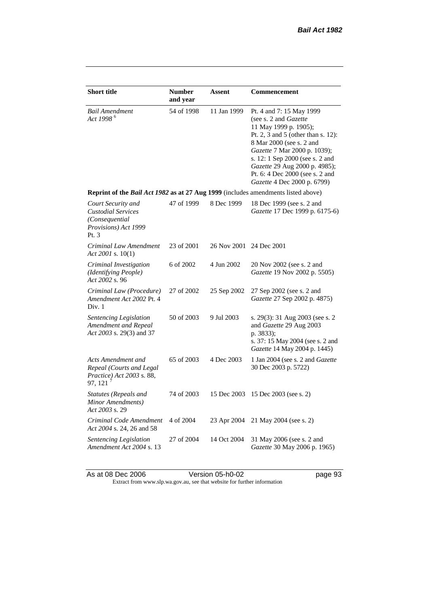| <b>Short title</b>                                                                                 | <b>Number</b><br>and year | <b>Assent</b>           | Commencement                                                                                                                                                                                                                                                                                                       |
|----------------------------------------------------------------------------------------------------|---------------------------|-------------------------|--------------------------------------------------------------------------------------------------------------------------------------------------------------------------------------------------------------------------------------------------------------------------------------------------------------------|
| <b>Bail Amendment</b><br>Act 1998 <sup>6</sup>                                                     | 54 of 1998                | 11 Jan 1999             | Pt. 4 and 7: 15 May 1999<br>(see s. 2 and Gazette<br>11 May 1999 p. 1905);<br>Pt. 2, 3 and 5 (other than s. 12):<br>8 Mar 2000 (see s. 2 and<br>Gazette 7 Mar 2000 p. 1039);<br>s. 12: 1 Sep 2000 (see s. 2 and<br>Gazette 29 Aug 2000 p. 4985);<br>Pt. 6: 4 Dec 2000 (see s. 2 and<br>Gazette 4 Dec 2000 p. 6799) |
| Reprint of the Bail Act 1982 as at 27 Aug 1999 (includes amendments listed above)                  |                           |                         |                                                                                                                                                                                                                                                                                                                    |
| Court Security and<br><b>Custodial Services</b><br>(Consequential)<br>Provisions) Act 1999<br>Pt.3 | 47 of 1999                | 8 Dec 1999              | 18 Dec 1999 (see s. 2 and<br>Gazette 17 Dec 1999 p. 6175-6)                                                                                                                                                                                                                                                        |
| Criminal Law Amendment<br>Act 2001 s. $10(1)$                                                      | 23 of 2001                | 26 Nov 2001 24 Dec 2001 |                                                                                                                                                                                                                                                                                                                    |
| Criminal Investigation<br>(Identifying People)<br>Act 2002 s. 96                                   | 6 of 2002                 | 4 Jun 2002              | 20 Nov 2002 (see s. 2 and<br>Gazette 19 Nov 2002 p. 5505)                                                                                                                                                                                                                                                          |
| Criminal Law (Procedure)<br>Amendment Act 2002 Pt. 4<br>Div. 1                                     | 27 of 2002                | 25 Sep 2002             | 27 Sep 2002 (see s. 2 and<br>Gazette 27 Sep 2002 p. 4875)                                                                                                                                                                                                                                                          |
| Sentencing Legislation<br>Amendment and Repeal<br>Act 2003 s. 29(3) and 37                         | 50 of 2003                | 9 Jul 2003              | s. 29(3): 31 Aug 2003 (see s. 2<br>and Gazette 29 Aug 2003<br>p. 3833);<br>s. 37: 15 May 2004 (see s. 2 and<br><i>Gazette</i> 14 May 2004 p. 1445)                                                                                                                                                                 |
| Acts Amendment and<br>Repeal (Courts and Legal<br>Practice) Act 2003 s. 88,<br>97, 121             | 65 of 2003                | 4 Dec 2003              | 1 Jan 2004 (see s. 2 and Gazette<br>30 Dec 2003 p. 5722)                                                                                                                                                                                                                                                           |
| Statutes (Repeals and<br>Minor Amendments)<br>Act 2003 s. 29                                       | 74 of 2003                | 15 Dec 2003             | 15 Dec 2003 (see s. 2)                                                                                                                                                                                                                                                                                             |
| Criminal Code Amendment<br>Act 2004 s. 24, 26 and 58                                               | 4 of 2004                 | 23 Apr 2004             | 21 May 2004 (see s. 2)                                                                                                                                                                                                                                                                                             |
| Sentencing Legislation<br>Amendment Act 2004 s. 13                                                 | 27 of 2004                | 14 Oct 2004             | 31 May 2006 (see s. 2 and<br>Gazette 30 May 2006 p. 1965)                                                                                                                                                                                                                                                          |

As at 08 Dec 2006 **Version 05-h0-02 page 93** Extract from www.slp.wa.gov.au, see that website for further information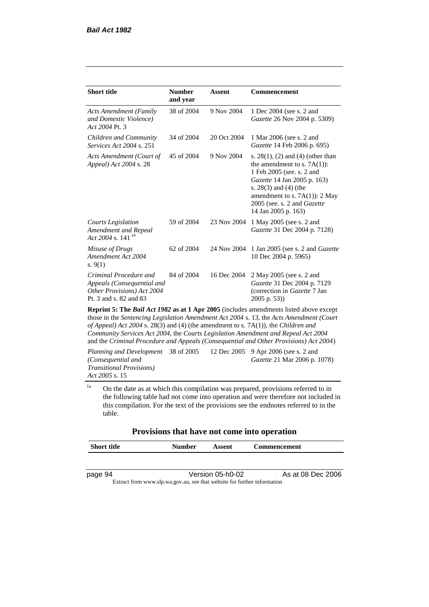| <b>Short title</b>                                                                                           | <b>Number</b><br>and year | <b>Assent</b> | Commencement                                                                                                                                                                                                                                            |
|--------------------------------------------------------------------------------------------------------------|---------------------------|---------------|---------------------------------------------------------------------------------------------------------------------------------------------------------------------------------------------------------------------------------------------------------|
| <b>Acts Amendment (Family</b><br>and Domestic Violence)<br>Act 2004 Pt. 3                                    | 38 of 2004                | 9 Nov 2004    | 1 Dec 2004 (see s. 2 and<br>Gazette 26 Nov 2004 p. 5309)                                                                                                                                                                                                |
| Children and Community<br>Services Act 2004 s. 251                                                           | 34 of 2004                | 20 Oct 2004   | 1 Mar 2006 (see s. 2 and<br>Gazette 14 Feb 2006 p. 695)                                                                                                                                                                                                 |
| Acts Amendment (Court of<br>Appeal) Act 2004 s. 28                                                           | 45 of 2004                | 9 Nov 2004    | s. $28(1)$ , (2) and (4) (other than<br>the amendment to s. $7A(1)$ :<br>1 Feb 2005 (see. s. 2 and<br>Gazette 14 Jan 2005 p. 163)<br>s. $28(3)$ and $(4)$ (the<br>amendment to s. $7A(1)$ : 2 May<br>2005 (see. s. 2 and Gazette<br>14 Jan 2005 p. 163) |
| Courts Legislation<br>Amendment and Repeal<br>Act 2004 s. 141 <sup>10</sup>                                  | 59 of 2004                | 23 Nov 2004   | 1 May 2005 (see s. 2 and<br>Gazette 31 Dec 2004 p. 7128)                                                                                                                                                                                                |
| Misuse of Drugs<br>Amendment Act 2004<br>s. $9(1)$                                                           | 62 of 2004                | 24 Nov 2004   | 1 Jan 2005 (see s. 2 and <i>Gazette</i><br>10 Dec 2004 p. 5965)                                                                                                                                                                                         |
| Criminal Procedure and<br>Appeals (Consequential and<br>Other Provisions) Act 2004<br>Pt. 3 and s. 82 and 83 | 84 of 2004                | 16 Dec 2004   | 2 May 2005 (see s. 2 and<br>Gazette 31 Dec 2004 p. 7129<br>(correction in Gazette 7 Jan<br>$2005$ p. 53))                                                                                                                                               |
|                                                                                                              |                           |               | <b>Reprint 5: The <i>Rail Act 1982</i> as at 1 Apr 2005</b> (includes amendments listed above except                                                                                                                                                    |

**Reprint 5: The** *Bail Act 1982* **as at 1 Apr 2005** (includes amendments listed above except those in the *Sentencing Legislation Amendment Act 2004* s. 13, the *Acts Amendment (Court of Appeal) Act 2004* s. 28(3) and (4) (the amendment to s. 7A(1)), the *Children and Community Services Act 2004*, the *Courts Legislation Amendment and Repeal Act 2004* and the *Criminal Procedure and Appeals (Consequential and Other Provisions) Act 2004*)

*Planning and Development (Consequential and Transitional Provisions) Act 2005* s. 15 12 Dec 2005 9 Apr 2006 (see s. 2 and *Gazette* 21 Mar 2006 p. 1078)

<sup>1a</sup> On the date as at which this compilation was prepared, provisions referred to in the following table had not come into operation and were therefore not included in this compilation. For the text of the provisions see the endnotes referred to in the table.

#### **Provisions that have not come into operation**

| <b>Short title</b> | <b>Number</b> | Assent | <b>Commencement</b> |
|--------------------|---------------|--------|---------------------|
|                    |               |        |                     |
|                    |               |        |                     |

page 94 Version 05-h0-02 As at 08 Dec 2006 Extract from www.slp.wa.gov.au, see that website for further information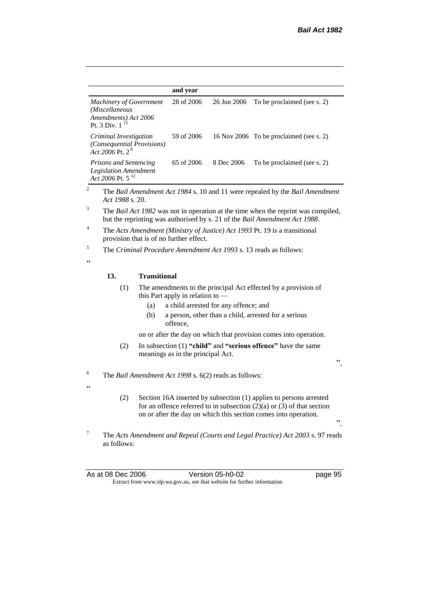|                                                                                                 |                                                                                                                       |                     | and year                          |                                       |                                                                                                                                                                                                                     |     |
|-------------------------------------------------------------------------------------------------|-----------------------------------------------------------------------------------------------------------------------|---------------------|-----------------------------------|---------------------------------------|---------------------------------------------------------------------------------------------------------------------------------------------------------------------------------------------------------------------|-----|
| <b>Machinery of Government</b><br>(Miscellaneous<br>Amendments) Act 2006<br>Pt. 3 Div. $1^{11}$ |                                                                                                                       |                     | 28 of 2006                        | 26 Jun 2006                           | To be proclaimed (see s. 2)                                                                                                                                                                                         |     |
| Criminal Investigation<br>(Consequential Provisions)<br>Act 2006 Pt. 2 <sup>8</sup>             |                                                                                                                       |                     | 59 of 2006                        | 16 Nov 2006                           | To be proclaimed (see s. 2)                                                                                                                                                                                         |     |
|                                                                                                 | Prisons and Sentencing<br><b>Legislation Amendment</b><br>Act 2006 Pt. 5 <sup>12</sup>                                |                     | 65 of 2006                        | 8 Dec 2006                            | To be proclaimed (see s. 2)                                                                                                                                                                                         |     |
| 2                                                                                               | Act 1988 s. 20.                                                                                                       |                     |                                   |                                       | The Bail Amendment Act 1984 s. 10 and 11 were repealed by the Bail Amendment                                                                                                                                        |     |
| 3                                                                                               |                                                                                                                       |                     |                                   |                                       | The Bail Act 1982 was not in operation at the time when the reprint was compiled,<br>but the reprinting was authorised by s. 21 of the Bail Amendment Act 1988.                                                     |     |
| 4                                                                                               | The Acts Amendment (Ministry of Justice) Act 1993 Pt. 19 is a transitional<br>provision that is of no further effect. |                     |                                   |                                       |                                                                                                                                                                                                                     |     |
| 5                                                                                               |                                                                                                                       |                     |                                   |                                       | The <i>Criminal Procedure Amendment Act 1993</i> s. 13 reads as follows:                                                                                                                                            |     |
| $\epsilon$                                                                                      |                                                                                                                       |                     |                                   |                                       |                                                                                                                                                                                                                     |     |
|                                                                                                 | 13.                                                                                                                   | <b>Transitional</b> |                                   |                                       |                                                                                                                                                                                                                     |     |
|                                                                                                 | (1)                                                                                                                   |                     | this Part apply in relation to -  |                                       | The amendments to the principal Act effected by a provision of                                                                                                                                                      |     |
|                                                                                                 |                                                                                                                       | (a)                 |                                   | a child arrested for any offence; and |                                                                                                                                                                                                                     |     |
|                                                                                                 |                                                                                                                       | (b)                 | offence.                          |                                       | a person, other than a child, arrested for a serious                                                                                                                                                                |     |
|                                                                                                 |                                                                                                                       |                     |                                   |                                       | on or after the day on which that provision comes into operation.                                                                                                                                                   |     |
|                                                                                                 | (2)                                                                                                                   |                     | meanings as in the principal Act. |                                       | In subsection $(1)$ "child" and "serious offence" have the same                                                                                                                                                     | ,,  |
| 6                                                                                               | The Bail Amendment Act 1998 s. 6(2) reads as follows:                                                                 |                     |                                   |                                       |                                                                                                                                                                                                                     |     |
| $\epsilon$                                                                                      |                                                                                                                       |                     |                                   |                                       |                                                                                                                                                                                                                     |     |
|                                                                                                 | (2)                                                                                                                   |                     |                                   |                                       | Section 16A inserted by subsection (1) applies to persons arrested<br>for an offence referred to in subsection $(2)(a)$ or $(3)$ of that section<br>on or after the day on which this section comes into operation. | , 2 |
| $\tau$                                                                                          | as follows:                                                                                                           |                     |                                   |                                       | The Acts Amendment and Repeal (Courts and Legal Practice) Act 2003 s. 97 reads                                                                                                                                      |     |

As at 08 Dec 2006 **Version 05-h0-02 page 95** Extract from www.slp.wa.gov.au, see that website for further information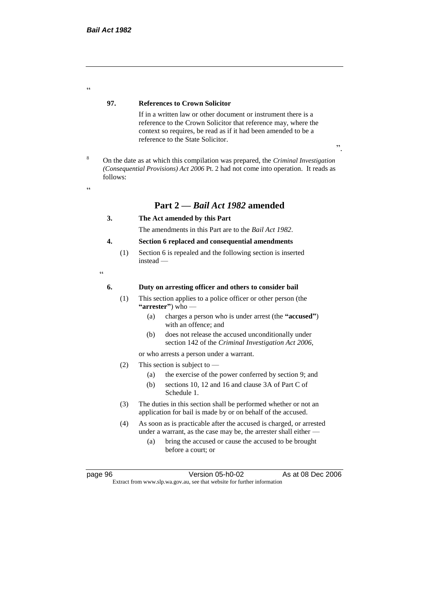#### **97. References to Crown Solicitor**

If in a written law or other document or instrument there is a reference to the Crown Solicitor that reference may, where the context so requires, be read as if it had been amended to be a reference to the State Solicitor.

<sup>8</sup> On the date as at which this compilation was prepared, the *Criminal Investigation (Consequential Provisions) Act 2006* Pt. 2 had not come into operation. It reads as follows:

<u>،</u>

.<br>.

# **Part 2 —** *Bail Act 1982* **amended**

#### **3. The Act amended by this Part**

The amendments in this Part are to the *Bail Act 1982*.

#### **4. Section 6 replaced and consequential amendments**

(1) Section 6 is repealed and the following section is inserted instead —

"

#### **6. Duty on arresting officer and others to consider bail**

- (1) This section applies to a police officer or other person (the **"arrester"**) who —
	- (a) charges a person who is under arrest (the **"accused"**) with an offence; and
	- (b) does not release the accused unconditionally under section 142 of the *Criminal Investigation Act 2006*,

or who arrests a person under a warrant.

- (2) This section is subject to
	- (a) the exercise of the power conferred by section 9; and
	- (b) sections 10, 12 and 16 and clause 3A of Part C of Schedule 1.
- (3) The duties in this section shall be performed whether or not an application for bail is made by or on behalf of the accused.
- (4) As soon as is practicable after the accused is charged, or arrested under a warrant, as the case may be, the arrester shall either —
	- (a) bring the accused or cause the accused to be brought before a court; or

page 96 **Version 05-h0-02** As at 08 Dec 2006 Extract from www.slp.wa.gov.au, see that website for further information

".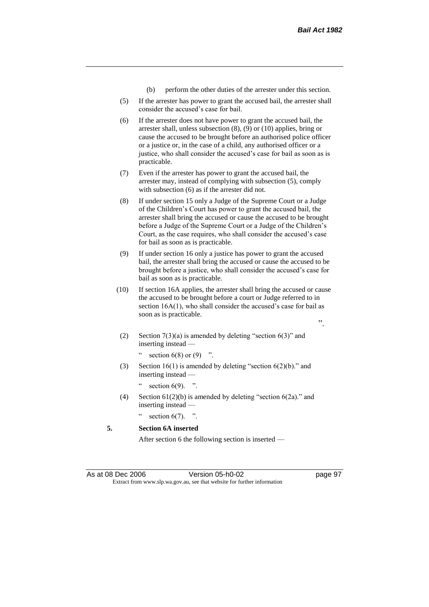- (b) perform the other duties of the arrester under this section.
- (5) If the arrester has power to grant the accused bail, the arrester shall consider the accused's case for bail.
- (6) If the arrester does not have power to grant the accused bail, the arrester shall, unless subsection (8), (9) or (10) applies, bring or cause the accused to be brought before an authorised police officer or a justice or, in the case of a child, any authorised officer or a justice, who shall consider the accused's case for bail as soon as is practicable.
- (7) Even if the arrester has power to grant the accused bail, the arrester may, instead of complying with subsection (5), comply with subsection (6) as if the arrester did not.
- (8) If under section 15 only a Judge of the Supreme Court or a Judge of the Children's Court has power to grant the accused bail, the arrester shall bring the accused or cause the accused to be brought before a Judge of the Supreme Court or a Judge of the Children's Court, as the case requires, who shall consider the accused's case for bail as soon as is practicable.
- (9) If under section 16 only a justice has power to grant the accused bail, the arrester shall bring the accused or cause the accused to be brought before a justice, who shall consider the accused's case for bail as soon as is practicable.
- (10) If section 16A applies, the arrester shall bring the accused or cause the accused to be brought before a court or Judge referred to in section 16A(1), who shall consider the accused's case for bail as soon as is practicable.
	- ".
	- (2) Section  $7(3)(a)$  is amended by deleting "section  $6(3)$ " and inserting instead —

" section  $6(8)$  or  $(9)$  ".

- (3) Section  $16(1)$  is amended by deleting "section  $6(2)(b)$ ." and inserting instead section  $6(9)$ . ".
- (4) Section  $61(2)(b)$  is amended by deleting "section  $6(2a)$ ." and inserting instead —
	-

section  $6(7)$ . ".

**5. Section 6A inserted**

After section 6 the following section is inserted —

As at 08 Dec 2006 Version 05-h0-02 Page 97 Extract from www.slp.wa.gov.au, see that website for further information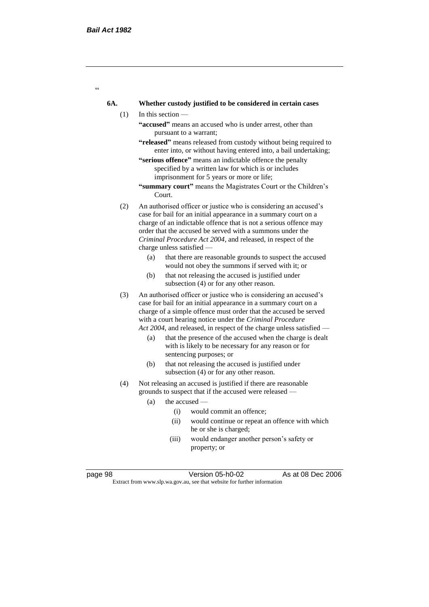$\epsilon$ 

#### **6A. Whether custody justified to be considered in certain cases**

- (1) In this section
	- **"accused"** means an accused who is under arrest, other than pursuant to a warrant;
	- **"released"** means released from custody without being required to enter into, or without having entered into, a bail undertaking;
	- **"serious offence"** means an indictable offence the penalty specified by a written law for which is or includes imprisonment for 5 years or more or life;
	- **"summary court"** means the Magistrates Court or the Children's Court.
- (2) An authorised officer or justice who is considering an accused's case for bail for an initial appearance in a summary court on a charge of an indictable offence that is not a serious offence may order that the accused be served with a summons under the *Criminal Procedure Act 2004*, and released, in respect of the charge unless satisfied —
	- (a) that there are reasonable grounds to suspect the accused would not obey the summons if served with it; or
	- (b) that not releasing the accused is justified under subsection (4) or for any other reason.
- (3) An authorised officer or justice who is considering an accused's case for bail for an initial appearance in a summary court on a charge of a simple offence must order that the accused be served with a court hearing notice under the *Criminal Procedure Act 2004*, and released, in respect of the charge unless satisfied —
	- (a) that the presence of the accused when the charge is dealt with is likely to be necessary for any reason or for sentencing purposes; or
	- (b) that not releasing the accused is justified under subsection (4) or for any other reason.
- (4) Not releasing an accused is justified if there are reasonable grounds to suspect that if the accused were released —
	- (a) the accused
		- (i) would commit an offence;
		- (ii) would continue or repeat an offence with which he or she is charged;
		- (iii) would endanger another person's safety or property; or

page 98 Version 05-h0-02 As at 08 Dec 2006

Extract from www.slp.wa.gov.au, see that website for further information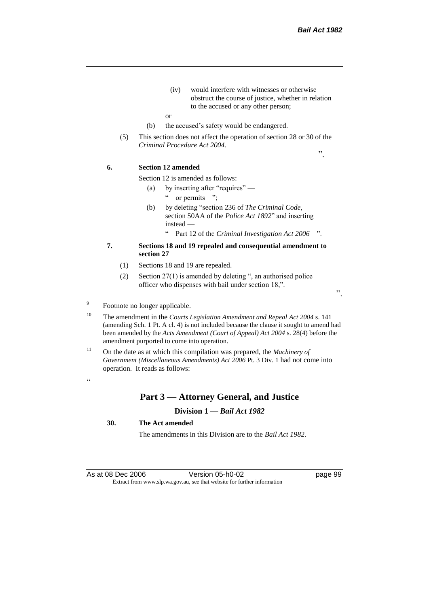".

- (iv) would interfere with witnesses or otherwise obstruct the course of justice, whether in relation to the accused or any other person;
- or
- (b) the accused's safety would be endangered.
- (5) This section does not affect the operation of section 28 or 30 of the *Criminal Procedure Act 2004*.

**6. Section 12 amended**

Section 12 is amended as follows:

- (a) by inserting after "requires" " or permits ";
- (b) by deleting "section 236 of *The Criminal Code*, section 50AA of the *Police Act 1892*" and inserting instead —
	- " Part 12 of the *Criminal Investigation Act 2006* ".
- **7. Sections 18 and 19 repealed and consequential amendment to section 27**
	- (1) Sections 18 and 19 are repealed.
	- (2) Section 27(1) is amended by deleting ", an authorised police officer who dispenses with bail under section 18,".

".

#### 9 Footnote no longer applicable.

- <sup>10</sup> The amendment in the *Courts Legislation Amendment and Repeal Act 2004* s. 141 (amending Sch. 1 Pt. A cl. 4) is not included because the clause it sought to amend had been amended by the *Acts Amendment (Court of Appeal) Act 2004* s. 28(4) before the amendment purported to come into operation.
- <sup>11</sup> On the date as at which this compilation was prepared, the *Machinery of Government (Miscellaneous Amendments) Act 2006* Pt. 3 Div. 1 had not come into operation. It reads as follows:

 $\epsilon$   $\epsilon$ 

#### **Part 3 — Attorney General, and Justice**

#### **Division 1 —** *Bail Act 1982*

#### **30. The Act amended**

The amendments in this Division are to the *Bail Act 1982*.

As at 08 Dec 2006 Version 05-h0-02 page 99 Extract from www.slp.wa.gov.au, see that website for further information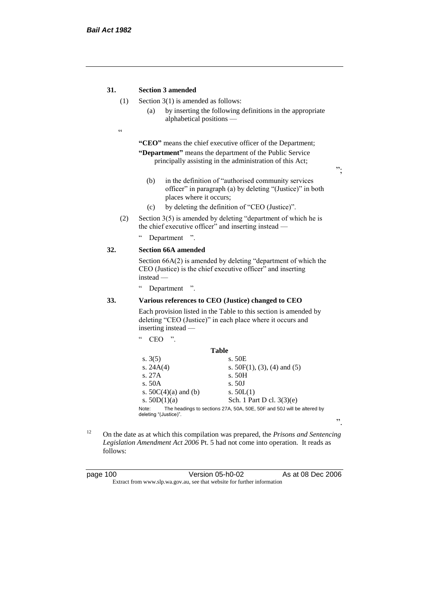#### **31. Section 3 amended**

- (1) Section 3(1) is amended as follows:
	- (a) by inserting the following definitions in the appropriate alphabetical positions —
- $\epsilon$

**"CEO"** means the chief executive officer of the Department; **"Department"** means the department of the Public Service principally assisting in the administration of this Act;

";

".

- (b) in the definition of "authorised community services officer" in paragraph (a) by deleting "(Justice)" in both places where it occurs;
- (c) by deleting the definition of "CEO (Justice)".
- (2) Section  $3(5)$  is amended by deleting "department of which he is the chief executive officer" and inserting instead —
	- " Department ".

#### **32. Section 66A amended**

Section 66A(2) is amended by deleting "department of which the CEO (Justice) is the chief executive officer" and inserting instead —

" Department ".

 $CEO$  "

#### **33. Various references to CEO (Justice) changed to CEO**

Each provision listed in the Table to this section is amended by deleting "CEO (Justice)" in each place where it occurs and inserting instead —

| Table                                                                  |
|------------------------------------------------------------------------|
| s. 50E                                                                 |
| s. $50F(1)$ , (3), (4) and (5)                                         |
| s. 50H                                                                 |
| s. 50J                                                                 |
| s. $50L(1)$                                                            |
| Sch. 1 Part D cl. 3(3)(e)                                              |
| The headings to sections 27A, 50A, 50E, 50F and 50J will be altered by |
|                                                                        |

<sup>12</sup> On the date as at which this compilation was prepared, the *Prisons and Sentencing Legislation Amendment Act 2006* Pt. 5 had not come into operation. It reads as follows:

| page 100 | Version 05-h0-02                                                         | As at 08 Dec 2006 |
|----------|--------------------------------------------------------------------------|-------------------|
|          | Extract from www.slp.wa.gov.au, see that website for further information |                   |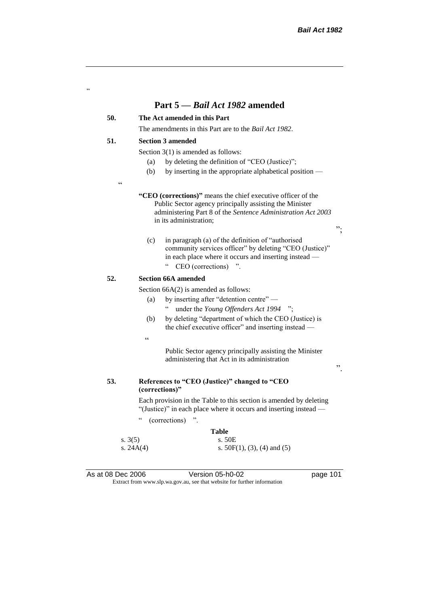## **Part 5 —** *Bail Act 1982* **amended**

### **50. The Act amended in this Part**

The amendments in this Part are to the *Bail Act 1982*.

#### **51. Section 3 amended**

Section 3(1) is amended as follows:

- (a) by deleting the definition of "CEO (Justice)";
- (b) by inserting in the appropriate alphabetical position —
- $C$

"

**"CEO (corrections)"** means the chief executive officer of the Public Sector agency principally assisting the Minister administering Part 8 of the *Sentence Administration Act 2003* in its administration;

(c) in paragraph (a) of the definition of "authorised community services officer" by deleting "CEO (Justice)" in each place where it occurs and inserting instead — " CEO (corrections) ".

#### **52. Section 66A amended**

Section  $66A(2)$  is amended as follows:

- (a) by inserting after "detention centre" under the *Young Offenders Act* 1994 ";
- (b) by deleting "department of which the CEO (Justice) is the chief executive officer" and inserting instead —
- $\epsilon$

s.  $3(5)$ 

Public Sector agency principally assisting the Minister administering that Act in its administration

".

 $, ,$ 

#### **53. References to "CEO (Justice)" changed to "CEO (corrections)"**

Each provision in the Table to this section is amended by deleting "(Justice)" in each place where it occurs and inserting instead —

" (corrections) ".

# **Table**<br>s. 50E

s. 24A(4) s. 50F(1), (3), (4) and (5)

As at 08 Dec 2006 Version 05-h0-02 page 101 Extract from www.slp.wa.gov.au, see that website for further information